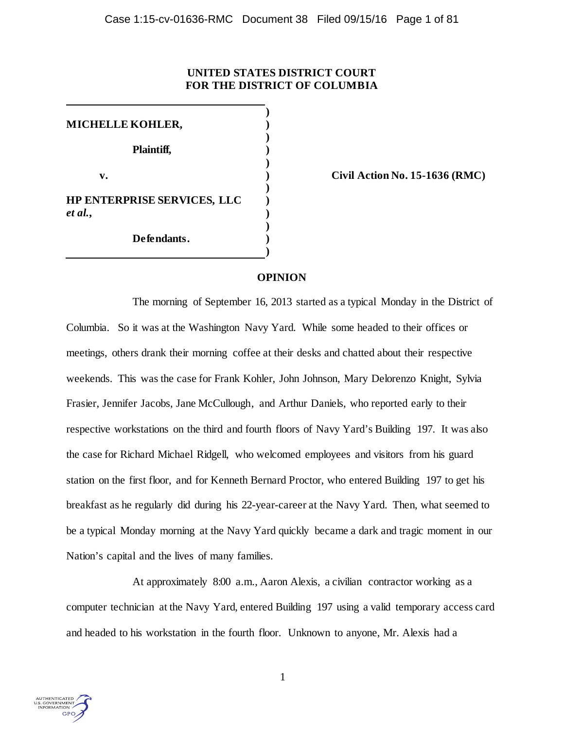# **UNITED STATES DISTRICT COURT FOR THE DISTRICT OF COLUMBIA**

**) MICHELLE KOHLER, ) ) Plaintiff, ) ) v. ) Civil Action No. 15-1636 (RMC) ) HP ENTERPRISE SERVICES, LLC )** *et al.***, ) ) Defendants. )**

### **OPINION**

**)**

The morning of September 16, 2013 started as a typical Monday in the District of Columbia. So it was at the Washington Navy Yard. While some headed to their offices or meetings, others drank their morning coffee at their desks and chatted about their respective weekends. This was the case for Frank Kohler, John Johnson, Mary Delorenzo Knight, Sylvia Frasier, Jennifer Jacobs, Jane McCullough, and Arthur Daniels, who reported early to their respective workstations on the third and fourth floors of Navy Yard's Building 197. It was also the case for Richard Michael Ridgell, who welcomed employees and visitors from his guard station on the first floor, and for Kenneth Bernard Proctor, who entered Building 197 to get his breakfast as he regularly did during his 22-year-career at the Navy Yard. Then, what seemed to be a typical Monday morning at the Navy Yard quickly became a dark and tragic moment in our Nation's capital and the lives of many families.

At approximately 8:00 a.m., Aaron Alexis, a civilian contractor working as a computer technician at the Navy Yard, entered Building 197 using a valid temporary access card and headed to his workstation in the fourth floor. Unknown to anyone, Mr. Alexis had a

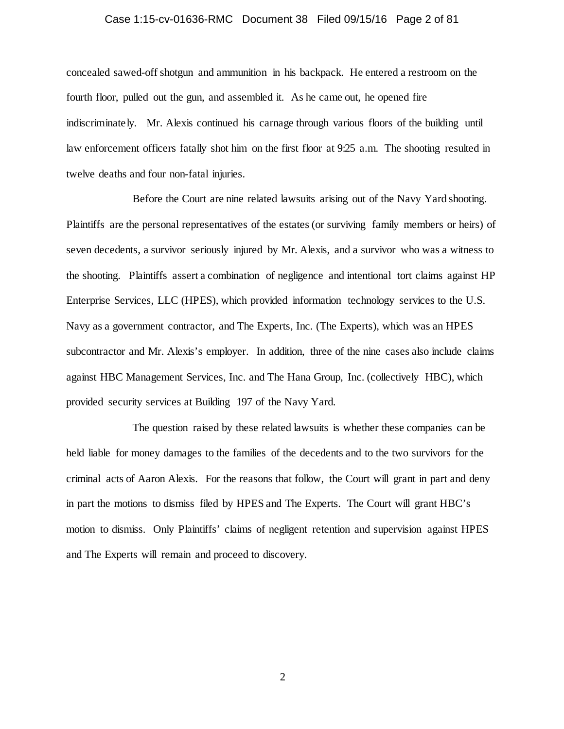### Case 1:15-cv-01636-RMC Document 38 Filed 09/15/16 Page 2 of 81

concealed sawed-off shotgun and ammunition in his backpack. He entered a restroom on the fourth floor, pulled out the gun, and assembled it. As he came out, he opened fire indiscriminately. Mr. Alexis continued his carnage through various floors of the building until law enforcement officers fatally shot him on the first floor at 9:25 a.m. The shooting resulted in twelve deaths and four non-fatal injuries.

Before the Court are nine related lawsuits arising out of the Navy Yard shooting. Plaintiffs are the personal representatives of the estates (or surviving family members or heirs) of seven decedents, a survivor seriously injured by Mr. Alexis, and a survivor who was a witness to the shooting. Plaintiffs assert a combination of negligence and intentional tort claims against HP Enterprise Services, LLC (HPES), which provided information technology services to the U.S. Navy as a government contractor, and The Experts, Inc. (The Experts), which was an HPES subcontractor and Mr. Alexis's employer. In addition, three of the nine cases also include claims against HBC Management Services, Inc. and The Hana Group, Inc. (collectively HBC), which provided security services at Building 197 of the Navy Yard.

The question raised by these related lawsuits is whether these companies can be held liable for money damages to the families of the decedents and to the two survivors for the criminal acts of Aaron Alexis. For the reasons that follow, the Court will grant in part and deny in part the motions to dismiss filed by HPES and The Experts. The Court will grant HBC's motion to dismiss. Only Plaintiffs' claims of negligent retention and supervision against HPES and The Experts will remain and proceed to discovery.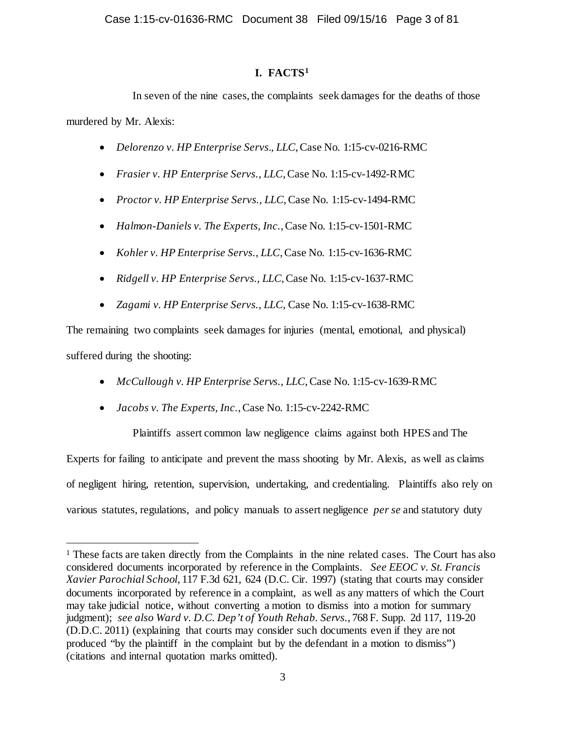# **I. FACTS[1](#page-2-0)**

In seven of the nine cases, the complaints seek damages for the deaths of those murdered by Mr. Alexis:

- *Delorenzo v. HP Enterprise Servs., LLC*, Case No. 1:15-cv-0216-RMC
- *Frasier v. HP Enterprise Servs., LLC*, Case No. 1:15-cv-1492-RMC
- *Proctor v. HP Enterprise Servs., LLC*, Case No. 1:15-cv-1494-RMC
- *Halmon-Daniels v. The Experts, Inc.*, Case No. 1:15-cv-1501-RMC
- *Kohler v. HP Enterprise Servs., LLC*, Case No. 1:15-cv-1636-RMC
- *Ridgell v. HP Enterprise Servs., LLC*, Case No. 1:15-cv-1637-RMC
- *Zagami v. HP Enterprise Servs., LLC*, Case No. 1:15-cv-1638-RMC

The remaining two complaints seek damages for injuries (mental, emotional, and physical) suffered during the shooting:

- *McCullough v. HP Enterprise Servs., LLC*, Case No. 1:15-cv-1639-RMC
- *Jacobs v. The Experts, Inc.*, Case No. 1:15-cv-2242-RMC

Plaintiffs assert common law negligence claims against both HPES and The Experts for failing to anticipate and prevent the mass shooting by Mr. Alexis, as well as claims of negligent hiring, retention, supervision, undertaking, and credentialing. Plaintiffs also rely on various statutes, regulations, and policy manuals to assert negligence *per se* and statutory duty

<span id="page-2-0"></span><sup>&</sup>lt;sup>1</sup> These facts are taken directly from the Complaints in the nine related cases. The Court has also considered documents incorporated by reference in the Complaints. *See EEOC v. St. Francis Xavier Parochial School*, 117 F.3d 621, 624 (D.C. Cir. 1997) (stating that courts may consider documents incorporated by reference in a complaint, as well as any matters of which the Court may take judicial notice, without converting a motion to dismiss into a motion for summary judgment); *see also Ward v. D.C. Dep't of Youth Rehab. Servs.*, 768 F. Supp. 2d 117, 119-20 (D.D.C. 2011) (explaining that courts may consider such documents even if they are not produced "by the plaintiff in the complaint but by the defendant in a motion to dismiss") (citations and internal quotation marks omitted).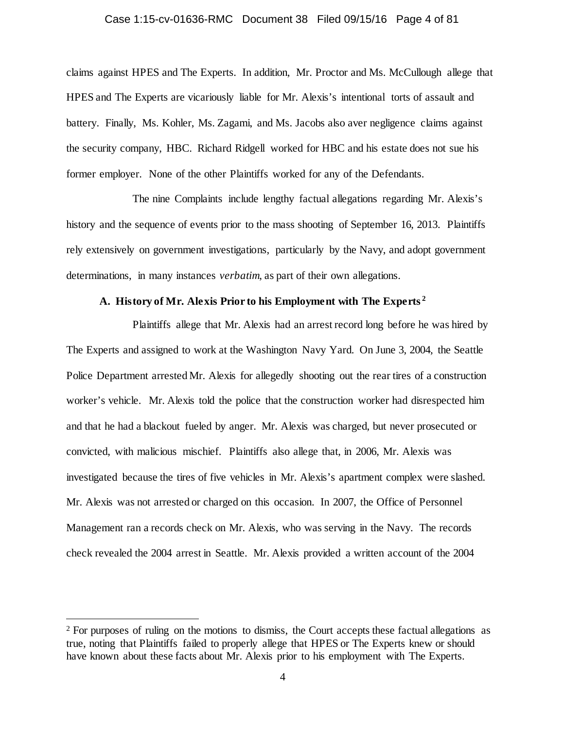#### Case 1:15-cv-01636-RMC Document 38 Filed 09/15/16 Page 4 of 81

claims against HPES and The Experts. In addition, Mr. Proctor and Ms. McCullough allege that HPES and The Experts are vicariously liable for Mr. Alexis's intentional torts of assault and battery. Finally, Ms. Kohler, Ms. Zagami, and Ms. Jacobs also aver negligence claims against the security company, HBC. Richard Ridgell worked for HBC and his estate does not sue his former employer. None of the other Plaintiffs worked for any of the Defendants.

The nine Complaints include lengthy factual allegations regarding Mr. Alexis's history and the sequence of events prior to the mass shooting of September 16, 2013. Plaintiffs rely extensively on government investigations, particularly by the Navy, and adopt government determinations, in many instances *verbatim*, as part of their own allegations.

### **A. History of Mr. Alexis Prior to his Employment with The Experts [2](#page-3-0)**

Plaintiffs allege that Mr. Alexis had an arrest record long before he was hired by The Experts and assigned to work at the Washington Navy Yard. On June 3, 2004, the Seattle Police Department arrested Mr. Alexis for allegedly shooting out the rear tires of a construction worker's vehicle. Mr. Alexis told the police that the construction worker had disrespected him and that he had a blackout fueled by anger. Mr. Alexis was charged, but never prosecuted or convicted, with malicious mischief. Plaintiffs also allege that, in 2006, Mr. Alexis was investigated because the tires of five vehicles in Mr. Alexis's apartment complex were slashed. Mr. Alexis was not arrested or charged on this occasion. In 2007, the Office of Personnel Management ran a records check on Mr. Alexis, who was serving in the Navy. The records check revealed the 2004 arrest in Seattle. Mr. Alexis provided a written account of the 2004

<span id="page-3-0"></span><sup>&</sup>lt;sup>2</sup> For purposes of ruling on the motions to dismiss, the Court accepts these factual allegations as true, noting that Plaintiffs failed to properly allege that HPES or The Experts knew or should have known about these facts about Mr. Alexis prior to his employment with The Experts.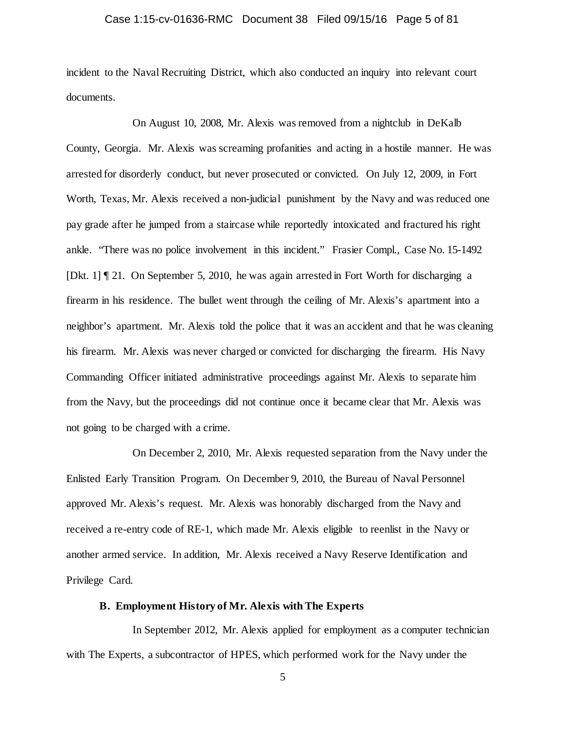### Case 1:15-cv-01636-RMC Document 38 Filed 09/15/16 Page 5 of 81

incident to the Naval Recruiting District, which also conducted an inquiry into relevant court documents.

On August 10, 2008, Mr. Alexis was removed from a nightclub in DeKalb County, Georgia. Mr. Alexis was screaming profanities and acting in a hostile manner. He was arrested for disorderly conduct, but never prosecuted or convicted. On July 12, 2009, in Fort Worth, Texas, Mr. Alexis received a non-judicial punishment by the Navy and was reduced one pay grade after he jumped from a staircase while reportedly intoxicated and fractured his right ankle. "There was no police involvement in this incident." Frasier Compl., Case No. 15-1492 [Dkt. 1] ¶ 21. On September 5, 2010, he was again arrested in Fort Worth for discharging a firearm in his residence. The bullet went through the ceiling of Mr. Alexis's apartment into a neighbor's apartment. Mr. Alexis told the police that it was an accident and that he was cleaning his firearm. Mr. Alexis was never charged or convicted for discharging the firearm. His Navy Commanding Officer initiated administrative proceedings against Mr. Alexis to separate him from the Navy, but the proceedings did not continue once it became clear that Mr. Alexis was not going to be charged with a crime.

On December 2, 2010, Mr. Alexis requested separation from the Navy under the Enlisted Early Transition Program. On December 9, 2010, the Bureau of Naval Personnel approved Mr. Alexis's request. Mr. Alexis was honorably discharged from the Navy and received a re-entry code of RE-1, which made Mr. Alexis eligible to reenlist in the Navy or another armed service. In addition, Mr. Alexis received a Navy Reserve Identification and Privilege Card.

### **B. Employment History of Mr. Alexis with The Experts**

In September 2012, Mr. Alexis applied for employment as a computer technician with The Experts, a subcontractor of HPES, which performed work for the Navy under the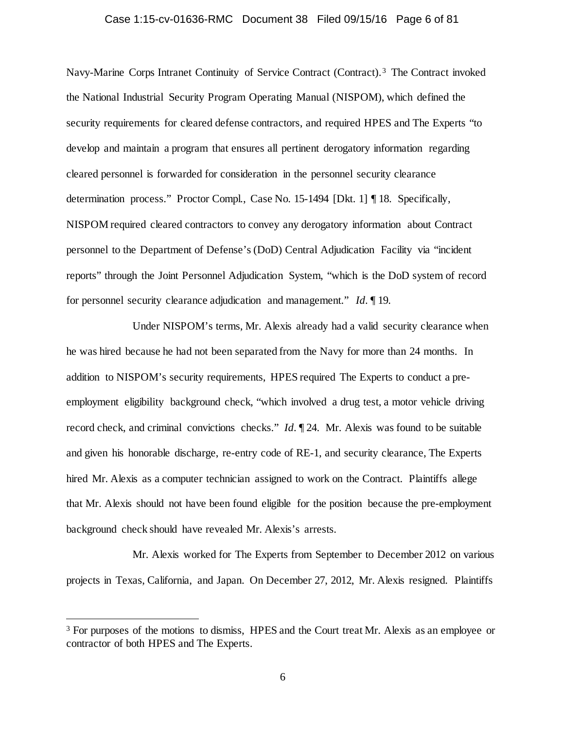### Case 1:15-cv-01636-RMC Document 38 Filed 09/15/16 Page 6 of 81

Navy-Marine Corps Intranet Continuity of Service Contract (Contract). [3](#page-5-0) The Contract invoked the National Industrial Security Program Operating Manual (NISPOM), which defined the security requirements for cleared defense contractors, and required HPES and The Experts "to develop and maintain a program that ensures all pertinent derogatory information regarding cleared personnel is forwarded for consideration in the personnel security clearance determination process." Proctor Compl., Case No. 15-1494 [Dkt. 1] ¶ 18. Specifically, NISPOM required cleared contractors to convey any derogatory information about Contract personnel to the Department of Defense's (DoD) Central Adjudication Facility via "incident reports" through the Joint Personnel Adjudication System, "which is the DoD system of record for personnel security clearance adjudication and management." *Id.* ¶ 19.

Under NISPOM's terms, Mr. Alexis already had a valid security clearance when he was hired because he had not been separated from the Navy for more than 24 months. In addition to NISPOM's security requirements, HPES required The Experts to conduct a preemployment eligibility background check, "which involved a drug test, a motor vehicle driving record check, and criminal convictions checks." *Id.* ¶ 24. Mr. Alexis was found to be suitable and given his honorable discharge, re-entry code of RE-1, and security clearance, The Experts hired Mr. Alexis as a computer technician assigned to work on the Contract. Plaintiffs allege that Mr. Alexis should not have been found eligible for the position because the pre-employment background check should have revealed Mr. Alexis's arrests.

Mr. Alexis worked for The Experts from September to December 2012 on various projects in Texas, California, and Japan. On December 27, 2012, Mr. Alexis resigned. Plaintiffs

<span id="page-5-0"></span><sup>&</sup>lt;sup>3</sup> For purposes of the motions to dismiss, HPES and the Court treat Mr. Alexis as an employee or contractor of both HPES and The Experts.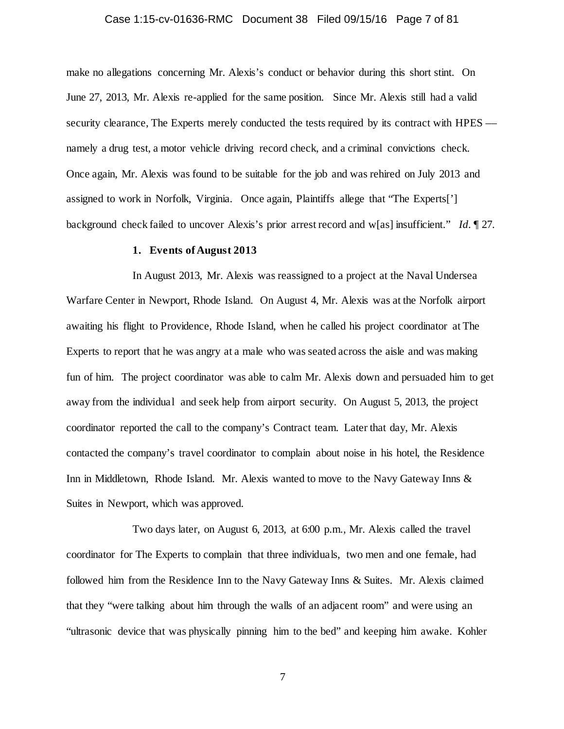### Case 1:15-cv-01636-RMC Document 38 Filed 09/15/16 Page 7 of 81

make no allegations concerning Mr. Alexis's conduct or behavior during this short stint. On June 27, 2013, Mr. Alexis re-applied for the same position. Since Mr. Alexis still had a valid security clearance. The Experts merely conducted the tests required by its contract with HPES –– namely a drug test, a motor vehicle driving record check, and a criminal convictions check. Once again, Mr. Alexis was found to be suitable for the job and was rehired on July 2013 and assigned to work in Norfolk, Virginia. Once again, Plaintiffs allege that "The Experts['] background check failed to uncover Alexis's prior arrest record and w[as] insufficient." *Id.* ¶ 27.

### **1. Events of August 2013**

In August 2013, Mr. Alexis was reassigned to a project at the Naval Undersea Warfare Center in Newport, Rhode Island. On August 4, Mr. Alexis was at the Norfolk airport awaiting his flight to Providence, Rhode Island, when he called his project coordinator at The Experts to report that he was angry at a male who was seated across the aisle and was making fun of him. The project coordinator was able to calm Mr. Alexis down and persuaded him to get away from the individual and seek help from airport security. On August 5, 2013, the project coordinator reported the call to the company's Contract team. Later that day, Mr. Alexis contacted the company's travel coordinator to complain about noise in his hotel, the Residence Inn in Middletown, Rhode Island. Mr. Alexis wanted to move to the Navy Gateway Inns & Suites in Newport, which was approved.

Two days later, on August 6, 2013, at 6:00 p.m., Mr. Alexis called the travel coordinator for The Experts to complain that three individuals, two men and one female, had followed him from the Residence Inn to the Navy Gateway Inns & Suites. Mr. Alexis claimed that they "were talking about him through the walls of an adjacent room" and were using an "ultrasonic device that was physically pinning him to the bed" and keeping him awake. Kohler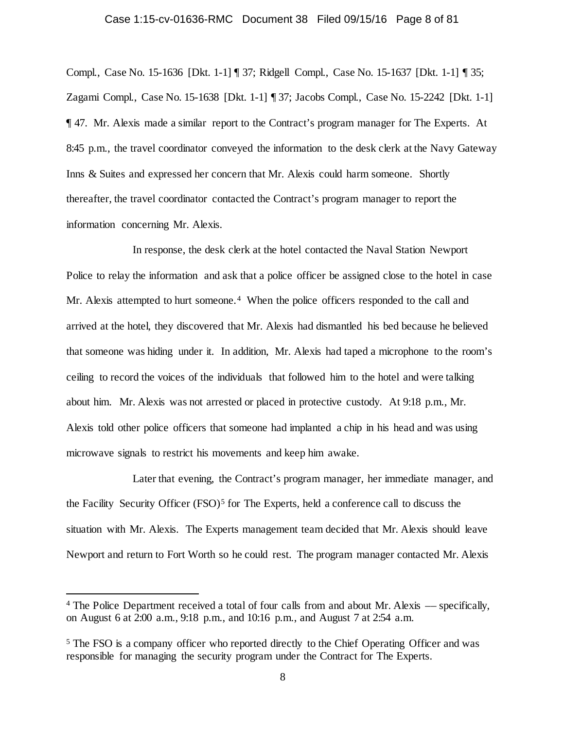### Case 1:15-cv-01636-RMC Document 38 Filed 09/15/16 Page 8 of 81

Compl., Case No. 15-1636 [Dkt. 1-1] ¶ 37; Ridgell Compl., Case No. 15-1637 [Dkt. 1-1] ¶ 35; Zagami Compl., Case No. 15-1638 [Dkt. 1-1] ¶ 37; Jacobs Compl., Case No. 15-2242 [Dkt. 1-1] ¶ 47. Mr. Alexis made a similar report to the Contract's program manager for The Experts. At 8:45 p.m., the travel coordinator conveyed the information to the desk clerk at the Navy Gateway Inns & Suites and expressed her concern that Mr. Alexis could harm someone. Shortly thereafter, the travel coordinator contacted the Contract's program manager to report the information concerning Mr. Alexis.

In response, the desk clerk at the hotel contacted the Naval Station Newport Police to relay the information and ask that a police officer be assigned close to the hotel in case Mr. Alexis attempted to hurt someone.<sup>[4](#page-7-0)</sup> When the police officers responded to the call and arrived at the hotel, they discovered that Mr. Alexis had dismantled his bed because he believed that someone was hiding under it. In addition, Mr. Alexis had taped a microphone to the room's ceiling to record the voices of the individuals that followed him to the hotel and were talking about him. Mr. Alexis was not arrested or placed in protective custody. At 9:18 p.m., Mr. Alexis told other police officers that someone had implanted a chip in his head and was using microwave signals to restrict his movements and keep him awake.

Later that evening, the Contract's program manager, her immediate manager, and the Facility Security Officer  $(FSO)^5$  $(FSO)^5$  for The Experts, held a conference call to discuss the situation with Mr. Alexis. The Experts management team decided that Mr. Alexis should leave Newport and return to Fort Worth so he could rest. The program manager contacted Mr. Alexis

<span id="page-7-0"></span> <sup>4</sup> The Police Department received a total of four calls from and about Mr. Alexis –– specifically, on August 6 at 2:00 a.m., 9:18 p.m., and 10:16 p.m., and August 7 at 2:54 a.m.

<span id="page-7-1"></span><sup>5</sup> The FSO is a company officer who reported directly to the Chief Operating Officer and was responsible for managing the security program under the Contract for The Experts.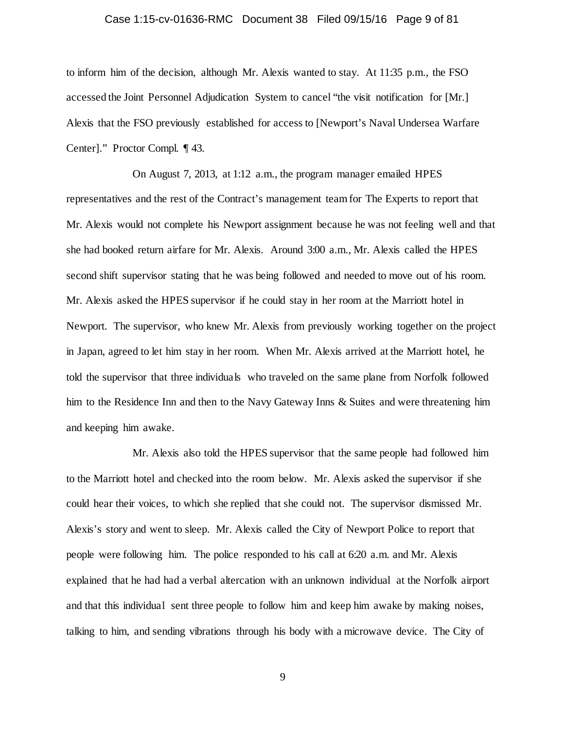### Case 1:15-cv-01636-RMC Document 38 Filed 09/15/16 Page 9 of 81

to inform him of the decision, although Mr. Alexis wanted to stay. At 11:35 p.m., the FSO accessed the Joint Personnel Adjudication System to cancel "the visit notification for [Mr.] Alexis that the FSO previously established for access to [Newport's Naval Undersea Warfare Center]." Proctor Compl. ¶ 43.

On August 7, 2013, at 1:12 a.m., the program manager emailed HPES representatives and the rest of the Contract's management team for The Experts to report that Mr. Alexis would not complete his Newport assignment because he was not feeling well and that she had booked return airfare for Mr. Alexis. Around 3:00 a.m., Mr. Alexis called the HPES second shift supervisor stating that he was being followed and needed to move out of his room. Mr. Alexis asked the HPES supervisor if he could stay in her room at the Marriott hotel in Newport. The supervisor, who knew Mr. Alexis from previously working together on the project in Japan, agreed to let him stay in her room. When Mr. Alexis arrived at the Marriott hotel, he told the supervisor that three individuals who traveled on the same plane from Norfolk followed him to the Residence Inn and then to the Navy Gateway Inns & Suites and were threatening him and keeping him awake.

Mr. Alexis also told the HPES supervisor that the same people had followed him to the Marriott hotel and checked into the room below. Mr. Alexis asked the supervisor if she could hear their voices, to which she replied that she could not. The supervisor dismissed Mr. Alexis's story and went to sleep. Mr. Alexis called the City of Newport Police to report that people were following him. The police responded to his call at 6:20 a.m. and Mr. Alexis explained that he had had a verbal altercation with an unknown individual at the Norfolk airport and that this individual sent three people to follow him and keep him awake by making noises, talking to him, and sending vibrations through his body with a microwave device. The City of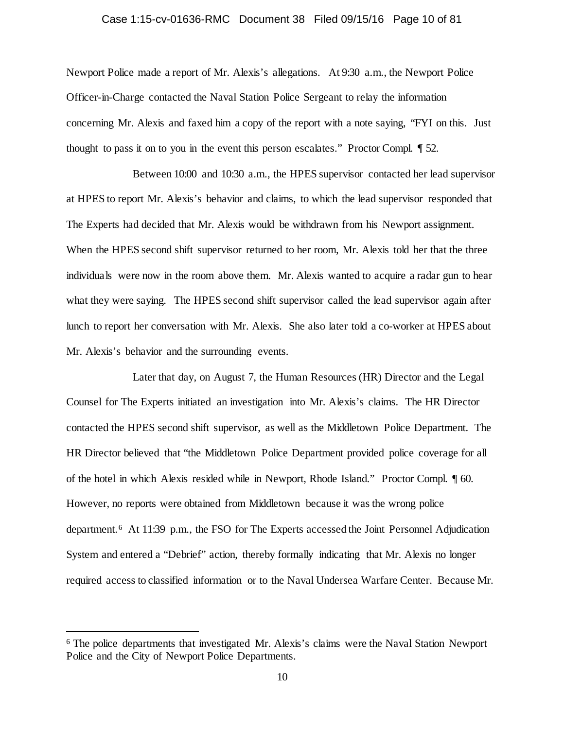### Case 1:15-cv-01636-RMC Document 38 Filed 09/15/16 Page 10 of 81

Newport Police made a report of Mr. Alexis's allegations. At 9:30 a.m., the Newport Police Officer-in-Charge contacted the Naval Station Police Sergeant to relay the information concerning Mr. Alexis and faxed him a copy of the report with a note saying, "FYI on this. Just thought to pass it on to you in the event this person escalates." Proctor Compl. ¶ 52.

Between 10:00 and 10:30 a.m., the HPES supervisor contacted her lead supervisor at HPES to report Mr. Alexis's behavior and claims, to which the lead supervisor responded that The Experts had decided that Mr. Alexis would be withdrawn from his Newport assignment. When the HPES second shift supervisor returned to her room, Mr. Alexis told her that the three individuals were now in the room above them. Mr. Alexis wanted to acquire a radar gun to hear what they were saying. The HPES second shift supervisor called the lead supervisor again after lunch to report her conversation with Mr. Alexis. She also later told a co-worker at HPES about Mr. Alexis's behavior and the surrounding events.

Later that day, on August 7, the Human Resources (HR) Director and the Legal Counsel for The Experts initiated an investigation into Mr. Alexis's claims. The HR Director contacted the HPES second shift supervisor, as well as the Middletown Police Department. The HR Director believed that "the Middletown Police Department provided police coverage for all of the hotel in which Alexis resided while in Newport, Rhode Island." Proctor Compl. ¶ 60. However, no reports were obtained from Middletown because it was the wrong police department.[6](#page-9-0) At 11:39 p.m., the FSO for The Experts accessed the Joint Personnel Adjudication System and entered a "Debrief" action, thereby formally indicating that Mr. Alexis no longer required access to classified information or to the Naval Undersea Warfare Center. Because Mr.

<span id="page-9-0"></span> <sup>6</sup> The police departments that investigated Mr. Alexis's claims were the Naval Station Newport Police and the City of Newport Police Departments.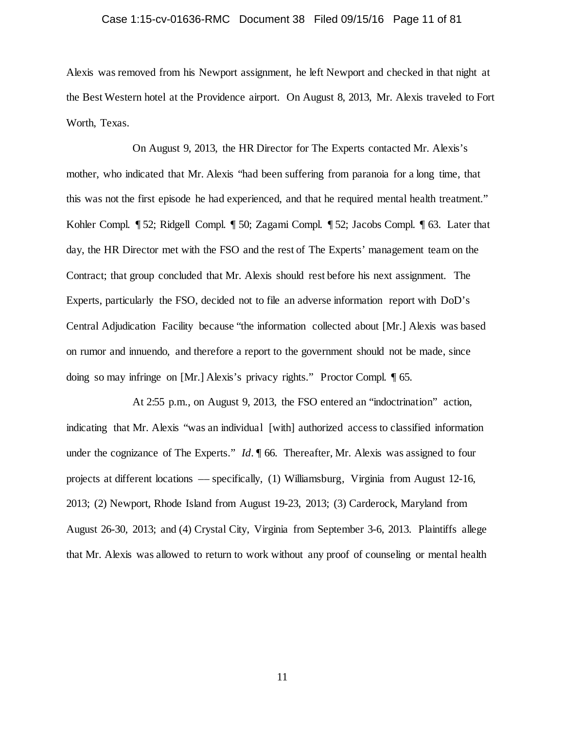### Case 1:15-cv-01636-RMC Document 38 Filed 09/15/16 Page 11 of 81

Alexis was removed from his Newport assignment, he left Newport and checked in that night at the Best Western hotel at the Providence airport. On August 8, 2013, Mr. Alexis traveled to Fort Worth, Texas.

On August 9, 2013, the HR Director for The Experts contacted Mr. Alexis's mother, who indicated that Mr. Alexis "had been suffering from paranoia for a long time, that this was not the first episode he had experienced, and that he required mental health treatment." Kohler Compl. ¶ 52; Ridgell Compl. ¶ 50; Zagami Compl. ¶ 52; Jacobs Compl. ¶ 63. Later that day, the HR Director met with the FSO and the rest of The Experts' management team on the Contract; that group concluded that Mr. Alexis should rest before his next assignment. The Experts, particularly the FSO, decided not to file an adverse information report with DoD's Central Adjudication Facility because "the information collected about [Mr.] Alexis was based on rumor and innuendo, and therefore a report to the government should not be made, since doing so may infringe on [Mr.] Alexis's privacy rights." Proctor Compl. ¶ 65.

At 2:55 p.m., on August 9, 2013, the FSO entered an "indoctrination" action, indicating that Mr. Alexis "was an individual [with] authorized access to classified information under the cognizance of The Experts." *Id.*  $\parallel$  66. Thereafter, Mr. Alexis was assigned to four projects at different locations –– specifically, (1) Williamsburg, Virginia from August 12-16, 2013; (2) Newport, Rhode Island from August 19-23, 2013; (3) Carderock, Maryland from August 26-30, 2013; and (4) Crystal City, Virginia from September 3-6, 2013. Plaintiffs allege that Mr. Alexis was allowed to return to work without any proof of counseling or mental health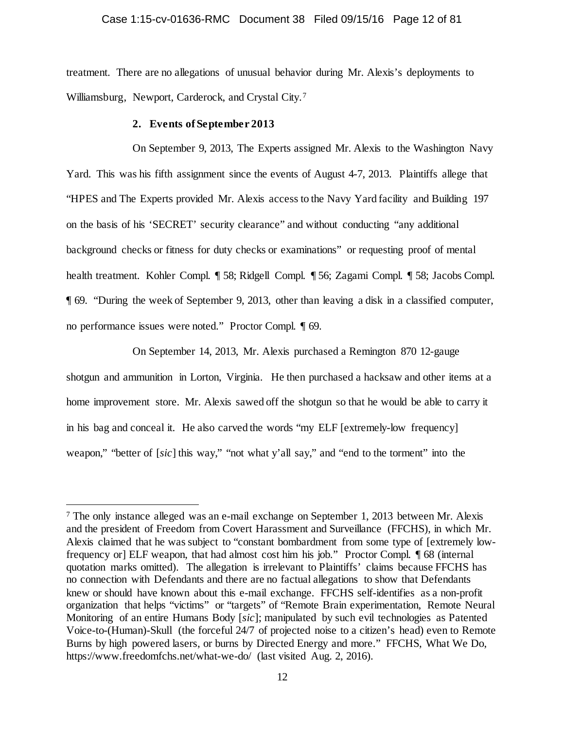### Case 1:15-cv-01636-RMC Document 38 Filed 09/15/16 Page 12 of 81

treatment. There are no allegations of unusual behavior during Mr. Alexis's deployments to Williamsburg, Newport, Carderock, and Crystal City.[7](#page-11-0) 

#### **2. Events of September 2013**

On September 9, 2013, The Experts assigned Mr. Alexis to the Washington Navy Yard. This was his fifth assignment since the events of August 4-7, 2013. Plaintiffs allege that "HPES and The Experts provided Mr. Alexis access to the Navy Yard facility and Building 197 on the basis of his 'SECRET' security clearance" and without conducting "any additional background checks or fitness for duty checks or examinations" or requesting proof of mental health treatment. Kohler Compl. ¶ 58; Ridgell Compl. ¶ 56; Zagami Compl. ¶ 58; Jacobs Compl. ¶ 69. "During the week of September 9, 2013, other than leaving a disk in a classified computer, no performance issues were noted." Proctor Compl. ¶ 69.

On September 14, 2013, Mr. Alexis purchased a Remington 870 12-gauge shotgun and ammunition in Lorton, Virginia. He then purchased a hacksaw and other items at a home improvement store. Mr. Alexis sawed off the shotgun so that he would be able to carry it in his bag and conceal it. He also carved the words "my ELF [extremely-low frequency] weapon," "better of [*sic*] this way," "not what y'all say," and "end to the torment" into the

<span id="page-11-0"></span> <sup>7</sup> The only instance alleged was an e-mail exchange on September 1, 2013 between Mr. Alexis and the president of Freedom from Covert Harassment and Surveillance (FFCHS), in which Mr. Alexis claimed that he was subject to "constant bombardment from some type of [extremely lowfrequency or] ELF weapon, that had almost cost him his job." Proctor Compl. ¶ 68 (internal quotation marks omitted). The allegation is irrelevant to Plaintiffs' claims because FFCHS has no connection with Defendants and there are no factual allegations to show that Defendants knew or should have known about this e-mail exchange. FFCHS self-identifies as a non-profit organization that helps "victims" or "targets" of "Remote Brain experimentation, Remote Neural Monitoring of an entire Humans Body [*sic*]; manipulated by such evil technologies as Patented Voice-to-(Human)-Skull (the forceful 24/7 of projected noise to a citizen's head) even to Remote Burns by high powered lasers, or burns by Directed Energy and more." FFCHS, What We Do, https://www.freedomfchs.net/what-we-do/ (last visited Aug. 2, 2016).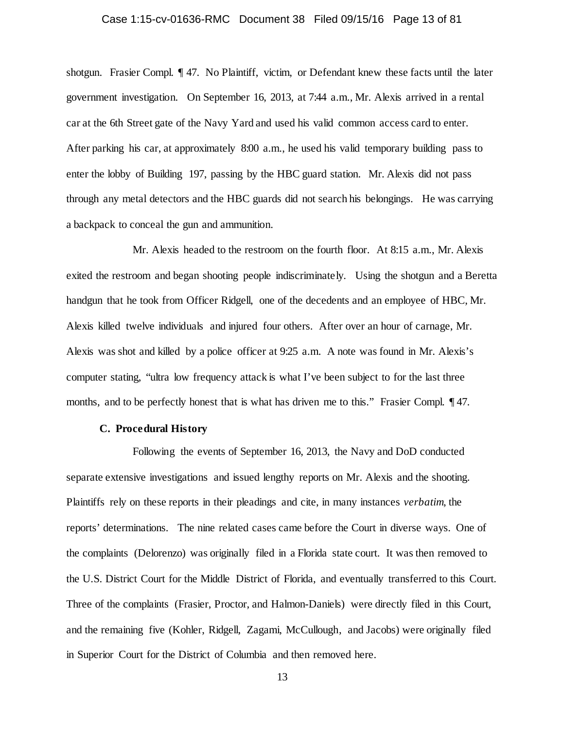### Case 1:15-cv-01636-RMC Document 38 Filed 09/15/16 Page 13 of 81

shotgun. Frasier Compl. ¶ 47. No Plaintiff, victim, or Defendant knew these facts until the later government investigation. On September 16, 2013, at 7:44 a.m., Mr. Alexis arrived in a rental car at the 6th Street gate of the Navy Yard and used his valid common access card to enter. After parking his car, at approximately 8:00 a.m., he used his valid temporary building pass to enter the lobby of Building 197, passing by the HBC guard station. Mr. Alexis did not pass through any metal detectors and the HBC guards did not search his belongings. He was carrying a backpack to conceal the gun and ammunition.

Mr. Alexis headed to the restroom on the fourth floor. At 8:15 a.m., Mr. Alexis exited the restroom and began shooting people indiscriminately. Using the shotgun and a Beretta handgun that he took from Officer Ridgell, one of the decedents and an employee of HBC, Mr. Alexis killed twelve individuals and injured four others. After over an hour of carnage, Mr. Alexis was shot and killed by a police officer at 9:25 a.m. A note was found in Mr. Alexis's computer stating, "ultra low frequency attack is what I've been subject to for the last three months, and to be perfectly honest that is what has driven me to this." Frasier Compl. 147.

### **C. Procedural History**

Following the events of September 16, 2013, the Navy and DoD conducted separate extensive investigations and issued lengthy reports on Mr. Alexis and the shooting. Plaintiffs rely on these reports in their pleadings and cite, in many instances *verbatim*, the reports' determinations. The nine related cases came before the Court in diverse ways. One of the complaints (Delorenzo) was originally filed in a Florida state court. It was then removed to the U.S. District Court for the Middle District of Florida, and eventually transferred to this Court. Three of the complaints (Frasier, Proctor, and Halmon-Daniels) were directly filed in this Court, and the remaining five (Kohler, Ridgell, Zagami, McCullough, and Jacobs) were originally filed in Superior Court for the District of Columbia and then removed here.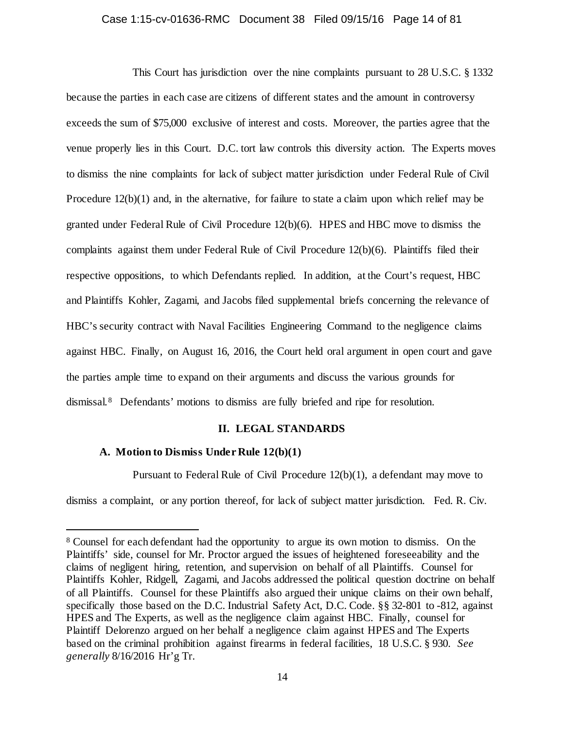# Case 1:15-cv-01636-RMC Document 38 Filed 09/15/16 Page 14 of 81

This Court has jurisdiction over the nine complaints pursuant to 28 U.S.C. § 1332 because the parties in each case are citizens of different states and the amount in controversy exceeds the sum of \$75,000 exclusive of interest and costs. Moreover, the parties agree that the venue properly lies in this Court. D.C. tort law controls this diversity action. The Experts moves to dismiss the nine complaints for lack of subject matter jurisdiction under Federal Rule of Civil Procedure 12(b)(1) and, in the alternative, for failure to state a claim upon which relief may be granted under Federal Rule of Civil Procedure 12(b)(6). HPES and HBC move to dismiss the complaints against them under Federal Rule of Civil Procedure 12(b)(6). Plaintiffs filed their respective oppositions, to which Defendants replied. In addition, at the Court's request, HBC and Plaintiffs Kohler, Zagami, and Jacobs filed supplemental briefs concerning the relevance of HBC's security contract with Naval Facilities Engineering Command to the negligence claims against HBC. Finally, on August 16, 2016, the Court held oral argument in open court and gave the parties ample time to expand on their arguments and discuss the various grounds for dismissal.[8](#page-13-0) Defendants' motions to dismiss are fully briefed and ripe for resolution.

### **II. LEGAL STANDARDS**

### **A. Motion to Dismiss Under Rule 12(b)(1)**

Pursuant to Federal Rule of Civil Procedure 12(b)(1), a defendant may move to

dismiss a complaint, or any portion thereof, for lack of subject matter jurisdiction. Fed. R. Civ.

<span id="page-13-0"></span> <sup>8</sup> Counsel for each defendant had the opportunity to argue its own motion to dismiss. On the Plaintiffs' side, counsel for Mr. Proctor argued the issues of heightened foreseeability and the claims of negligent hiring, retention, and supervision on behalf of all Plaintiffs. Counsel for Plaintiffs Kohler, Ridgell, Zagami, and Jacobs addressed the political question doctrine on behalf of all Plaintiffs. Counsel for these Plaintiffs also argued their unique claims on their own behalf, specifically those based on the D.C. Industrial Safety Act, D.C. Code. §§ 32-801 to -812, against HPES and The Experts, as well as the negligence claim against HBC. Finally, counsel for Plaintiff Delorenzo argued on her behalf a negligence claim against HPES and The Experts based on the criminal prohibition against firearms in federal facilities, 18 U.S.C. § 930. *See generally* 8/16/2016 Hr'g Tr.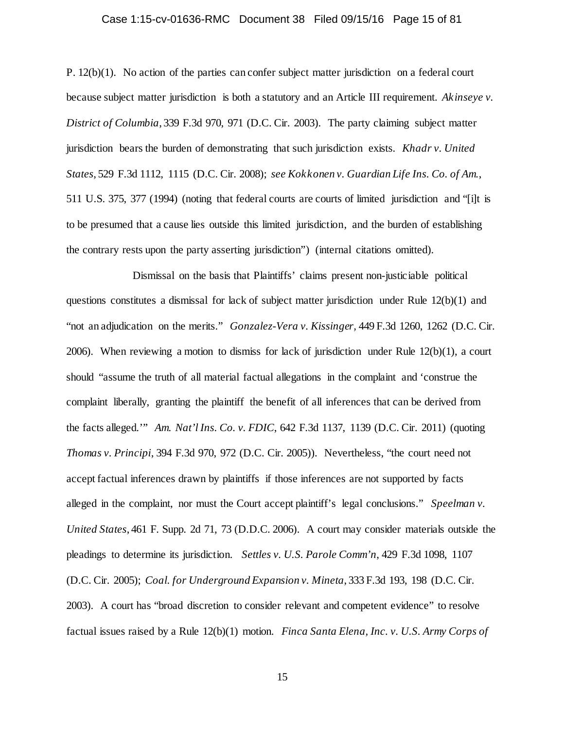### Case 1:15-cv-01636-RMC Document 38 Filed 09/15/16 Page 15 of 81

P. 12(b)(1). No action of the parties can confer subject matter jurisdiction on a federal court because subject matter jurisdiction is both a statutory and an Article III requirement. *Akinseye v. District of Columbia*, 339 F.3d 970, 971 (D.C. Cir. 2003). The party claiming subject matter jurisdiction bears the burden of demonstrating that such jurisdiction exists. *Khadr v. United States*, 529 F.3d 1112, 1115 (D.C. Cir. 2008); *see Kokkonen v. Guardian Life Ins. Co. of Am.*, 511 U.S. 375, 377 (1994) (noting that federal courts are courts of limited jurisdiction and "[i]t is to be presumed that a cause lies outside this limited jurisdiction, and the burden of establishing the contrary rests upon the party asserting jurisdiction") (internal citations omitted).

Dismissal on the basis that Plaintiffs' claims present non-justiciable political questions constitutes a dismissal for lack of subject matter jurisdiction under Rule 12(b)(1) and "not an adjudication on the merits." *Gonzalez-Vera v. Kissinger,* 449 F.3d 1260, 1262 (D.C. Cir. 2006). When reviewing a motion to dismiss for lack of jurisdiction under Rule 12(b)(1), a court should "assume the truth of all material factual allegations in the complaint and 'construe the complaint liberally, granting the plaintiff the benefit of all inferences that can be derived from the facts alleged.'" *Am. Nat'l Ins. Co. v. FDIC*, 642 F.3d 1137, 1139 (D.C. Cir. 2011) (quoting *Thomas v. Principi*, 394 F.3d 970, 972 (D.C. Cir. 2005)). Nevertheless, "the court need not accept factual inferences drawn by plaintiffs if those inferences are not supported by facts alleged in the complaint, nor must the Court accept plaintiff's legal conclusions." *Speelman v. United States*, 461 F. Supp. 2d 71, 73 (D.D.C. 2006). A court may consider materials outside the pleadings to determine its jurisdiction. *Settles v. U.S. Parole Comm'n*, 429 F.3d 1098, 1107 (D.C. Cir. 2005); *Coal. for Underground Expansion v. Mineta*, 333 F.3d 193, 198 (D.C. Cir. 2003). A court has "broad discretion to consider relevant and competent evidence" to resolve factual issues raised by a Rule 12(b)(1) motion. *Finca Santa Elena, Inc. v. U.S. Army Corps of*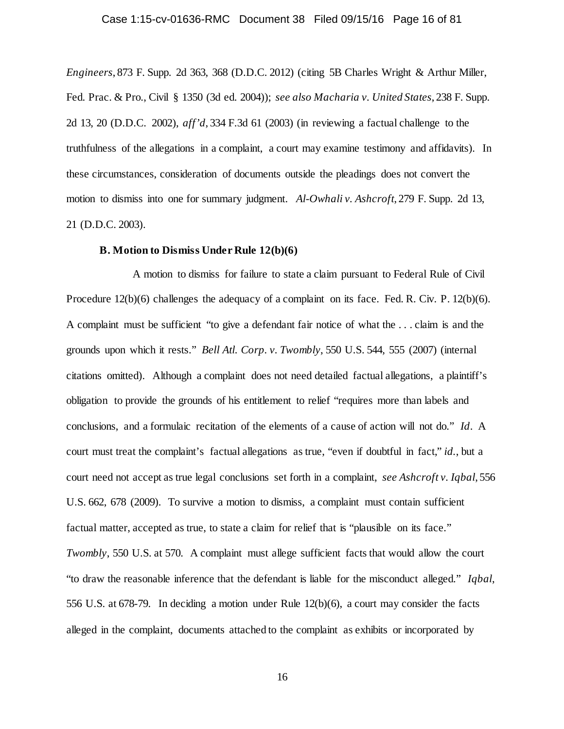### Case 1:15-cv-01636-RMC Document 38 Filed 09/15/16 Page 16 of 81

*Engineers*, 873 F. Supp. 2d 363, 368 (D.D.C. 2012) (citing 5B Charles Wright & Arthur Miller, Fed. Prac. & Pro., Civil § 1350 (3d ed. 2004)); *see also Macharia v. United States*, 238 F. Supp. 2d 13, 20 (D.D.C. 2002), *aff'd*, 334 F.3d 61 (2003) (in reviewing a factual challenge to the truthfulness of the allegations in a complaint, a court may examine testimony and affidavits). In these circumstances, consideration of documents outside the pleadings does not convert the motion to dismiss into one for summary judgment. *Al-Owhali v. Ashcroft*, 279 F. Supp. 2d 13, 21 (D.D.C. 2003).

#### **B. Motion to Dismiss Under Rule 12(b)(6)**

A motion to dismiss for failure to state a claim pursuant to Federal Rule of Civil Procedure 12(b)(6) challenges the adequacy of a complaint on its face. Fed. R. Civ. P. 12(b)(6). A complaint must be sufficient "to give a defendant fair notice of what the . . . claim is and the grounds upon which it rests." *Bell Atl. Corp. v. Twombly*, 550 U.S. 544, 555 (2007) (internal citations omitted). Although a complaint does not need detailed factual allegations, a plaintiff's obligation to provide the grounds of his entitlement to relief "requires more than labels and conclusions, and a formulaic recitation of the elements of a cause of action will not do." *Id*. A court must treat the complaint's factual allegations as true, "even if doubtful in fact," *id.*, but a court need not accept as true legal conclusions set forth in a complaint, *see Ashcroft v. Iqbal*, 556 U.S. 662, 678 (2009). To survive a motion to dismiss, a complaint must contain sufficient factual matter, accepted as true, to state a claim for relief that is "plausible on its face." *Twombly*, 550 U.S. at 570. A complaint must allege sufficient facts that would allow the court "to draw the reasonable inference that the defendant is liable for the misconduct alleged." *Iqbal*, 556 U.S. at 678-79. In deciding a motion under Rule 12(b)(6), a court may consider the facts alleged in the complaint, documents attached to the complaint as exhibits or incorporated by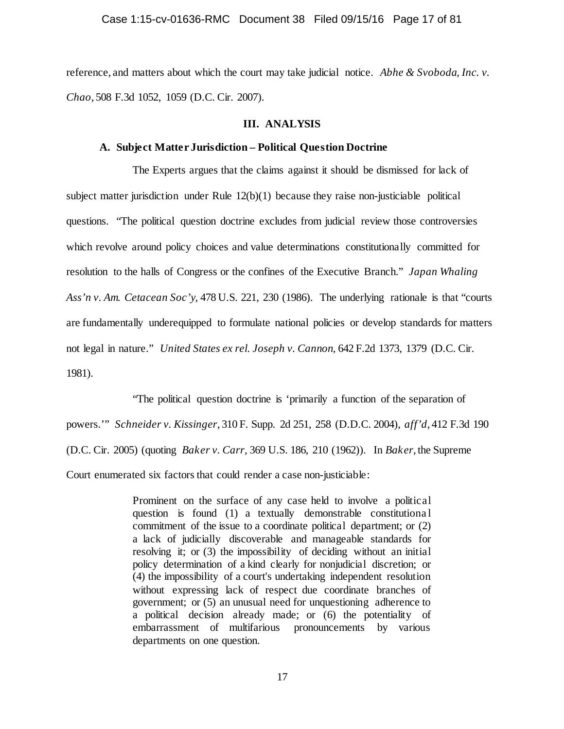reference, and matters about which the court may take judicial notice. *Abhe & Svoboda, Inc. v. Chao*, 508 F.3d 1052, 1059 (D.C. Cir. 2007).

#### **III. ANALYSIS**

### **A. Subject Matter Jurisdiction – Political Question Doctrine**

The Experts argues that the claims against it should be dismissed for lack of subject matter jurisdiction under Rule  $12(b)(1)$  because they raise non-justiciable political questions. "The political question doctrine excludes from judicial review those controversies which revolve around policy choices and value determinations constitutionally committed for resolution to the halls of Congress or the confines of the Executive Branch." *Japan Whaling Ass'n v. Am. Cetacean Soc'y,* 478 U.S. 221, 230 (1986). The underlying rationale is that "courts are fundamentally underequipped to formulate national policies or develop standards for matters not legal in nature." *United States ex rel. Joseph v. Cannon,* 642 F.2d 1373, 1379 (D.C. Cir. 1981).

"The political question doctrine is 'primarily a function of the separation of powers.'" *Schneider v. Kissinger*, 310 F. Supp. 2d 251, 258 (D.D.C. 2004), *aff'd*, 412 F.3d 190 (D.C. Cir. 2005) (quoting *Baker v. Carr,* 369 U.S. 186, 210 (1962)). In *Baker*, the Supreme Court enumerated six factors that could render a case non-justiciable:

> Prominent on the surface of any case held to involve a political question is found (1) a textually demonstrable constitutiona l commitment of the issue to a coordinate political department; or (2) a lack of judicially discoverable and manageable standards for resolving it; or (3) the impossibility of deciding without an initial policy determination of a kind clearly for nonjudicial discretion; or (4) the impossibility of a court's undertaking independent resolution without expressing lack of respect due coordinate branches of government; or (5) an unusual need for unquestioning adherence to a political decision already made; or (6) the potentiality of embarrassment of multifarious pronouncements by various departments on one question.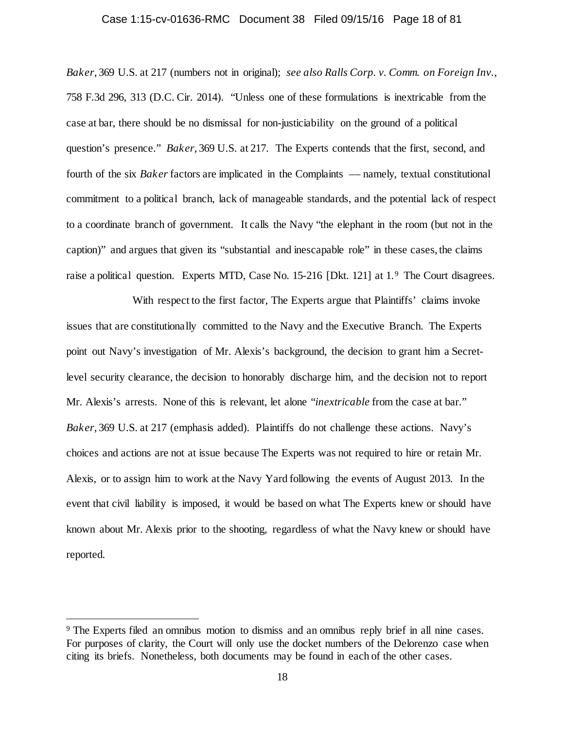# Case 1:15-cv-01636-RMC Document 38 Filed 09/15/16 Page 18 of 81

*Baker*, 369 U.S. at 217 (numbers not in original); *see also Ralls Corp. v. Comm. on Foreign Inv.*, 758 F.3d 296, 313 (D.C. Cir. 2014). "Unless one of these formulations is inextricable from the case at bar, there should be no dismissal for non-justiciability on the ground of a political question's presence." *Baker*, 369 U.S. at 217. The Experts contends that the first, second, and fourth of the six *Baker* factors are implicated in the Complaints –– namely, textual constitutional commitment to a political branch, lack of manageable standards, and the potential lack of respect to a coordinate branch of government. It calls the Navy "the elephant in the room (but not in the caption)" and argues that given its "substantial and inescapable role" in these cases, the claims raise a political question. Experts MTD, Case No. 15-216 [Dkt. 121] at 1.[9](#page-17-0) The Court disagrees.

With respect to the first factor, The Experts argue that Plaintiffs' claims invoke issues that are constitutionally committed to the Navy and the Executive Branch. The Experts point out Navy's investigation of Mr. Alexis's background, the decision to grant him a Secretlevel security clearance, the decision to honorably discharge him, and the decision not to report Mr. Alexis's arrests. None of this is relevant, let alone "*inextricable* from the case at bar." *Baker*, 369 U.S. at 217 (emphasis added). Plaintiffs do not challenge these actions. Navy's choices and actions are not at issue because The Experts was not required to hire or retain Mr. Alexis, or to assign him to work at the Navy Yard following the events of August 2013. In the event that civil liability is imposed, it would be based on what The Experts knew or should have known about Mr. Alexis prior to the shooting, regardless of what the Navy knew or should have reported.

<span id="page-17-0"></span> <sup>9</sup> The Experts filed an omnibus motion to dismiss and an omnibus reply brief in all nine cases. For purposes of clarity, the Court will only use the docket numbers of the Delorenzo case when citing its briefs. Nonetheless, both documents may be found in each of the other cases.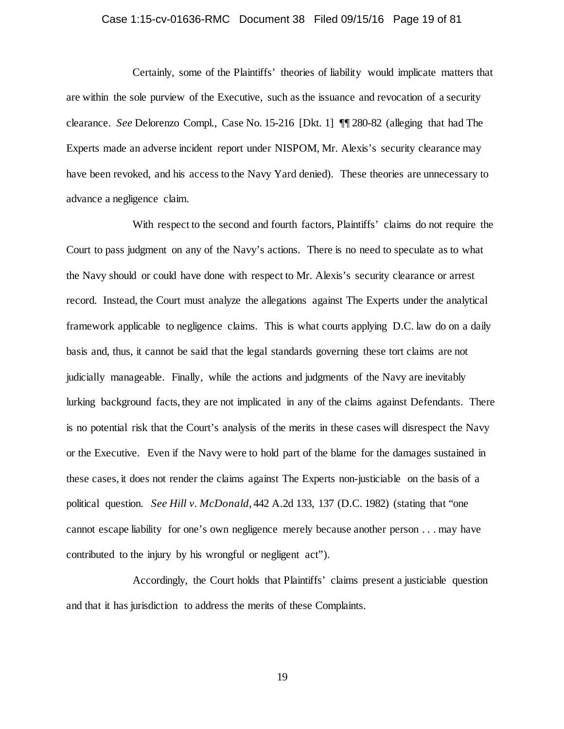### Case 1:15-cv-01636-RMC Document 38 Filed 09/15/16 Page 19 of 81

Certainly, some of the Plaintiffs' theories of liability would implicate matters that are within the sole purview of the Executive, such as the issuance and revocation of a security clearance. *See* Delorenzo Compl., Case No. 15-216 [Dkt. 1] ¶¶ 280-82 (alleging that had The Experts made an adverse incident report under NISPOM, Mr. Alexis's security clearance may have been revoked, and his access to the Navy Yard denied). These theories are unnecessary to advance a negligence claim.

With respect to the second and fourth factors, Plaintiffs' claims do not require the Court to pass judgment on any of the Navy's actions. There is no need to speculate as to what the Navy should or could have done with respect to Mr. Alexis's security clearance or arrest record. Instead, the Court must analyze the allegations against The Experts under the analytical framework applicable to negligence claims. This is what courts applying D.C. law do on a daily basis and, thus, it cannot be said that the legal standards governing these tort claims are not judicially manageable. Finally, while the actions and judgments of the Navy are inevitably lurking background facts, they are not implicated in any of the claims against Defendants. There is no potential risk that the Court's analysis of the merits in these cases will disrespect the Navy or the Executive. Even if the Navy were to hold part of the blame for the damages sustained in these cases, it does not render the claims against The Experts non-justiciable on the basis of a political question. *See Hill v. McDonald*, 442 A.2d 133, 137 (D.C. 1982) (stating that "one cannot escape liability for one's own negligence merely because another person . . . may have contributed to the injury by his wrongful or negligent act").

Accordingly, the Court holds that Plaintiffs' claims present a justiciable question and that it has jurisdiction to address the merits of these Complaints.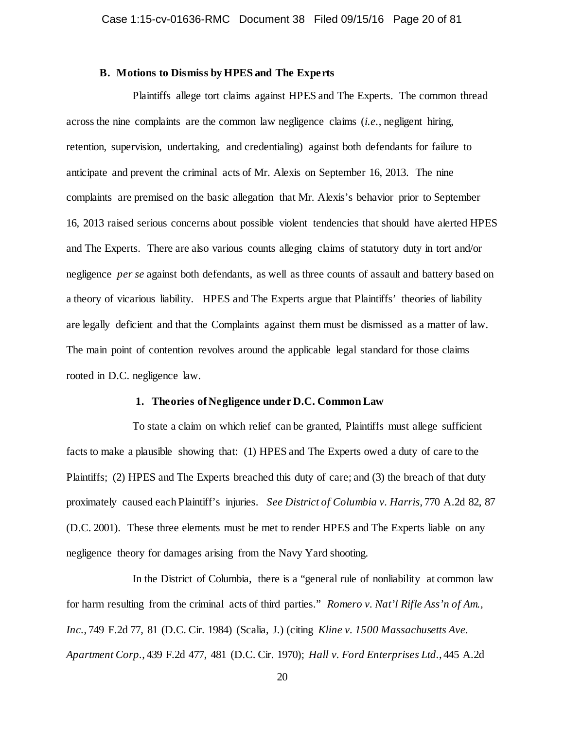### **B. Motions to Dismiss by HPES and The Experts**

Plaintiffs allege tort claims against HPES and The Experts. The common thread across the nine complaints are the common law negligence claims (*i.e.*, negligent hiring, retention, supervision, undertaking, and credentialing) against both defendants for failure to anticipate and prevent the criminal acts of Mr. Alexis on September 16, 2013. The nine complaints are premised on the basic allegation that Mr. Alexis's behavior prior to September 16, 2013 raised serious concerns about possible violent tendencies that should have alerted HPES and The Experts. There are also various counts alleging claims of statutory duty in tort and/or negligence *per se* against both defendants, as well as three counts of assault and battery based on a theory of vicarious liability. HPES and The Experts argue that Plaintiffs' theories of liability are legally deficient and that the Complaints against them must be dismissed as a matter of law. The main point of contention revolves around the applicable legal standard for those claims rooted in D.C. negligence law.

### **1. Theories of Negligence under D.C. Common Law**

To state a claim on which relief can be granted, Plaintiffs must allege sufficient facts to make a plausible showing that: (1) HPES and The Experts owed a duty of care to the Plaintiffs; (2) HPES and The Experts breached this duty of care; and (3) the breach of that duty proximately caused each Plaintiff's injuries. *See District of Columbia v. Harris*, 770 A.2d 82, 87 (D.C. 2001). These three elements must be met to render HPES and The Experts liable on any negligence theory for damages arising from the Navy Yard shooting.

In the District of Columbia, there is a "general rule of nonliability at common law for harm resulting from the criminal acts of third parties." *Romero v. Nat'l Rifle Ass'n of Am., Inc.*, 749 F.2d 77, 81 (D.C. Cir. 1984) (Scalia, J.) (citing *Kline v. 1500 Massachusetts Ave. Apartment Corp.*, 439 F.2d 477, 481 (D.C. Cir. 1970); *Hall v. Ford Enterprises Ltd.*, 445 A.2d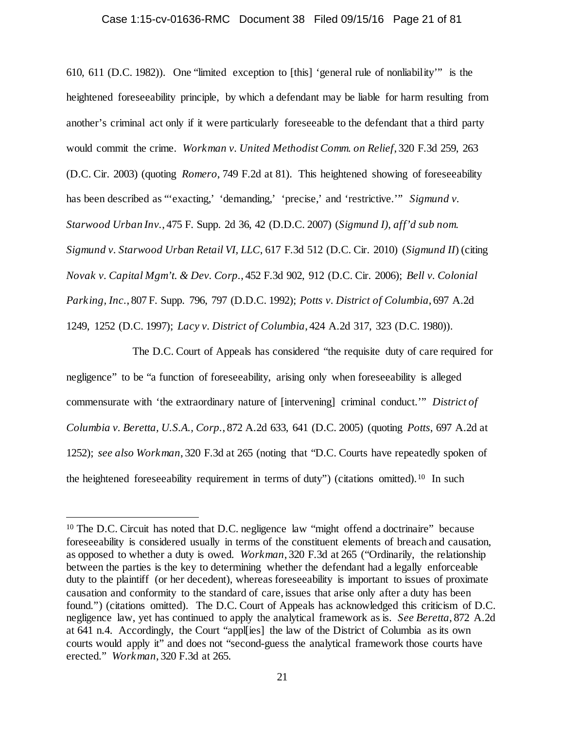### Case 1:15-cv-01636-RMC Document 38 Filed 09/15/16 Page 21 of 81

610, 611 (D.C. 1982)). One "limited exception to [this] 'general rule of nonliability'" is the heightened foreseeability principle, by which a defendant may be liable for harm resulting from another's criminal act only if it were particularly foreseeable to the defendant that a third party would commit the crime. *Workman v. United Methodist Comm. on Relief*, 320 F.3d 259, 263 (D.C. Cir. 2003) (quoting *Romero*, 749 F.2d at 81). This heightened showing of foreseeability has been described as "'exacting,' 'demanding,' 'precise,' and 'restrictive.'" *Sigmund v. Starwood Urban Inv.*, 475 F. Supp. 2d 36, 42 (D.D.C. 2007) (*Sigmund I)*, *aff'd sub nom. Sigmund v. Starwood Urban Retail VI, LLC*, 617 F.3d 512 (D.C. Cir. 2010) (*Sigmund II*) (citing *Novak v. Capital Mgm't. & Dev. Corp.*, 452 F.3d 902, 912 (D.C. Cir. 2006); *Bell v. Colonial Parking, Inc.*, 807 F. Supp. 796, 797 (D.D.C. 1992); *Potts v. District of Columbia*, 697 A.2d 1249, 1252 (D.C. 1997); *Lacy v. District of Columbia*, 424 A.2d 317, 323 (D.C. 1980)).

The D.C. Court of Appeals has considered "the requisite duty of care required for negligence" to be "a function of foreseeability, arising only when foreseeability is alleged commensurate with 'the extraordinary nature of [intervening] criminal conduct.'" *District of Columbia v. Beretta, U.S.A., Corp.*, 872 A.2d 633, 641 (D.C. 2005) (quoting *Potts*, 697 A.2d at 1252); *see also Workman*, 320 F.3d at 265 (noting that "D.C. Courts have repeatedly spoken of the heightened foreseeability requirement in terms of duty") (citations omitted).[10](#page-20-0) In such

<span id="page-20-0"></span><sup>&</sup>lt;sup>10</sup> The D.C. Circuit has noted that D.C. negligence law "might offend a doctrinaire" because foreseeability is considered usually in terms of the constituent elements of breach and causation, as opposed to whether a duty is owed. *Workman*, 320 F.3d at 265 ("Ordinarily, the relationship between the parties is the key to determining whether the defendant had a legally enforceable duty to the plaintiff (or her decedent), whereas foreseeability is important to issues of proximate causation and conformity to the standard of care, issues that arise only after a duty has been found.") (citations omitted). The D.C. Court of Appeals has acknowledged this criticism of D.C. negligence law, yet has continued to apply the analytical framework as is. *See Beretta*, 872 A.2d at 641 n.4. Accordingly, the Court "appl[ies] the law of the District of Columbia as its own courts would apply it" and does not "second-guess the analytical framework those courts have erected." *Workman*, 320 F.3d at 265.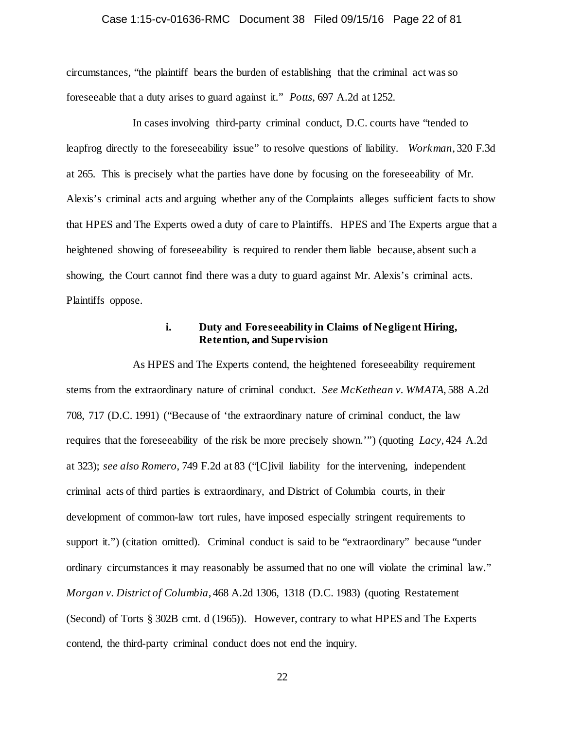### Case 1:15-cv-01636-RMC Document 38 Filed 09/15/16 Page 22 of 81

circumstances, "the plaintiff bears the burden of establishing that the criminal act was so foreseeable that a duty arises to guard against it." *Potts*, 697 A.2d at 1252.

In cases involving third-party criminal conduct, D.C. courts have "tended to leapfrog directly to the foreseeability issue" to resolve questions of liability. *Workman*, 320 F.3d at 265. This is precisely what the parties have done by focusing on the foreseeability of Mr. Alexis's criminal acts and arguing whether any of the Complaints alleges sufficient facts to show that HPES and The Experts owed a duty of care to Plaintiffs. HPES and The Experts argue that a heightened showing of foreseeability is required to render them liable because, absent such a showing, the Court cannot find there was a duty to guard against Mr. Alexis's criminal acts. Plaintiffs oppose.

### **i. Duty and Foreseeability in Claims of Negligent Hiring, Retention, and Supervision**

As HPES and The Experts contend, the heightened foreseeability requirement stems from the extraordinary nature of criminal conduct. *See McKethean v. WMATA*, 588 A.2d 708, 717 (D.C. 1991) ("Because of 'the extraordinary nature of criminal conduct, the law requires that the foreseeability of the risk be more precisely shown.'") (quoting *Lacy*, 424 A.2d at 323); *see also Romero*, 749 F.2d at 83 ("[C]ivil liability for the intervening, independent criminal acts of third parties is extraordinary, and District of Columbia courts, in their development of common-law tort rules, have imposed especially stringent requirements to support it.") (citation omitted). Criminal conduct is said to be "extraordinary" because "under ordinary circumstances it may reasonably be assumed that no one will violate the criminal law." *Morgan v. District of Columbia*, 468 A.2d 1306, 1318 (D.C. 1983) (quoting Restatement (Second) of Torts § 302B cmt. d (1965)). However, contrary to what HPES and The Experts contend, the third-party criminal conduct does not end the inquiry.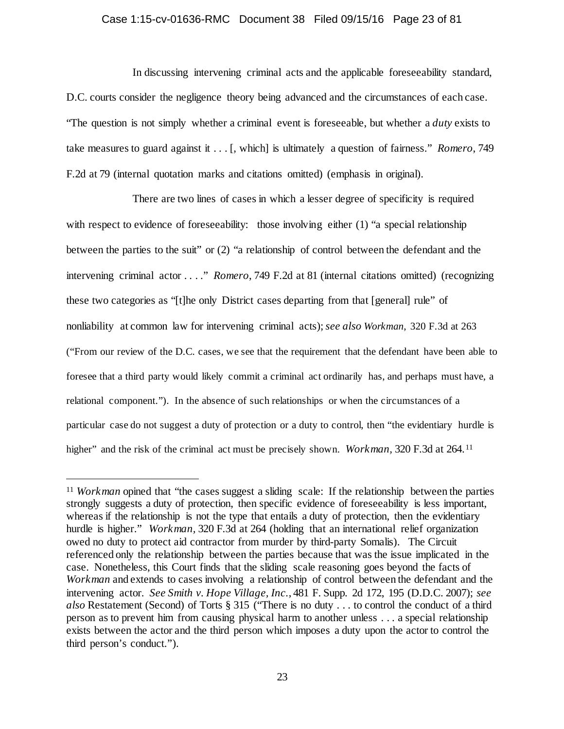# Case 1:15-cv-01636-RMC Document 38 Filed 09/15/16 Page 23 of 81

In discussing intervening criminal acts and the applicable foreseeability standard, D.C. courts consider the negligence theory being advanced and the circumstances of each case. "The question is not simply whether a criminal event is foreseeable, but whether a *duty* exists to take measures to guard against it . . . [, which] is ultimately a question of fairness." *Romero*, 749 F.2d at 79 (internal quotation marks and citations omitted) (emphasis in original).

There are two lines of cases in which a lesser degree of specificity is required with respect to evidence of foreseeability: those involving either (1) "a special relationship between the parties to the suit" or (2) "a relationship of control between the defendant and the intervening criminal actor . . . ." *Romero*, 749 F.2d at 81 (internal citations omitted) (recognizing these two categories as "[t]he only District cases departing from that [general] rule" of nonliability at common law for intervening criminal acts); *see also Workman*, 320 F.3d at 263 ("From our review of the D.C. cases, we see that the requirement that the defendant have been able to foresee that a third party would likely commit a criminal act ordinarily has, and perhaps must have, a relational component."). In the absence of such relationships or when the circumstances of a particular case do not suggest a duty of protection or a duty to control, then "the evidentiary hurdle is higher" and the risk of the criminal act must be precisely shown. *Workman*, 320 F.3d at 264.<sup>[11](#page-22-0)</sup>

<span id="page-22-0"></span><sup>&</sup>lt;sup>11</sup> *Workman* opined that "the cases suggest a sliding scale: If the relationship between the parties strongly suggests a duty of protection, then specific evidence of foreseeability is less important, whereas if the relationship is not the type that entails a duty of protection, then the evidentiary hurdle is higher." *Workman,* 320 F.3d at 264 (holding that an international relief organization owed no duty to protect aid contractor from murder by third-party Somalis). The Circuit referenced only the relationship between the parties because that was the issue implicated in the case. Nonetheless, this Court finds that the sliding scale reasoning goes beyond the facts of *Workman* and extends to cases involving a relationship of control between the defendant and the intervening actor. *See Smith v. Hope Village, Inc.*, 481 F. Supp. 2d 172, 195 (D.D.C. 2007); *see also* Restatement (Second) of Torts § 315 ("There is no duty . . . to control the conduct of a third person as to prevent him from causing physical harm to another unless . . . a special relationship exists between the actor and the third person which imposes a duty upon the actor to control the third person's conduct.").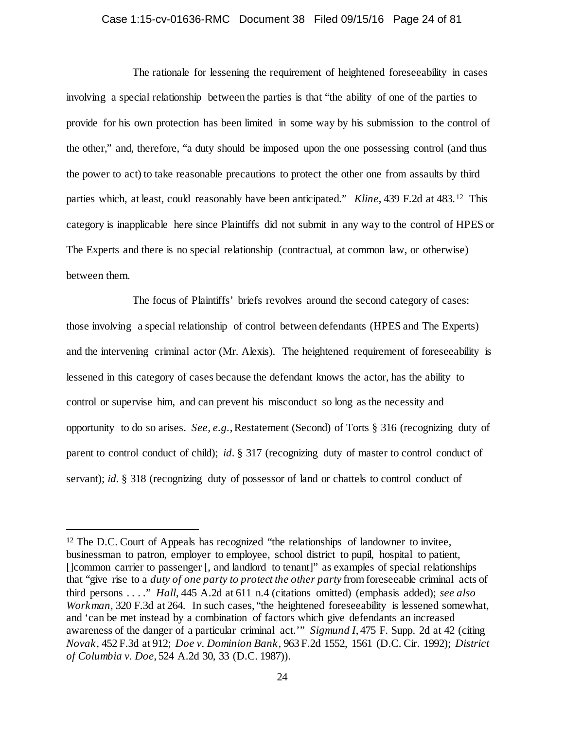# Case 1:15-cv-01636-RMC Document 38 Filed 09/15/16 Page 24 of 81

The rationale for lessening the requirement of heightened foreseeability in cases involving a special relationship between the parties is that "the ability of one of the parties to provide for his own protection has been limited in some way by his submission to the control of the other," and, therefore, "a duty should be imposed upon the one possessing control (and thus the power to act) to take reasonable precautions to protect the other one from assaults by third parties which, at least, could reasonably have been anticipated." *Kline*, 439 F.2d at 483.[12](#page-23-0) This category is inapplicable here since Plaintiffs did not submit in any way to the control of HPES or The Experts and there is no special relationship (contractual, at common law, or otherwise) between them.

The focus of Plaintiffs' briefs revolves around the second category of cases: those involving a special relationship of control between defendants (HPES and The Experts) and the intervening criminal actor (Mr. Alexis). The heightened requirement of foreseeability is lessened in this category of cases because the defendant knows the actor, has the ability to control or supervise him, and can prevent his misconduct so long as the necessity and opportunity to do so arises. *See, e.g.*, Restatement (Second) of Torts § 316 (recognizing duty of parent to control conduct of child); *id.* § 317 (recognizing duty of master to control conduct of servant); *id.* § 318 (recognizing duty of possessor of land or chattels to control conduct of

<span id="page-23-0"></span><sup>&</sup>lt;sup>12</sup> The D.C. Court of Appeals has recognized "the relationships of landowner to invitee, businessman to patron, employer to employee, school district to pupil, hospital to patient, []common carrier to passenger [, and landlord to tenant]" as examples of special relationships that "give rise to a *duty of one party to protect the other party* from foreseeable criminal acts of third persons . . . ." *Hall*, 445 A.2d at 611 n.4 (citations omitted) (emphasis added); *see also Workman,* 320 F.3d at 264. In such cases, "the heightened foreseeability is lessened somewhat, and 'can be met instead by a combination of factors which give defendants an increased awareness of the danger of a particular criminal act.'" *Sigmund I*, 475 F. Supp. 2d at 42 (citing *Novak,* 452 F.3d at 912; *Doe v. Dominion Bank,* 963 F.2d 1552, 1561 (D.C. Cir. 1992); *District of Columbia v. Doe*, 524 A.2d 30, 33 (D.C. 1987)).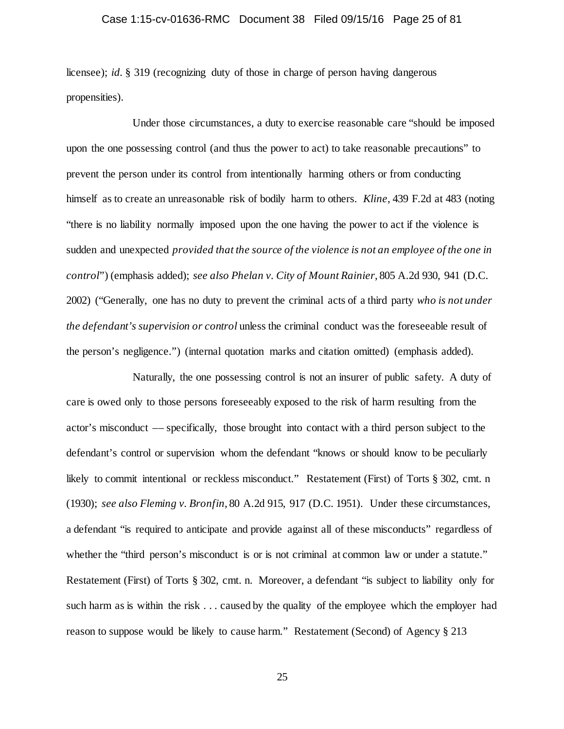### Case 1:15-cv-01636-RMC Document 38 Filed 09/15/16 Page 25 of 81

licensee); *id.* § 319 (recognizing duty of those in charge of person having dangerous propensities).

Under those circumstances, a duty to exercise reasonable care "should be imposed upon the one possessing control (and thus the power to act) to take reasonable precautions" to prevent the person under its control from intentionally harming others or from conducting himself as to create an unreasonable risk of bodily harm to others. *Kline*, 439 F.2d at 483 (noting "there is no liability normally imposed upon the one having the power to act if the violence is sudden and unexpected *provided that the source of the violence is not an employee of the one in control*") (emphasis added); *see also Phelan v. City of Mount Rainier*, 805 A.2d 930, 941 (D.C. 2002) ("Generally, one has no duty to prevent the criminal acts of a third party *who is not under the defendant's supervision or control* unless the criminal conduct was the foreseeable result of the person's negligence.") (internal quotation marks and citation omitted) (emphasis added).

Naturally, the one possessing control is not an insurer of public safety. A duty of care is owed only to those persons foreseeably exposed to the risk of harm resulting from the actor's misconduct –– specifically, those brought into contact with a third person subject to the defendant's control or supervision whom the defendant "knows or should know to be peculiarly likely to commit intentional or reckless misconduct." Restatement (First) of Torts § 302, cmt. n (1930); *see also Fleming v. Bronfin*, 80 A.2d 915, 917 (D.C. 1951). Under these circumstances, a defendant "is required to anticipate and provide against all of these misconducts" regardless of whether the "third person's misconduct is or is not criminal at common law or under a statute." Restatement (First) of Torts § 302, cmt. n. Moreover, a defendant "is subject to liability only for such harm as is within the risk . . . caused by the quality of the employee which the employer had reason to suppose would be likely to cause harm." Restatement (Second) of Agency § 213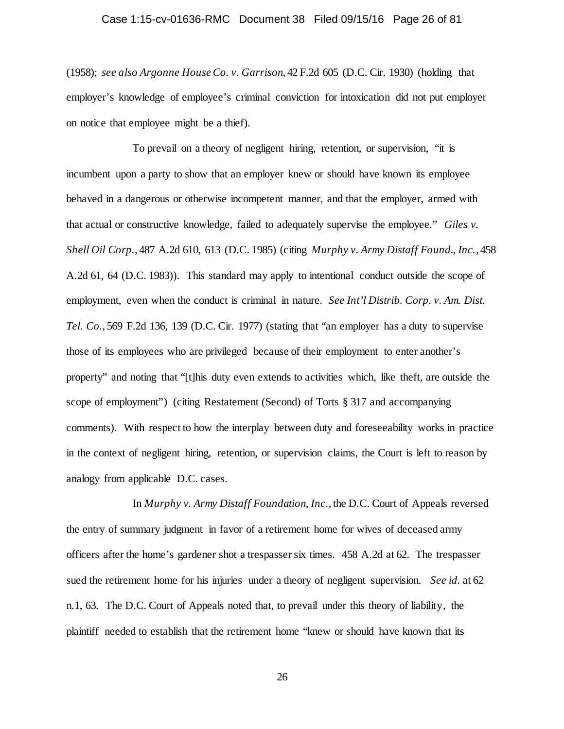### Case 1:15-cv-01636-RMC Document 38 Filed 09/15/16 Page 26 of 81

(1958); *see also Argonne House Co. v. Garrison*, 42 F.2d 605 (D.C. Cir. 1930) (holding that employer's knowledge of employee's criminal conviction for intoxication did not put employer on notice that employee might be a thief).

To prevail on a theory of negligent hiring, retention, or supervision, "it is incumbent upon a party to show that an employer knew or should have known its employee behaved in a dangerous or otherwise incompetent manner, and that the employer, armed with that actual or constructive knowledge, failed to adequately supervise the employee." *Giles v. Shell Oil Corp.*, 487 A.2d 610, 613 (D.C. 1985) (citing *Murphy v. Army Distaff Found., Inc.*, 458 A.2d 61, 64 (D.C. 1983)). This standard may apply to intentional conduct outside the scope of employment, even when the conduct is criminal in nature. *See Int'l Distrib. Corp. v. Am. Dist. Tel. Co.*, 569 F.2d 136, 139 (D.C. Cir. 1977) (stating that "an employer has a duty to supervise those of its employees who are privileged because of their employment to enter another's property" and noting that "[t]his duty even extends to activities which, like theft, are outside the scope of employment") (citing Restatement (Second) of Torts § 317 and accompanying comments). With respect to how the interplay between duty and foreseeability works in practice in the context of negligent hiring, retention, or supervision claims, the Court is left to reason by analogy from applicable D.C. cases.

In *Murphy v. Army Distaff Foundation, Inc.*, the D.C. Court of Appeals reversed the entry of summary judgment in favor of a retirement home for wives of deceased army officers after the home's gardener shot a trespasser six times. 458 A.2d at 62. The trespasser sued the retirement home for his injuries under a theory of negligent supervision. *See id.* at 62 n.1, 63. The D.C. Court of Appeals noted that, to prevail under this theory of liability, the plaintiff needed to establish that the retirement home "knew or should have known that its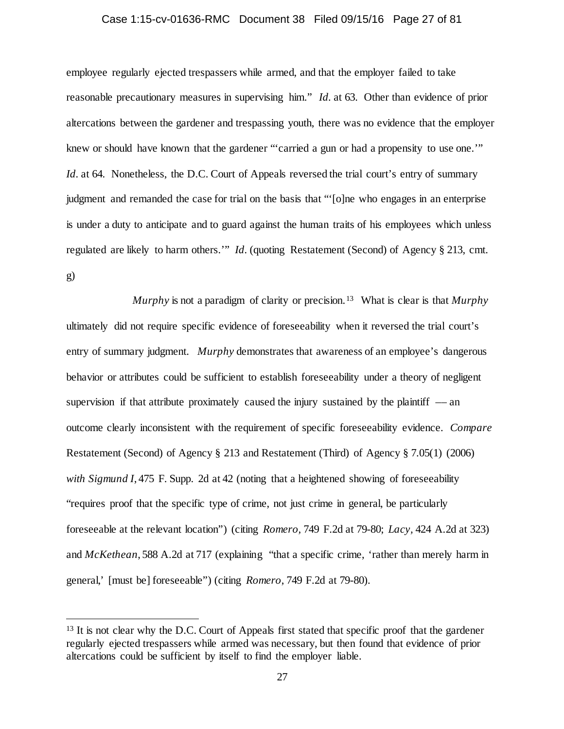### Case 1:15-cv-01636-RMC Document 38 Filed 09/15/16 Page 27 of 81

employee regularly ejected trespassers while armed, and that the employer failed to take reasonable precautionary measures in supervising him." *Id.* at 63. Other than evidence of prior altercations between the gardener and trespassing youth, there was no evidence that the employer knew or should have known that the gardener "'carried a gun or had a propensity to use one.'" *Id.* at 64. Nonetheless, the D.C. Court of Appeals reversed the trial court's entry of summary judgment and remanded the case for trial on the basis that "'[o]ne who engages in an enterprise is under a duty to anticipate and to guard against the human traits of his employees which unless regulated are likely to harm others.'" *Id.* (quoting Restatement (Second) of Agency § 213, cmt. g)

*Murphy* is not a paradigm of clarity or precision.[13](#page-26-0) What is clear is that *Murphy* ultimately did not require specific evidence of foreseeability when it reversed the trial court's entry of summary judgment. *Murphy* demonstrates that awareness of an employee's dangerous behavior or attributes could be sufficient to establish foreseeability under a theory of negligent supervision if that attribute proximately caused the injury sustained by the plaintiff  $-$  an outcome clearly inconsistent with the requirement of specific foreseeability evidence. *Compare*  Restatement (Second) of Agency § 213 and Restatement (Third) of Agency § 7.05(1) (2006) *with Sigmund I*, 475 F. Supp. 2d at 42 (noting that a heightened showing of foreseeability "requires proof that the specific type of crime, not just crime in general, be particularly foreseeable at the relevant location") (citing *Romero,* 749 F.2d at 79-80; *Lacy,* 424 A.2d at 323) and *McKethean*, 588 A.2d at 717 (explaining "that a specific crime, 'rather than merely harm in general,' [must be] foreseeable") (citing *Romero*, 749 F.2d at 79-80).

<span id="page-26-0"></span><sup>&</sup>lt;sup>13</sup> It is not clear why the D.C. Court of Appeals first stated that specific proof that the gardener regularly ejected trespassers while armed was necessary, but then found that evidence of prior altercations could be sufficient by itself to find the employer liable.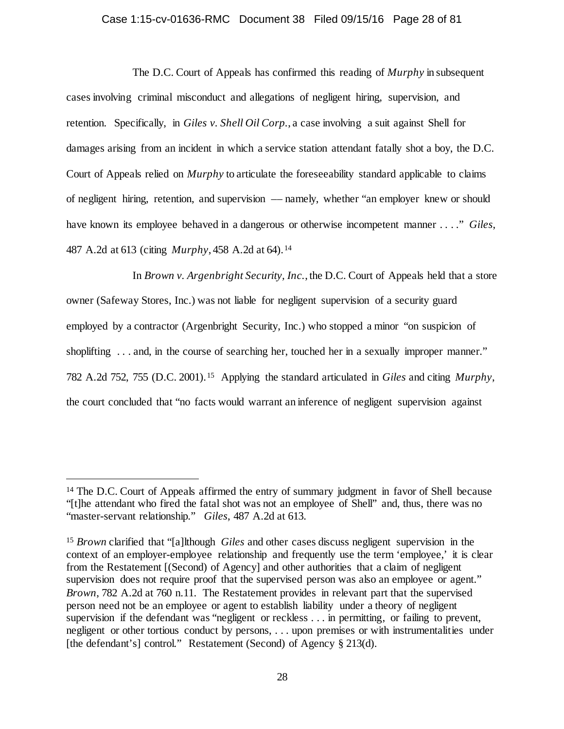### Case 1:15-cv-01636-RMC Document 38 Filed 09/15/16 Page 28 of 81

The D.C. Court of Appeals has confirmed this reading of *Murphy* in subsequent cases involving criminal misconduct and allegations of negligent hiring, supervision, and retention. Specifically, in *Giles v. Shell Oil Corp.*, a case involving a suit against Shell for damages arising from an incident in which a service station attendant fatally shot a boy, the D.C. Court of Appeals relied on *Murphy* to articulate the foreseeability standard applicable to claims of negligent hiring, retention, and supervision –– namely, whether "an employer knew or should have known its employee behaved in a dangerous or otherwise incompetent manner . . . ." *Giles*, 487 A.2d at 613 (citing *Murphy*, 458 A.2d at 64).[14](#page-27-0) 

In *Brown v. Argenbright Security, Inc.*, the D.C. Court of Appeals held that a store owner (Safeway Stores, Inc.) was not liable for negligent supervision of a security guard employed by a contractor (Argenbright Security, Inc.) who stopped a minor "on suspicion of shoplifting ... and, in the course of searching her, touched her in a sexually improper manner." 782 A.2d 752, 755 (D.C. 2001).[15](#page-27-1) Applying the standard articulated in *Giles* and citing *Murphy*, the court concluded that "no facts would warrant an inference of negligent supervision against

<span id="page-27-0"></span><sup>&</sup>lt;sup>14</sup> The D.C. Court of Appeals affirmed the entry of summary judgment in favor of Shell because "[t]he attendant who fired the fatal shot was not an employee of Shell" and, thus, there was no "master-servant relationship." *Giles*, 487 A.2d at 613.

<span id="page-27-1"></span><sup>15</sup> *Brown* clarified that "[a]lthough *Giles* and other cases discuss negligent supervision in the context of an employer-employee relationship and frequently use the term 'employee,' it is clear from the Restatement [(Second) of Agency] and other authorities that a claim of negligent supervision does not require proof that the supervised person was also an employee or agent." *Brown*, 782 A.2d at 760 n.11. The Restatement provides in relevant part that the supervised person need not be an employee or agent to establish liability under a theory of negligent supervision if the defendant was "negligent or reckless . . . in permitting, or failing to prevent, negligent or other tortious conduct by persons, . . . upon premises or with instrumentalities under [the defendant's] control." Restatement (Second) of Agency § 213(d).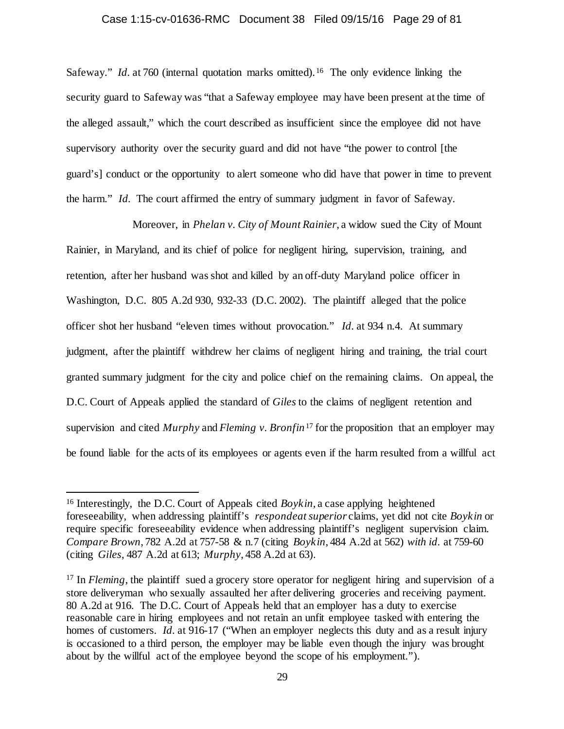### Case 1:15-cv-01636-RMC Document 38 Filed 09/15/16 Page 29 of 81

Safeway." *Id.* at 760 (internal quotation marks omitted).<sup>[16](#page-28-0)</sup> The only evidence linking the security guard to Safeway was "that a Safeway employee may have been present at the time of the alleged assault," which the court described as insufficient since the employee did not have supervisory authority over the security guard and did not have "the power to control [the guard's] conduct or the opportunity to alert someone who did have that power in time to prevent the harm." *Id.* The court affirmed the entry of summary judgment in favor of Safeway.

Moreover, in *Phelan v. City of Mount Rainier*, a widow sued the City of Mount Rainier, in Maryland, and its chief of police for negligent hiring, supervision, training, and retention, after her husband was shot and killed by an off-duty Maryland police officer in Washington, D.C. 805 A.2d 930, 932-33 (D.C. 2002). The plaintiff alleged that the police officer shot her husband "eleven times without provocation." *Id.* at 934 n.4. At summary judgment, after the plaintiff withdrew her claims of negligent hiring and training, the trial court granted summary judgment for the city and police chief on the remaining claims. On appeal, the D.C. Court of Appeals applied the standard of *Giles* to the claims of negligent retention and supervision and cited *Murphy* and *Fleming v. Bronfin*[17](#page-28-1) for the proposition that an employer may be found liable for the acts of its employees or agents even if the harm resulted from a willful act

<span id="page-28-0"></span><sup>&</sup>lt;sup>16</sup> Interestingly, the D.C. Court of Appeals cited *Boykin*, a case applying heightened foreseeability, when addressing plaintiff's *respondeat superior* claims, yet did not cite *Boykin* or require specific foreseeability evidence when addressing plaintiff's negligent supervision claim. *Compare Brown*, 782 A.2d at 757-58 & n.7 (citing *Boykin*, 484 A.2d at 562) *with id.* at 759-60 (citing *Giles*, 487 A.2d at 613; *Murphy*, 458 A.2d at 63).

<span id="page-28-1"></span><sup>&</sup>lt;sup>17</sup> In *Fleming*, the plaintiff sued a grocery store operator for negligent hiring and supervision of a store deliveryman who sexually assaulted her after delivering groceries and receiving payment. 80 A.2d at 916. The D.C. Court of Appeals held that an employer has a duty to exercise reasonable care in hiring employees and not retain an unfit employee tasked with entering the homes of customers. *Id.* at 916-17 ("When an employer neglects this duty and as a result injury is occasioned to a third person, the employer may be liable even though the injury was brought about by the willful act of the employee beyond the scope of his employment.").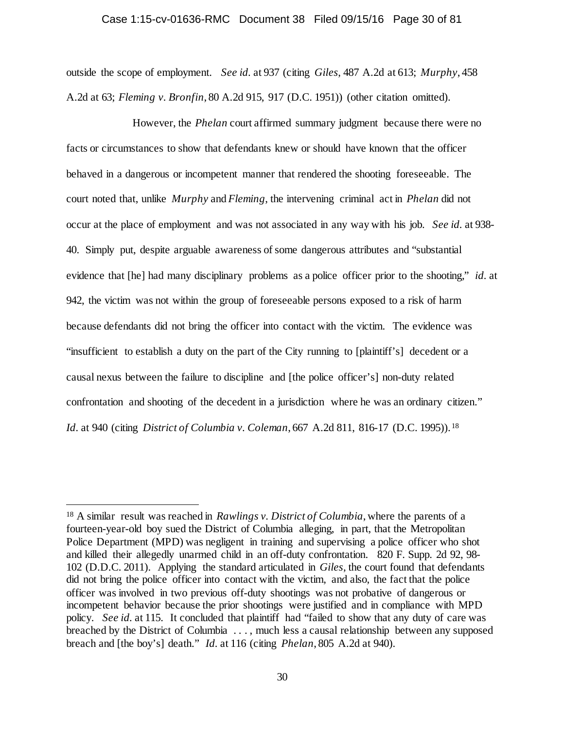# Case 1:15-cv-01636-RMC Document 38 Filed 09/15/16 Page 30 of 81

outside the scope of employment. *See id.* at 937 (citing *Giles*, 487 A.2d at 613; *Murphy*, 458 A.2d at 63; *Fleming v. Bronfin*, 80 A.2d 915, 917 (D.C. 1951)) (other citation omitted).

However, the *Phelan* court affirmed summary judgment because there were no facts or circumstances to show that defendants knew or should have known that the officer behaved in a dangerous or incompetent manner that rendered the shooting foreseeable. The court noted that, unlike *Murphy* and *Fleming*, the intervening criminal act in *Phelan* did not occur at the place of employment and was not associated in any way with his job. *See id.* at 938- 40. Simply put, despite arguable awareness of some dangerous attributes and "substantial evidence that [he] had many disciplinary problems as a police officer prior to the shooting," *id.* at 942, the victim was not within the group of foreseeable persons exposed to a risk of harm because defendants did not bring the officer into contact with the victim. The evidence was "insufficient to establish a duty on the part of the City running to [plaintiff's] decedent or a causal nexus between the failure to discipline and [the police officer's] non-duty related confrontation and shooting of the decedent in a jurisdiction where he was an ordinary citizen." *Id.* at 940 (citing *District of Columbia v. Coleman*, 667 A.2d 811, 816-17 (D.C. 1995)). [18](#page-29-0)

<span id="page-29-0"></span> <sup>18</sup> A similar result was reached in *Rawlings v. District of Columbia*, where the parents of a fourteen-year-old boy sued the District of Columbia alleging, in part, that the Metropolitan Police Department (MPD) was negligent in training and supervising a police officer who shot and killed their allegedly unarmed child in an off-duty confrontation. 820 F. Supp. 2d 92, 98- 102 (D.D.C. 2011). Applying the standard articulated in *Giles*, the court found that defendants did not bring the police officer into contact with the victim, and also, the fact that the police officer was involved in two previous off-duty shootings was not probative of dangerous or incompetent behavior because the prior shootings were justified and in compliance with MPD policy. *See id.* at 115. It concluded that plaintiff had "failed to show that any duty of care was breached by the District of Columbia . . . , much less a causal relationship between any supposed breach and [the boy's] death." *Id.* at 116 (citing *Phelan*, 805 A.2d at 940).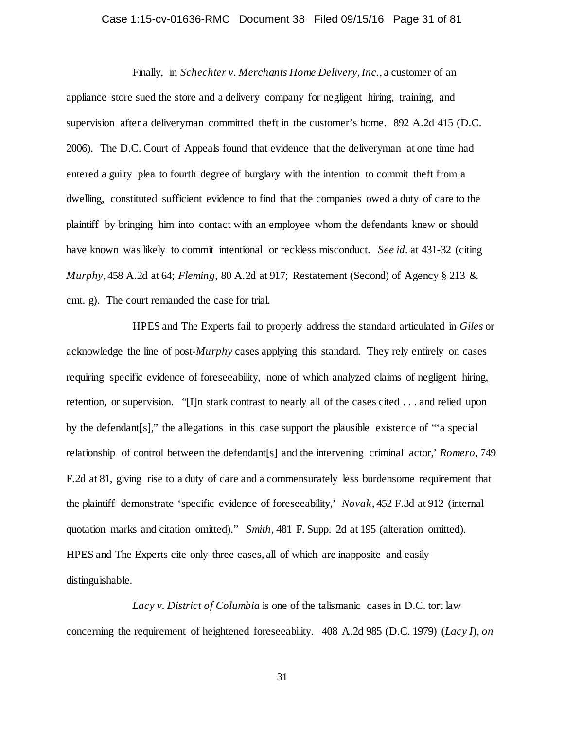### Case 1:15-cv-01636-RMC Document 38 Filed 09/15/16 Page 31 of 81

Finally, in *Schechter v. Merchants Home Delivery, Inc.*, a customer of an appliance store sued the store and a delivery company for negligent hiring, training, and supervision after a deliveryman committed theft in the customer's home. 892 A.2d 415 (D.C. 2006). The D.C. Court of Appeals found that evidence that the deliveryman at one time had entered a guilty plea to fourth degree of burglary with the intention to commit theft from a dwelling, constituted sufficient evidence to find that the companies owed a duty of care to the plaintiff by bringing him into contact with an employee whom the defendants knew or should have known was likely to commit intentional or reckless misconduct. *See id.* at 431-32 (citing *Murphy*, 458 A.2d at 64; *Fleming*, 80 A.2d at 917; Restatement (Second) of Agency § 213 & cmt. g). The court remanded the case for trial.

HPES and The Experts fail to properly address the standard articulated in *Giles* or acknowledge the line of post-*Murphy* cases applying this standard. They rely entirely on cases requiring specific evidence of foreseeability, none of which analyzed claims of negligent hiring, retention, or supervision. "[I]n stark contrast to nearly all of the cases cited . . . and relied upon by the defendant[s]," the allegations in this case support the plausible existence of "'a special relationship of control between the defendant[s] and the intervening criminal actor,' *Romero*, 749 F.2d at 81, giving rise to a duty of care and a commensurately less burdensome requirement that the plaintiff demonstrate 'specific evidence of foreseeability,' *Novak*, 452 F.3d at 912 (internal quotation marks and citation omitted)." *Smith*, 481 F. Supp. 2d at 195 (alteration omitted). HPES and The Experts cite only three cases, all of which are inapposite and easily distinguishable.

*Lacy v. District of Columbia* is one of the talismanic cases in D.C. tort law concerning the requirement of heightened foreseeability. 408 A.2d 985 (D.C. 1979) (*Lacy I*), *on*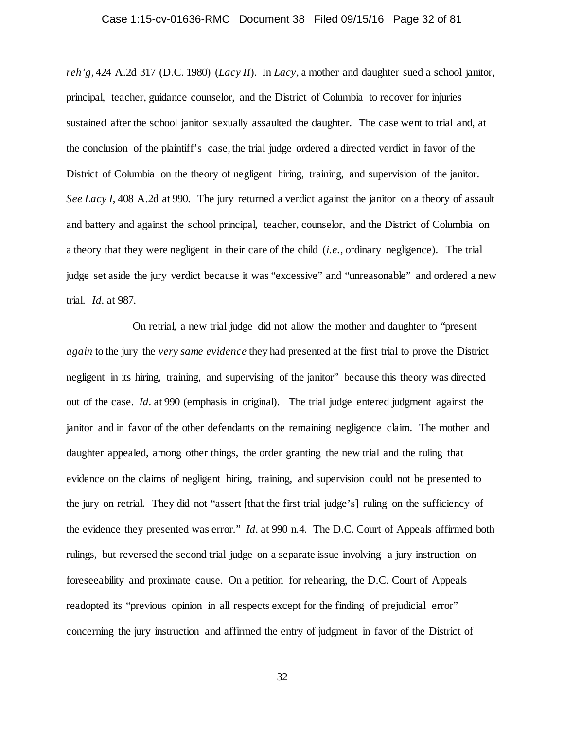### Case 1:15-cv-01636-RMC Document 38 Filed 09/15/16 Page 32 of 81

*reh'g*, 424 A.2d 317 (D.C. 1980) (*Lacy II*). In *Lacy*, a mother and daughter sued a school janitor, principal, teacher, guidance counselor, and the District of Columbia to recover for injuries sustained after the school janitor sexually assaulted the daughter. The case went to trial and, at the conclusion of the plaintiff's case, the trial judge ordered a directed verdict in favor of the District of Columbia on the theory of negligent hiring, training, and supervision of the janitor. *See Lacy I*, 408 A.2d at 990. The jury returned a verdict against the janitor on a theory of assault and battery and against the school principal, teacher, counselor, and the District of Columbia on a theory that they were negligent in their care of the child (*i.e.*, ordinary negligence). The trial judge set aside the jury verdict because it was "excessive" and "unreasonable" and ordered a new trial. *Id.* at 987.

On retrial, a new trial judge did not allow the mother and daughter to "present *again* to the jury the *very same evidence* they had presented at the first trial to prove the District negligent in its hiring, training, and supervising of the janitor" because this theory was directed out of the case. *Id.* at 990 (emphasis in original). The trial judge entered judgment against the janitor and in favor of the other defendants on the remaining negligence claim. The mother and daughter appealed, among other things, the order granting the new trial and the ruling that evidence on the claims of negligent hiring, training, and supervision could not be presented to the jury on retrial. They did not "assert [that the first trial judge's] ruling on the sufficiency of the evidence they presented was error." *Id.* at 990 n.4. The D.C. Court of Appeals affirmed both rulings, but reversed the second trial judge on a separate issue involving a jury instruction on foreseeability and proximate cause. On a petition for rehearing, the D.C. Court of Appeals readopted its "previous opinion in all respects except for the finding of prejudicial error" concerning the jury instruction and affirmed the entry of judgment in favor of the District of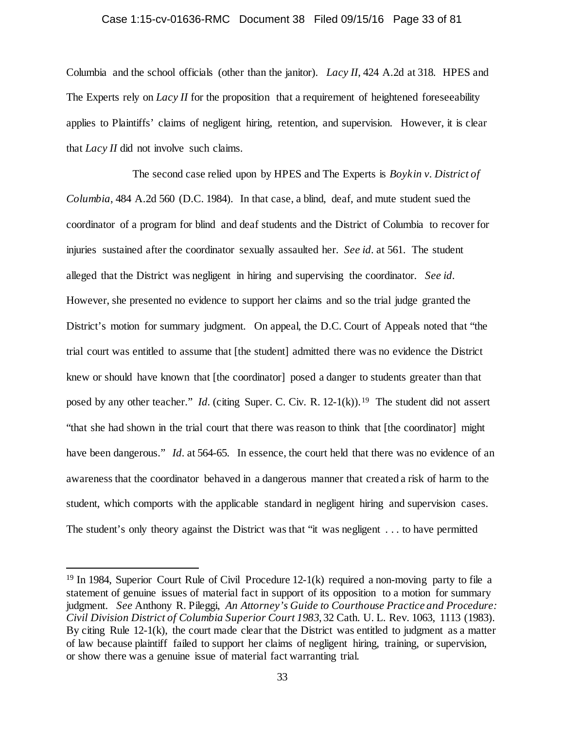# Case 1:15-cv-01636-RMC Document 38 Filed 09/15/16 Page 33 of 81

Columbia and the school officials (other than the janitor). *Lacy II*, 424 A.2d at 318. HPES and The Experts rely on *Lacy II* for the proposition that a requirement of heightened foreseeability applies to Plaintiffs' claims of negligent hiring, retention, and supervision. However, it is clear that *Lacy II* did not involve such claims.

The second case relied upon by HPES and The Experts is *Boykin v. District of Columbia*, 484 A.2d 560 (D.C. 1984). In that case, a blind, deaf, and mute student sued the coordinator of a program for blind and deaf students and the District of Columbia to recover for injuries sustained after the coordinator sexually assaulted her. *See id.* at 561. The student alleged that the District was negligent in hiring and supervising the coordinator. *See id.* However, she presented no evidence to support her claims and so the trial judge granted the District's motion for summary judgment. On appeal, the D.C. Court of Appeals noted that "the trial court was entitled to assume that [the student] admitted there was no evidence the District knew or should have known that [the coordinator] posed a danger to students greater than that posed by any other teacher." *Id.* (citing Super. C. Civ. R. 12-1(k)).<sup>19</sup> The student did not assert "that she had shown in the trial court that there was reason to think that [the coordinator] might have been dangerous." *Id.* at 564-65. In essence, the court held that there was no evidence of an awareness that the coordinator behaved in a dangerous manner that created a risk of harm to the student, which comports with the applicable standard in negligent hiring and supervision cases. The student's only theory against the District was that "it was negligent . . . to have permitted

<span id="page-32-0"></span> <sup>19</sup> In 1984, Superior Court Rule of Civil Procedure 12-1(k) required a non-moving party to file a statement of genuine issues of material fact in support of its opposition to a motion for summary judgment. *See* Anthony R. Pileggi, *An Attorney's Guide to Courthouse Practice and Procedure: Civil Division District of Columbia Superior Court 1983*, 32 Cath. U. L. Rev. 1063, 1113 (1983). By citing Rule 12-1(k), the court made clear that the District was entitled to judgment as a matter of law because plaintiff failed to support her claims of negligent hiring, training, or supervision, or show there was a genuine issue of material fact warranting trial.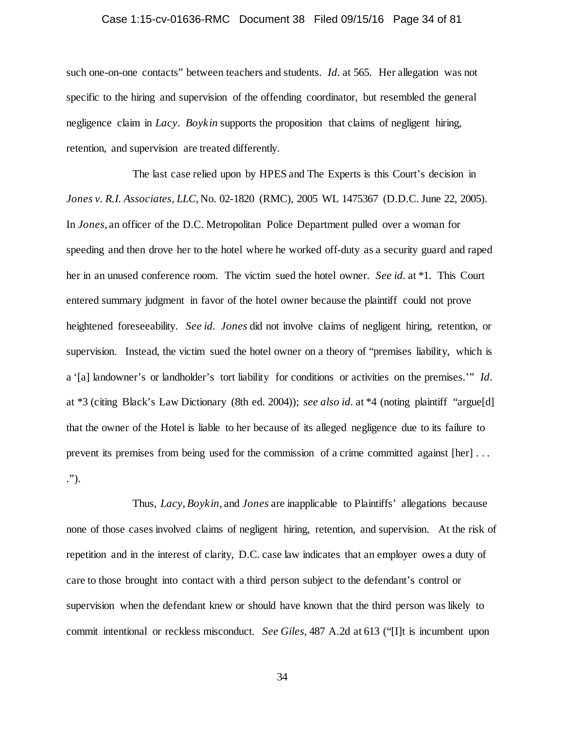### Case 1:15-cv-01636-RMC Document 38 Filed 09/15/16 Page 34 of 81

such one-on-one contacts" between teachers and students. *Id.* at 565. Her allegation was not specific to the hiring and supervision of the offending coordinator, but resembled the general negligence claim in *Lacy*. *Boykin* supports the proposition that claims of negligent hiring, retention, and supervision are treated differently.

The last case relied upon by HPES and The Experts is this Court's decision in *Jones v. R.I. Associates, LLC*, No. 02-1820 (RMC), 2005 WL 1475367 (D.D.C. June 22, 2005). In *Jones*, an officer of the D.C. Metropolitan Police Department pulled over a woman for speeding and then drove her to the hotel where he worked off-duty as a security guard and raped her in an unused conference room. The victim sued the hotel owner. *See id.* at \*1. This Court entered summary judgment in favor of the hotel owner because the plaintiff could not prove heightened foreseeability. *See id. Jones* did not involve claims of negligent hiring, retention, or supervision. Instead, the victim sued the hotel owner on a theory of "premises liability, which is a '[a] landowner's or landholder's tort liability for conditions or activities on the premises.'" *Id.* at \*3 (citing Black's Law Dictionary (8th ed. 2004)); *see also id.* at \*4 (noting plaintiff "argue[d] that the owner of the Hotel is liable to her because of its alleged negligence due to its failure to prevent its premises from being used for the commission of a crime committed against [her] . . . .").

Thus, *Lacy*, *Boykin*, and *Jones* are inapplicable to Plaintiffs' allegations because none of those cases involved claims of negligent hiring, retention, and supervision. At the risk of repetition and in the interest of clarity, D.C. case law indicates that an employer owes a duty of care to those brought into contact with a third person subject to the defendant's control or supervision when the defendant knew or should have known that the third person was likely to commit intentional or reckless misconduct. *See Giles*, 487 A.2d at 613 ("[I]t is incumbent upon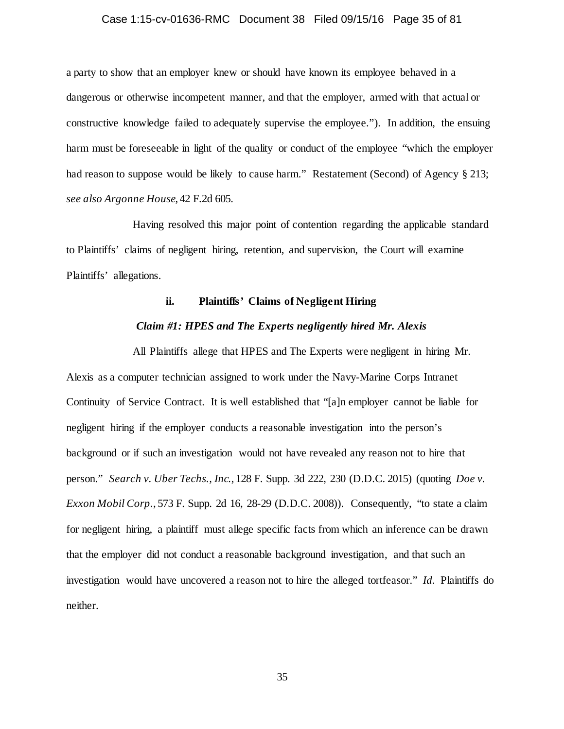### Case 1:15-cv-01636-RMC Document 38 Filed 09/15/16 Page 35 of 81

a party to show that an employer knew or should have known its employee behaved in a dangerous or otherwise incompetent manner, and that the employer, armed with that actual or constructive knowledge failed to adequately supervise the employee."). In addition, the ensuing harm must be foreseeable in light of the quality or conduct of the employee "which the employer had reason to suppose would be likely to cause harm." Restatement (Second) of Agency § 213; *see also Argonne House*, 42 F.2d 605.

Having resolved this major point of contention regarding the applicable standard to Plaintiffs' claims of negligent hiring, retention, and supervision, the Court will examine Plaintiffs' allegations.

### **ii. Plaintiffs' Claims of Negligent Hiring**

#### *Claim #1: HPES and The Experts negligently hired Mr. Alexis*

All Plaintiffs allege that HPES and The Experts were negligent in hiring Mr. Alexis as a computer technician assigned to work under the Navy-Marine Corps Intranet Continuity of Service Contract. It is well established that "[a]n employer cannot be liable for negligent hiring if the employer conducts a reasonable investigation into the person's background or if such an investigation would not have revealed any reason not to hire that person." *Search v. Uber Techs., Inc.*, 128 F. Supp. 3d 222, 230 (D.D.C. 2015) (quoting *Doe v. Exxon Mobil Corp.*, 573 F. Supp. 2d 16, 28-29 (D.D.C. 2008)). Consequently, "to state a claim for negligent hiring, a plaintiff must allege specific facts from which an inference can be drawn that the employer did not conduct a reasonable background investigation, and that such an investigation would have uncovered a reason not to hire the alleged tortfeasor." *Id.* Plaintiffs do neither.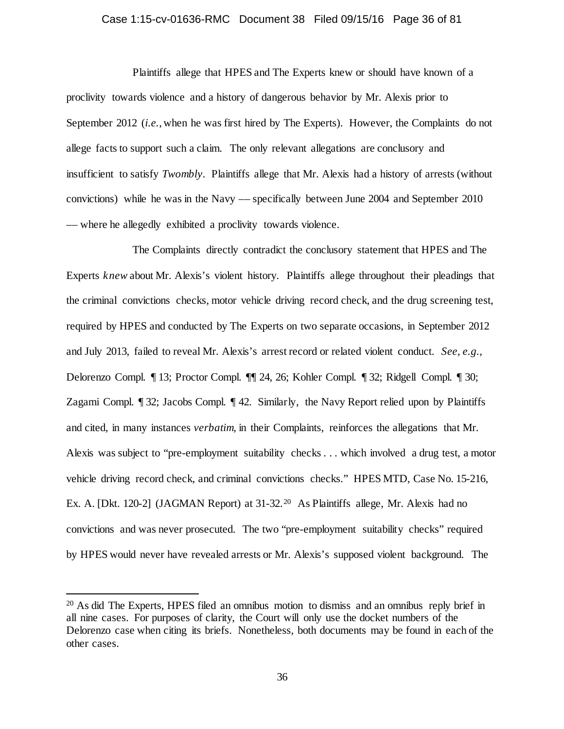### Case 1:15-cv-01636-RMC Document 38 Filed 09/15/16 Page 36 of 81

Plaintiffs allege that HPES and The Experts knew or should have known of a proclivity towards violence and a history of dangerous behavior by Mr. Alexis prior to September 2012 (*i.e.*, when he was first hired by The Experts). However, the Complaints do not allege facts to support such a claim. The only relevant allegations are conclusory and insufficient to satisfy *Twombly*. Plaintiffs allege that Mr. Alexis had a history of arrests (without convictions) while he was in the Navy –– specifically between June 2004 and September 2010 –– where he allegedly exhibited a proclivity towards violence.

The Complaints directly contradict the conclusory statement that HPES and The Experts *knew* about Mr. Alexis's violent history. Plaintiffs allege throughout their pleadings that the criminal convictions checks, motor vehicle driving record check, and the drug screening test, required by HPES and conducted by The Experts on two separate occasions, in September 2012 and July 2013, failed to reveal Mr. Alexis's arrest record or related violent conduct. *See, e.g.*, Delorenzo Compl. ¶ 13; Proctor Compl. ¶¶ 24, 26; Kohler Compl. ¶ 32; Ridgell Compl. ¶ 30; Zagami Compl. ¶ 32; Jacobs Compl. ¶ 42. Similarly, the Navy Report relied upon by Plaintiffs and cited, in many instances *verbatim*, in their Complaints, reinforces the allegations that Mr. Alexis was subject to "pre-employment suitability checks . . . which involved a drug test, a motor vehicle driving record check, and criminal convictions checks." HPES MTD, Case No. 15-216, Ex. A. [Dkt. 1[20](#page-35-0)-2] (JAGMAN Report) at 31-32.<sup>20</sup> As Plaintiffs allege, Mr. Alexis had no convictions and was never prosecuted. The two "pre-employment suitability checks" required by HPES would never have revealed arrests or Mr. Alexis's supposed violent background. The

<span id="page-35-0"></span> <sup>20</sup> As did The Experts, HPES filed an omnibus motion to dismiss and an omnibus reply brief in all nine cases. For purposes of clarity, the Court will only use the docket numbers of the Delorenzo case when citing its briefs. Nonetheless, both documents may be found in each of the other cases.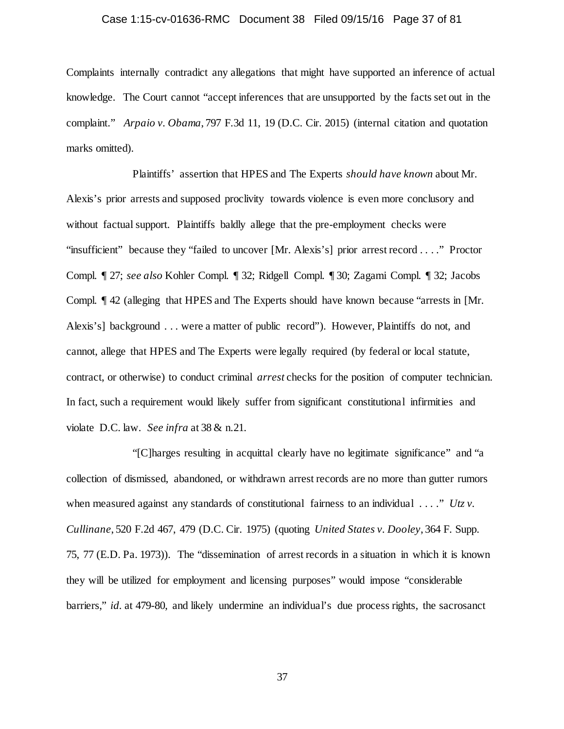## Case 1:15-cv-01636-RMC Document 38 Filed 09/15/16 Page 37 of 81

Complaints internally contradict any allegations that might have supported an inference of actual knowledge. The Court cannot "accept inferences that are unsupported by the facts set out in the complaint." *Arpaio v. Obama*, 797 F.3d 11, 19 (D.C. Cir. 2015) (internal citation and quotation marks omitted).

Plaintiffs' assertion that HPES and The Experts *should have known* about Mr. Alexis's prior arrests and supposed proclivity towards violence is even more conclusory and without factual support. Plaintiffs baldly allege that the pre-employment checks were "insufficient" because they "failed to uncover [Mr. Alexis's] prior arrest record . . . ." Proctor Compl. ¶ 27; *see also* Kohler Compl. ¶ 32; Ridgell Compl. ¶ 30; Zagami Compl. ¶ 32; Jacobs Compl. ¶ 42 (alleging that HPES and The Experts should have known because "arrests in [Mr. Alexis's] background . . . were a matter of public record"). However, Plaintiffs do not, and cannot, allege that HPES and The Experts were legally required (by federal or local statute, contract, or otherwise) to conduct criminal *arrest* checks for the position of computer technician. In fact, such a requirement would likely suffer from significant constitutional infirmities and violate D.C. law. *See infra* at 38 & n.21.

"[C]harges resulting in acquittal clearly have no legitimate significance" and "a collection of dismissed, abandoned, or withdrawn arrest records are no more than gutter rumors when measured against any standards of constitutional fairness to an individual . . . ." *Utz v*. *Cullinane*, 520 F.2d 467, 479 (D.C. Cir. 1975) (quoting *United States v. Dooley*, 364 F. Supp. 75, 77 (E.D. Pa. 1973)). The "dissemination of arrest records in a situation in which it is known they will be utilized for employment and licensing purposes" would impose "considerable barriers," *id.* at 479-80, and likely undermine an individual's due process rights, the sacrosanct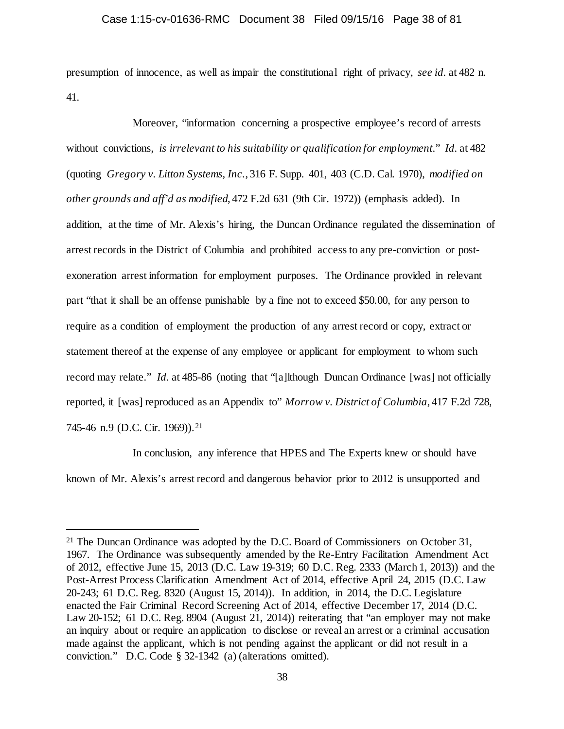presumption of innocence, as well as impair the constitutional right of privacy, *see id.* at 482 n. 41.

Moreover, "information concerning a prospective employee's record of arrests without convictions, *is irrelevant to his suitability or qualification for employment*." *Id.* at 482 (quoting *Gregory v. Litton Systems, Inc.*, 316 F. Supp. 401, 403 (C.D. Cal. 1970), *modified on other grounds and aff'd as modified*, 472 F.2d 631 (9th Cir. 1972)) (emphasis added). In addition, at the time of Mr. Alexis's hiring, the Duncan Ordinance regulated the dissemination of arrest records in the District of Columbia and prohibited access to any pre-conviction or postexoneration arrest information for employment purposes. The Ordinance provided in relevant part "that it shall be an offense punishable by a fine not to exceed \$50.00, for any person to require as a condition of employment the production of any arrest record or copy, extract or statement thereof at the expense of any employee or applicant for employment to whom such record may relate." *Id.* at 485-86 (noting that "[a]lthough Duncan Ordinance [was] not officially reported, it [was] reproduced as an Appendix to" *Morrow v. District of Columbia*, 417 F.2d 728, 745-46 n.9 (D.C. Cir. 1969)).<sup>[21](#page-37-0)</sup>

In conclusion, any inference that HPES and The Experts knew or should have known of Mr. Alexis's arrest record and dangerous behavior prior to 2012 is unsupported and

<span id="page-37-0"></span><sup>&</sup>lt;sup>21</sup> The Duncan Ordinance was adopted by the D.C. Board of Commissioners on October 31, 1967. The Ordinance was subsequently amended by the Re-Entry Facilitation Amendment Act of 2012, effective June 15, 2013 (D.C. Law 19-319; 60 D.C. Reg. 2333 (March 1, 2013)) and the Post-Arrest Process Clarification Amendment Act of 2014, effective April 24, 2015 (D.C. Law 20-243; 61 D.C. Reg. 8320 (August 15, 2014)). In addition, in 2014, the D.C. Legislature enacted the Fair Criminal Record Screening Act of 2014, effective December 17, 2014 (D.C. Law 20-152; 61 D.C. Reg. 8904 (August 21, 2014)) reiterating that "an employer may not make an inquiry about or require an application to disclose or reveal an arrest or a criminal accusation made against the applicant, which is not pending against the applicant or did not result in a conviction." D.C. Code § 32-1342 (a) (alterations omitted).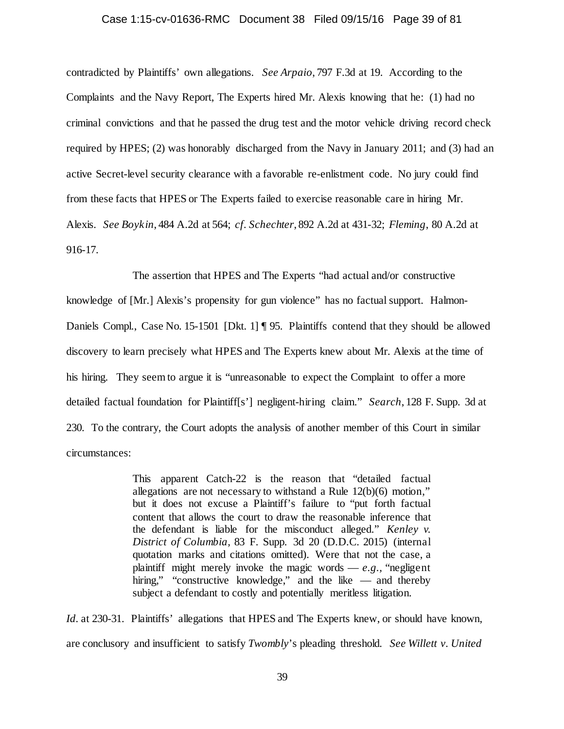#### Case 1:15-cv-01636-RMC Document 38 Filed 09/15/16 Page 39 of 81

contradicted by Plaintiffs' own allegations. *See Arpaio*, 797 F.3d at 19. According to the Complaints and the Navy Report, The Experts hired Mr. Alexis knowing that he: (1) had no criminal convictions and that he passed the drug test and the motor vehicle driving record check required by HPES; (2) was honorably discharged from the Navy in January 2011; and (3) had an active Secret-level security clearance with a favorable re-enlistment code. No jury could find from these facts that HPES or The Experts failed to exercise reasonable care in hiring Mr. Alexis. *See Boykin*, 484 A.2d at 564; *cf. Schechter*, 892 A.2d at 431-32; *Fleming*, 80 A.2d at 916-17.

The assertion that HPES and The Experts "had actual and/or constructive knowledge of [Mr.] Alexis's propensity for gun violence" has no factual support. Halmon-Daniels Compl., Case No. 15-1501 [Dkt. 1] ¶ 95. Plaintiffs contend that they should be allowed discovery to learn precisely what HPES and The Experts knew about Mr. Alexis at the time of his hiring. They seem to argue it is "unreasonable to expect the Complaint to offer a more detailed factual foundation for Plaintiff[s'] negligent-hiring claim." *Search*, 128 F. Supp. 3d at 230. To the contrary, the Court adopts the analysis of another member of this Court in similar circumstances:

> This apparent Catch-22 is the reason that "detailed factual allegations are not necessary to withstand a Rule 12(b)(6) motion," but it does not excuse a Plaintiff's failure to "put forth factual content that allows the court to draw the reasonable inference that the defendant is liable for the misconduct alleged." *Kenley v. District of Columbia,* 83 F. Supp. 3d 20 (D.D.C. 2015) (internal quotation marks and citations omitted). Were that not the case, a plaintiff might merely invoke the magic words  $-e.g.,$  "negligent" hiring," "constructive knowledge," and the like — and thereby subject a defendant to costly and potentially meritless litigation.

*Id.* at 230-31. Plaintiffs' allegations that HPES and The Experts knew, or should have known, are conclusory and insufficient to satisfy *Twombly*'s pleading threshold. *See Willett v. United*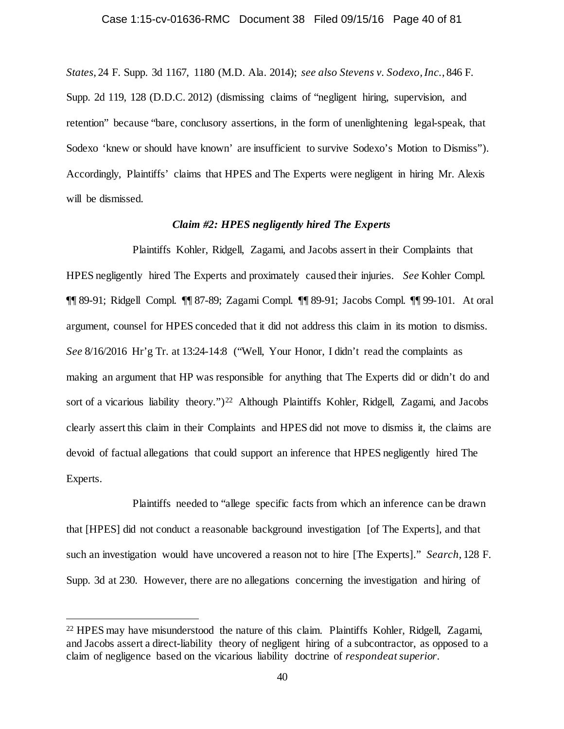*States*, 24 F. Supp. 3d 1167, 1180 (M.D. Ala. 2014); *see also Stevens v. Sodexo, Inc.*, 846 F. Supp. 2d 119, 128 (D.D.C. 2012) (dismissing claims of "negligent hiring, supervision, and retention" because "bare, conclusory assertions, in the form of unenlightening legal-speak, that Sodexo 'knew or should have known' are insufficient to survive Sodexo's Motion to Dismiss"). Accordingly, Plaintiffs' claims that HPES and The Experts were negligent in hiring Mr. Alexis will be dismissed.

## *Claim #2: HPES negligently hired The Experts*

Plaintiffs Kohler, Ridgell, Zagami, and Jacobs assert in their Complaints that HPES negligently hired The Experts and proximately caused their injuries. *See* Kohler Compl. ¶¶ 89-91; Ridgell Compl. ¶¶ 87-89; Zagami Compl. ¶¶ 89-91; Jacobs Compl. ¶¶ 99-101. At oral argument, counsel for HPES conceded that it did not address this claim in its motion to dismiss. *See* 8/16/2016 Hr'g Tr. at 13:24-14:8 ("Well, Your Honor, I didn't read the complaints as making an argument that HP was responsible for anything that The Experts did or didn't do and sort of a vicarious liability theory.")<sup>22</sup> Although Plaintiffs Kohler, Ridgell, Zagami, and Jacobs clearly assert this claim in their Complaints and HPES did not move to dismiss it, the claims are devoid of factual allegations that could support an inference that HPES negligently hired The Experts.

Plaintiffs needed to "allege specific facts from which an inference can be drawn that [HPES] did not conduct a reasonable background investigation [of The Experts], and that such an investigation would have uncovered a reason not to hire [The Experts]." *Search*, 128 F. Supp. 3d at 230. However, there are no allegations concerning the investigation and hiring of

<span id="page-39-0"></span> <sup>22</sup> HPES may have misunderstood the nature of this claim. Plaintiffs Kohler, Ridgell, Zagami, and Jacobs assert a direct-liability theory of negligent hiring of a subcontractor, as opposed to a claim of negligence based on the vicarious liability doctrine of *respondeat superior*.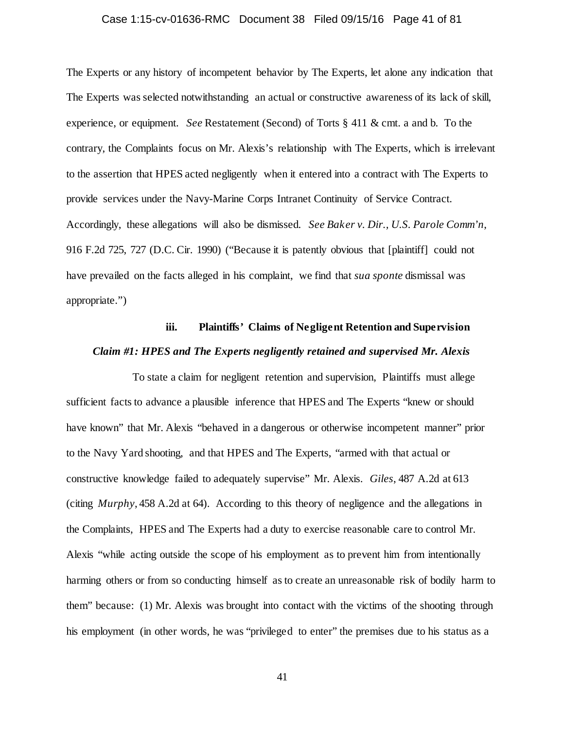## Case 1:15-cv-01636-RMC Document 38 Filed 09/15/16 Page 41 of 81

The Experts or any history of incompetent behavior by The Experts, let alone any indication that The Experts was selected notwithstanding an actual or constructive awareness of its lack of skill, experience, or equipment. *See* Restatement (Second) of Torts § 411 & cmt. a and b. To the contrary, the Complaints focus on Mr. Alexis's relationship with The Experts, which is irrelevant to the assertion that HPES acted negligently when it entered into a contract with The Experts to provide services under the Navy-Marine Corps Intranet Continuity of Service Contract. Accordingly, these allegations will also be dismissed. *See Baker v. Dir., U.S. Parole Comm'n*, 916 F.2d 725, 727 (D.C. Cir. 1990) ("Because it is patently obvious that [plaintiff] could not have prevailed on the facts alleged in his complaint, we find that *sua sponte* dismissal was appropriate.")

# **iii. Plaintiffs' Claims of Negligent Retention and Supervision** *Claim #1: HPES and The Experts negligently retained and supervised Mr. Alexis*

To state a claim for negligent retention and supervision, Plaintiffs must allege sufficient facts to advance a plausible inference that HPES and The Experts "knew or should have known" that Mr. Alexis "behaved in a dangerous or otherwise incompetent manner" prior to the Navy Yard shooting, and that HPES and The Experts, "armed with that actual or constructive knowledge failed to adequately supervise" Mr. Alexis. *Giles*, 487 A.2d at 613 (citing *Murphy*, 458 A.2d at 64). According to this theory of negligence and the allegations in the Complaints, HPES and The Experts had a duty to exercise reasonable care to control Mr. Alexis "while acting outside the scope of his employment as to prevent him from intentionally harming others or from so conducting himself as to create an unreasonable risk of bodily harm to them" because: (1) Mr. Alexis was brought into contact with the victims of the shooting through his employment (in other words, he was "privileged to enter" the premises due to his status as a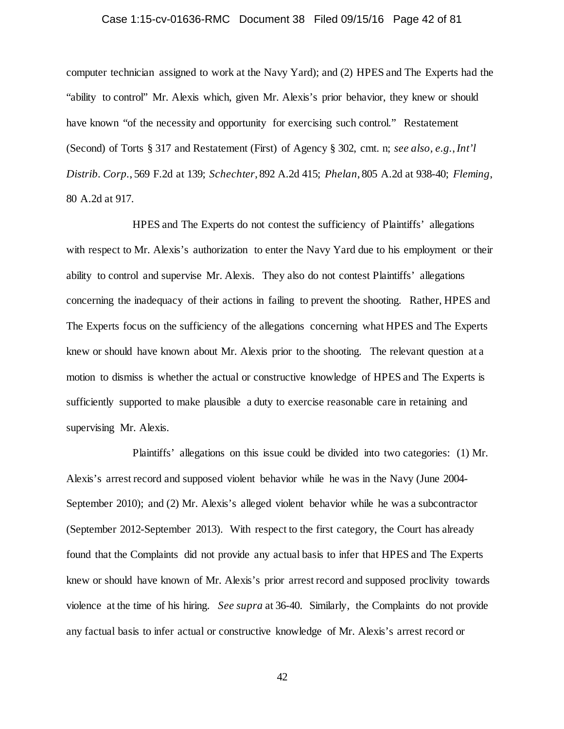## Case 1:15-cv-01636-RMC Document 38 Filed 09/15/16 Page 42 of 81

computer technician assigned to work at the Navy Yard); and (2) HPES and The Experts had the "ability to control" Mr. Alexis which, given Mr. Alexis's prior behavior, they knew or should have known "of the necessity and opportunity for exercising such control." Restatement (Second) of Torts § 317 and Restatement (First) of Agency § 302, cmt. n; *see also, e.g.*,*Int'l Distrib. Corp.*, 569 F.2d at 139; *Schechter*, 892 A.2d 415; *Phelan*, 805 A.2d at 938-40; *Fleming*, 80 A.2d at 917.

HPES and The Experts do not contest the sufficiency of Plaintiffs' allegations with respect to Mr. Alexis's authorization to enter the Navy Yard due to his employment or their ability to control and supervise Mr. Alexis. They also do not contest Plaintiffs' allegations concerning the inadequacy of their actions in failing to prevent the shooting. Rather, HPES and The Experts focus on the sufficiency of the allegations concerning what HPES and The Experts knew or should have known about Mr. Alexis prior to the shooting. The relevant question at a motion to dismiss is whether the actual or constructive knowledge of HPES and The Experts is sufficiently supported to make plausible a duty to exercise reasonable care in retaining and supervising Mr. Alexis.

Plaintiffs' allegations on this issue could be divided into two categories: (1) Mr. Alexis's arrest record and supposed violent behavior while he was in the Navy (June 2004- September 2010); and (2) Mr. Alexis's alleged violent behavior while he was a subcontractor (September 2012-September 2013). With respect to the first category, the Court has already found that the Complaints did not provide any actual basis to infer that HPES and The Experts knew or should have known of Mr. Alexis's prior arrest record and supposed proclivity towards violence at the time of his hiring. *See supra* at 36-40. Similarly, the Complaints do not provide any factual basis to infer actual or constructive knowledge of Mr. Alexis's arrest record or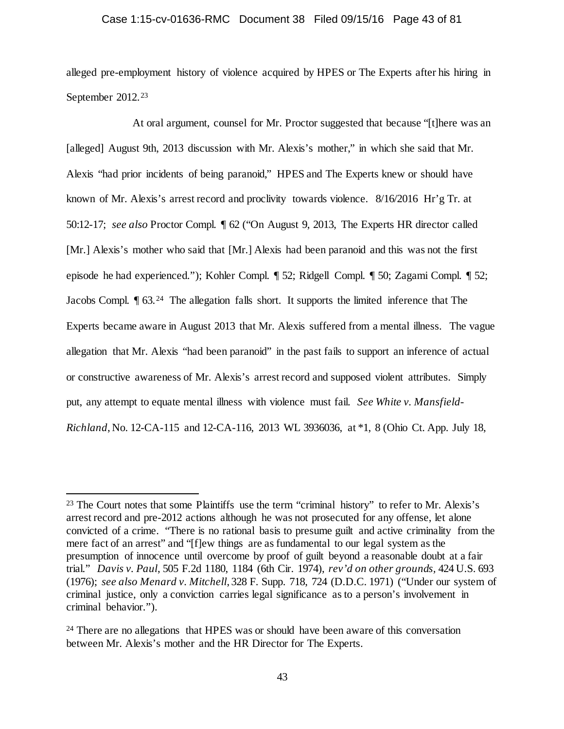## Case 1:15-cv-01636-RMC Document 38 Filed 09/15/16 Page 43 of 81

alleged pre-employment history of violence acquired by HPES or The Experts after his hiring in September 2012.<sup>[23](#page-42-0)</sup>

At oral argument, counsel for Mr. Proctor suggested that because "[t]here was an [alleged] August 9th, 2013 discussion with Mr. Alexis's mother," in which she said that Mr. Alexis "had prior incidents of being paranoid," HPES and The Experts knew or should have known of Mr. Alexis's arrest record and proclivity towards violence. 8/16/2016 Hr'g Tr. at 50:12-17; *see also* Proctor Compl. ¶ 62 ("On August 9, 2013, The Experts HR director called [Mr.] Alexis's mother who said that [Mr.] Alexis had been paranoid and this was not the first episode he had experienced."); Kohler Compl. ¶ 52; Ridgell Compl. ¶ 50; Zagami Compl. ¶ 52; Jacobs Compl. ¶ 63.[24](#page-42-1) The allegation falls short. It supports the limited inference that The Experts became aware in August 2013 that Mr. Alexis suffered from a mental illness. The vague allegation that Mr. Alexis "had been paranoid" in the past fails to support an inference of actual or constructive awareness of Mr. Alexis's arrest record and supposed violent attributes. Simply put, any attempt to equate mental illness with violence must fail. *See White v. Mansfield-Richland*, No. 12-CA-115 and 12-CA-116, 2013 WL 3936036, at \*1, 8 (Ohio Ct. App. July 18,

<span id="page-42-0"></span><sup>&</sup>lt;sup>23</sup> The Court notes that some Plaintiffs use the term "criminal history" to refer to Mr. Alexis's arrest record and pre-2012 actions although he was not prosecuted for any offense, let alone convicted of a crime. "There is no rational basis to presume guilt and active criminality from the mere fact of an arrest" and "[f]ew things are as fundamental to our legal system as the presumption of innocence until overcome by proof of guilt beyond a reasonable doubt at a fair trial." *Davis v. Paul*, 505 F.2d 1180, 1184 (6th Cir. 1974), *rev'd on other grounds,* 424 U.S. 693 (1976); *see also Menard v. Mitchell*, 328 F. Supp. 718, 724 (D.D.C. 1971) ("Under our system of criminal justice, only a conviction carries legal significance as to a person's involvement in criminal behavior.").

<span id="page-42-1"></span><sup>&</sup>lt;sup>24</sup> There are no allegations that HPES was or should have been aware of this conversation between Mr. Alexis's mother and the HR Director for The Experts.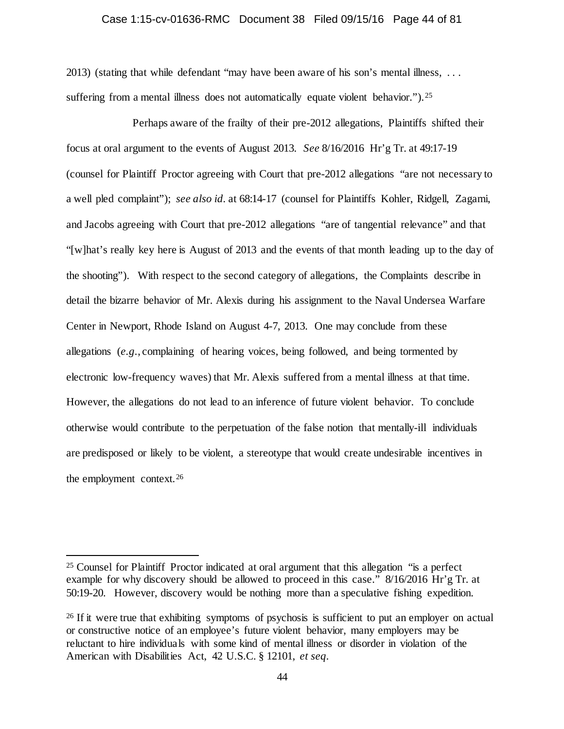# Case 1:15-cv-01636-RMC Document 38 Filed 09/15/16 Page 44 of 81

2013) (stating that while defendant "may have been aware of his son's mental illness, . . . suffering from a mental illness does not automatically equate violent behavior."). <sup>25</sup>

Perhaps aware of the frailty of their pre-2012 allegations, Plaintiffs shifted their focus at oral argument to the events of August 2013. *See* 8/16/2016 Hr'g Tr. at 49:17-19 (counsel for Plaintiff Proctor agreeing with Court that pre-2012 allegations "are not necessary to a well pled complaint"); *see also id.* at 68:14-17 (counsel for Plaintiffs Kohler, Ridgell, Zagami, and Jacobs agreeing with Court that pre-2012 allegations "are of tangential relevance" and that "[w]hat's really key here is August of 2013 and the events of that month leading up to the day of the shooting"). With respect to the second category of allegations, the Complaints describe in detail the bizarre behavior of Mr. Alexis during his assignment to the Naval Undersea Warfare Center in Newport, Rhode Island on August 4-7, 2013. One may conclude from these allegations (*e.g.*, complaining of hearing voices, being followed, and being tormented by electronic low-frequency waves) that Mr. Alexis suffered from a mental illness at that time. However, the allegations do not lead to an inference of future violent behavior. To conclude otherwise would contribute to the perpetuation of the false notion that mentally-ill individuals are predisposed or likely to be violent, a stereotype that would create undesirable incentives in the employment context.[26](#page-43-1)

<span id="page-43-0"></span> <sup>25</sup> Counsel for Plaintiff Proctor indicated at oral argument that this allegation "is a perfect example for why discovery should be allowed to proceed in this case." 8/16/2016 Hr'g Tr. at 50:19-20. However, discovery would be nothing more than a speculative fishing expedition.

<span id="page-43-1"></span><sup>&</sup>lt;sup>26</sup> If it were true that exhibiting symptoms of psychosis is sufficient to put an employer on actual or constructive notice of an employee's future violent behavior, many employers may be reluctant to hire individuals with some kind of mental illness or disorder in violation of the American with Disabilities Act, 42 U.S.C. § 12101, *et seq.*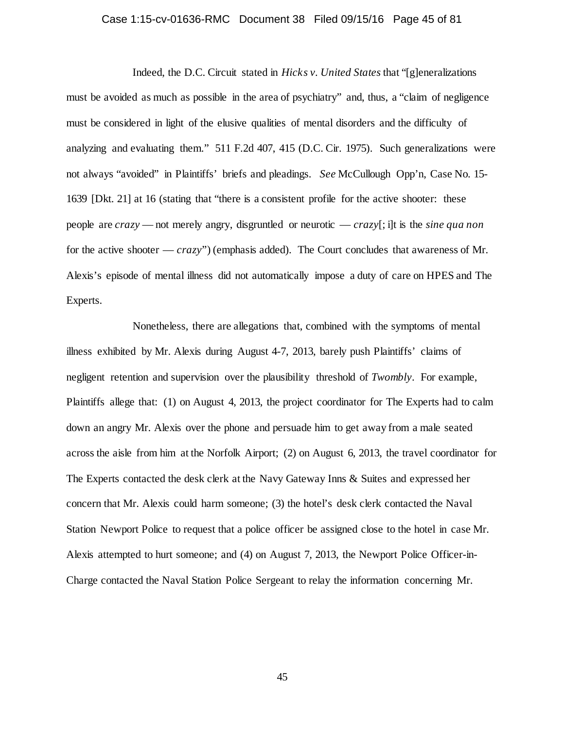## Case 1:15-cv-01636-RMC Document 38 Filed 09/15/16 Page 45 of 81

Indeed, the D.C. Circuit stated in *Hicks v. United States* that "[g]eneralizations must be avoided as much as possible in the area of psychiatry" and, thus, a "claim of negligence must be considered in light of the elusive qualities of mental disorders and the difficulty of analyzing and evaluating them." 511 F.2d 407, 415 (D.C. Cir. 1975). Such generalizations were not always "avoided" in Plaintiffs' briefs and pleadings. *See* McCullough Opp'n, Case No. 15- 1639 [Dkt. 21] at 16 (stating that "there is a consistent profile for the active shooter: these people are *crazy* — not merely angry, disgruntled or neurotic — *crazy*[; i]t is the *sine qua non*  for the active shooter — *crazy*") (emphasis added). The Court concludes that awareness of Mr. Alexis's episode of mental illness did not automatically impose a duty of care on HPES and The Experts.

Nonetheless, there are allegations that, combined with the symptoms of mental illness exhibited by Mr. Alexis during August 4-7, 2013, barely push Plaintiffs' claims of negligent retention and supervision over the plausibility threshold of *Twombly*. For example, Plaintiffs allege that: (1) on August 4, 2013, the project coordinator for The Experts had to calm down an angry Mr. Alexis over the phone and persuade him to get away from a male seated across the aisle from him at the Norfolk Airport; (2) on August 6, 2013, the travel coordinator for The Experts contacted the desk clerk at the Navy Gateway Inns & Suites and expressed her concern that Mr. Alexis could harm someone; (3) the hotel's desk clerk contacted the Naval Station Newport Police to request that a police officer be assigned close to the hotel in case Mr. Alexis attempted to hurt someone; and (4) on August 7, 2013, the Newport Police Officer-in-Charge contacted the Naval Station Police Sergeant to relay the information concerning Mr.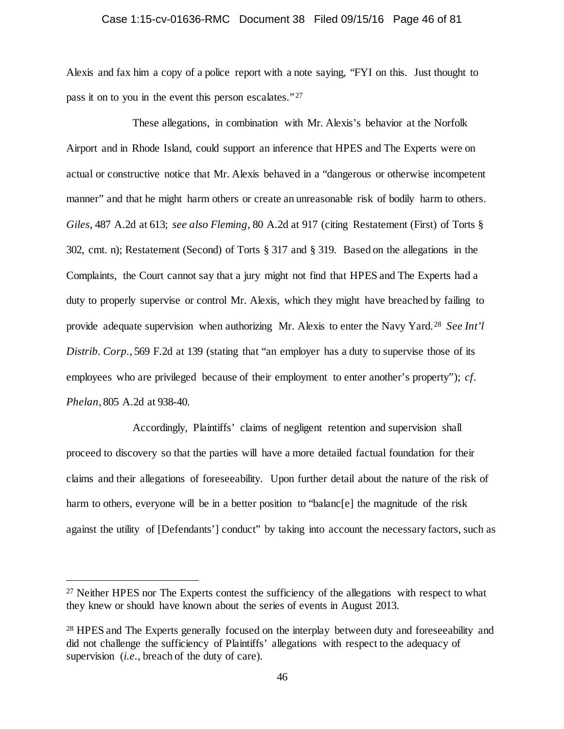## Case 1:15-cv-01636-RMC Document 38 Filed 09/15/16 Page 46 of 81

Alexis and fax him a copy of a police report with a note saying, "FYI on this. Just thought to pass it on to you in the event this person escalates."<sup>[27](#page-45-0)</sup>

These allegations, in combination with Mr. Alexis's behavior at the Norfolk Airport and in Rhode Island, could support an inference that HPES and The Experts were on actual or constructive notice that Mr. Alexis behaved in a "dangerous or otherwise incompetent manner" and that he might harm others or create an unreasonable risk of bodily harm to others. *Giles*, 487 A.2d at 613; *see also Fleming*, 80 A.2d at 917 (citing Restatement (First) of Torts § 302, cmt. n); Restatement (Second) of Torts § 317 and § 319. Based on the allegations in the Complaints, the Court cannot say that a jury might not find that HPES and The Experts had a duty to properly supervise or control Mr. Alexis, which they might have breached by failing to provide adequate supervision when authorizing Mr. Alexis to enter the Navy Yard.[28](#page-45-1) *See Int'l Distrib. Corp.*, 569 F.2d at 139 (stating that "an employer has a duty to supervise those of its employees who are privileged because of their employment to enter another's property"); *cf. Phelan*, 805 A.2d at 938-40.

Accordingly, Plaintiffs' claims of negligent retention and supervision shall proceed to discovery so that the parties will have a more detailed factual foundation for their claims and their allegations of foreseeability. Upon further detail about the nature of the risk of harm to others, everyone will be in a better position to "balanc[e] the magnitude of the risk against the utility of [Defendants'] conduct" by taking into account the necessary factors, such as

<span id="page-45-0"></span><sup>&</sup>lt;sup>27</sup> Neither HPES nor The Experts contest the sufficiency of the allegations with respect to what they knew or should have known about the series of events in August 2013.

<span id="page-45-1"></span><sup>&</sup>lt;sup>28</sup> HPES and The Experts generally focused on the interplay between duty and foreseeability and did not challenge the sufficiency of Plaintiffs' allegations with respect to the adequacy of supervision (*i.e.*, breach of the duty of care).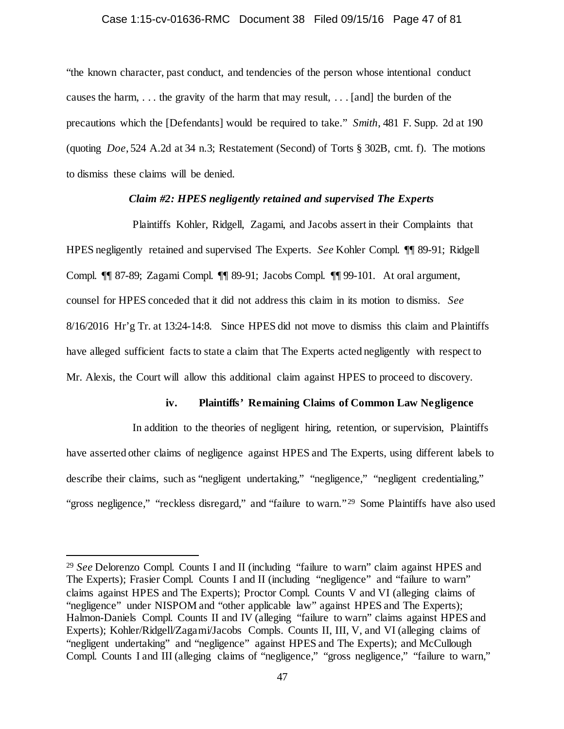#### Case 1:15-cv-01636-RMC Document 38 Filed 09/15/16 Page 47 of 81

"the known character, past conduct, and tendencies of the person whose intentional conduct causes the harm, . . . the gravity of the harm that may result, . . . [and] the burden of the precautions which the [Defendants] would be required to take." *Smith*, 481 F. Supp. 2d at 190 (quoting *Doe*, 524 A.2d at 34 n.3; Restatement (Second) of Torts § 302B, cmt. f). The motions to dismiss these claims will be denied.

## *Claim #2: HPES negligently retained and supervised The Experts*

Plaintiffs Kohler, Ridgell, Zagami, and Jacobs assert in their Complaints that HPES negligently retained and supervised The Experts. *See* Kohler Compl. ¶¶ 89-91; Ridgell Compl. ¶¶ 87-89; Zagami Compl. ¶¶ 89-91; Jacobs Compl. ¶¶ 99-101. At oral argument, counsel for HPES conceded that it did not address this claim in its motion to dismiss. *See*  8/16/2016 Hr'g Tr. at 13:24-14:8. Since HPES did not move to dismiss this claim and Plaintiffs have alleged sufficient facts to state a claim that The Experts acted negligently with respect to Mr. Alexis, the Court will allow this additional claim against HPES to proceed to discovery.

## **iv. Plaintiffs' Remaining Claims of Common Law Negligence**

In addition to the theories of negligent hiring, retention, or supervision, Plaintiffs have asserted other claims of negligence against HPES and The Experts, using different labels to describe their claims, such as "negligent undertaking," "negligence," "negligent credentialing," "gross negligence," "reckless disregard," and "failure to warn."<sup>29</sup> Some Plaintiffs have also used

<span id="page-46-0"></span> <sup>29</sup> *See* Delorenzo Compl. Counts I and II (including "failure to warn" claim against HPES and The Experts); Frasier Compl. Counts I and II (including "negligence" and "failure to warn" claims against HPES and The Experts); Proctor Compl. Counts V and VI (alleging claims of "negligence" under NISPOM and "other applicable law" against HPES and The Experts); Halmon-Daniels Compl. Counts II and IV (alleging "failure to warn" claims against HPES and Experts); Kohler/Ridgell/Zagami/Jacobs Compls. Counts II, III, V, and VI (alleging claims of "negligent undertaking" and "negligence" against HPES and The Experts); and McCullough Compl. Counts I and III (alleging claims of "negligence," "gross negligence," "failure to warn,"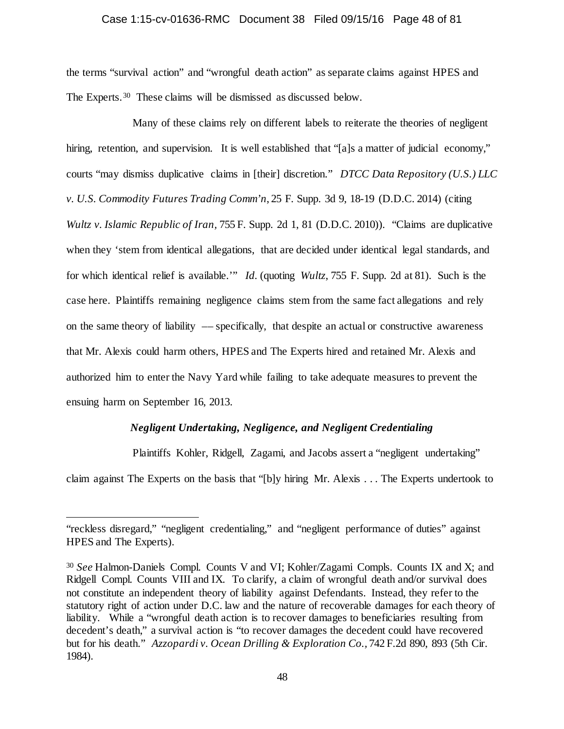#### Case 1:15-cv-01636-RMC Document 38 Filed 09/15/16 Page 48 of 81

the terms "survival action" and "wrongful death action" as separate claims against HPES and The Experts.[30](#page-47-0) These claims will be dismissed as discussed below.

Many of these claims rely on different labels to reiterate the theories of negligent hiring, retention, and supervision. It is well established that "[a]s a matter of judicial economy," courts "may dismiss duplicative claims in [their] discretion." *DTCC Data Repository (U.S.) LLC v. U.S. Commodity Futures Trading Comm'n*, 25 F. Supp. 3d 9, 18-19 (D.D.C. 2014) (citing *Wultz v. Islamic Republic of Iran,* 755 F. Supp. 2d 1, 81 (D.D.C. 2010)). "Claims are duplicative when they 'stem from identical allegations, that are decided under identical legal standards, and for which identical relief is available.'" *Id.* (quoting *Wultz*, 755 F. Supp. 2d at 81). Such is the case here. Plaintiffs remaining negligence claims stem from the same fact allegations and rely on the same theory of liability –– specifically, that despite an actual or constructive awareness that Mr. Alexis could harm others, HPES and The Experts hired and retained Mr. Alexis and authorized him to enter the Navy Yard while failing to take adequate measures to prevent the ensuing harm on September 16, 2013.

## *Negligent Undertaking, Negligence, and Negligent Credentialing*

Plaintiffs Kohler, Ridgell, Zagami, and Jacobs assert a "negligent undertaking"

claim against The Experts on the basis that "[b]y hiring Mr. Alexis . . . The Experts undertook to

 $\overline{a}$ 

<sup>&</sup>quot;reckless disregard," "negligent credentialing," and "negligent performance of duties" against HPES and The Experts).

<span id="page-47-0"></span><sup>30</sup> *See* Halmon-Daniels Compl. Counts V and VI; Kohler/Zagami Compls. Counts IX and X; and Ridgell Compl. Counts VIII and IX. To clarify, a claim of wrongful death and/or survival does not constitute an independent theory of liability against Defendants. Instead, they refer to the statutory right of action under D.C. law and the nature of recoverable damages for each theory of liability. While a "wrongful death action is to recover damages to beneficiaries resulting from decedent's death," a survival action is "to recover damages the decedent could have recovered but for his death." *Azzopardi v. Ocean Drilling & Exploration Co.,* 742 F.2d 890, 893 (5th Cir. 1984).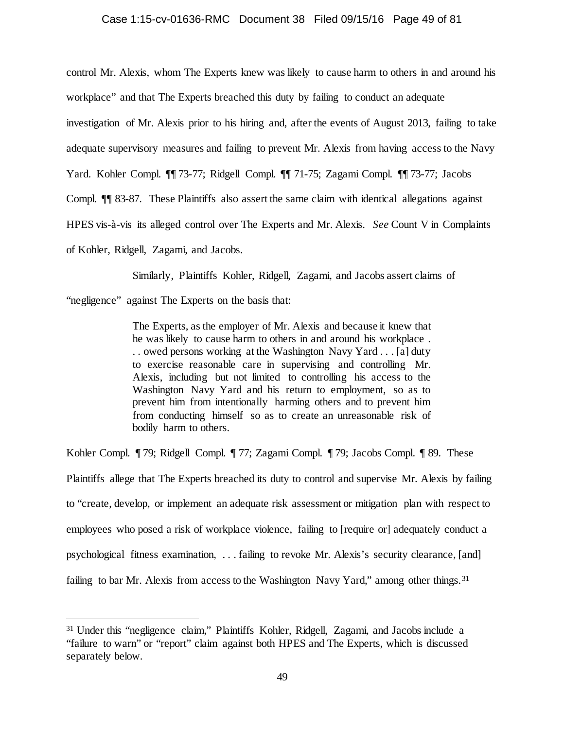# Case 1:15-cv-01636-RMC Document 38 Filed 09/15/16 Page 49 of 81

control Mr. Alexis, whom The Experts knew was likely to cause harm to others in and around his

workplace" and that The Experts breached this duty by failing to conduct an adequate

investigation of Mr. Alexis prior to his hiring and, after the events of August 2013, failing to take

adequate supervisory measures and failing to prevent Mr. Alexis from having access to the Navy

Yard. Kohler Compl. ¶¶ 73-77; Ridgell Compl. ¶¶ 71-75; Zagami Compl. ¶¶ 73-77; Jacobs

Compl. ¶¶ 83-87. These Plaintiffs also assert the same claim with identical allegations against

HPES vis-à-vis its alleged control over The Experts and Mr. Alexis. *See* Count V in Complaints

of Kohler, Ridgell, Zagami, and Jacobs.

Similarly, Plaintiffs Kohler, Ridgell, Zagami, and Jacobs assert claims of

"negligence" against The Experts on the basis that:

The Experts, as the employer of Mr. Alexis and because it knew that he was likely to cause harm to others in and around his workplace . . . owed persons working at the Washington Navy Yard . . . [a] duty to exercise reasonable care in supervising and controlling Mr. Alexis, including but not limited to controlling his access to the Washington Navy Yard and his return to employment, so as to prevent him from intentionally harming others and to prevent him from conducting himself so as to create an unreasonable risk of bodily harm to others.

Kohler Compl. ¶ 79; Ridgell Compl. ¶ 77; Zagami Compl. ¶ 79; Jacobs Compl. ¶ 89. These Plaintiffs allege that The Experts breached its duty to control and supervise Mr. Alexis by failing to "create, develop, or implement an adequate risk assessment or mitigation plan with respect to employees who posed a risk of workplace violence, failing to [require or] adequately conduct a psychological fitness examination, . . . failing to revoke Mr. Alexis's security clearance, [and] failing to bar Mr. Alexis from access to the Washington Navy Yard," among other things.<sup>31</sup>

<span id="page-48-0"></span> <sup>31</sup> Under this "negligence claim," Plaintiffs Kohler, Ridgell, Zagami, and Jacobs include a "failure to warn" or "report" claim against both HPES and The Experts, which is discussed separately below.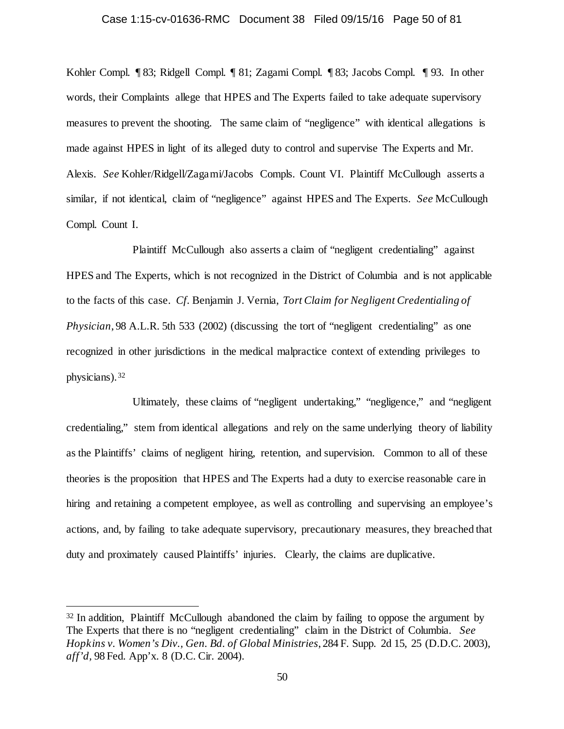# Case 1:15-cv-01636-RMC Document 38 Filed 09/15/16 Page 50 of 81

Kohler Compl. ¶ 83; Ridgell Compl. ¶ 81; Zagami Compl. ¶ 83; Jacobs Compl. ¶ 93. In other words, their Complaints allege that HPES and The Experts failed to take adequate supervisory measures to prevent the shooting. The same claim of "negligence" with identical allegations is made against HPES in light of its alleged duty to control and supervise The Experts and Mr. Alexis. *See* Kohler/Ridgell/Zagami/Jacobs Compls. Count VI. Plaintiff McCullough asserts a similar, if not identical, claim of "negligence" against HPES and The Experts. *See* McCullough Compl. Count I.

Plaintiff McCullough also asserts a claim of "negligent credentialing" against HPES and The Experts, which is not recognized in the District of Columbia and is not applicable to the facts of this case. *Cf.* Benjamin J. Vernia, *Tort Claim for Negligent Credentialing of Physician*, 98 A.L.R. 5th 533 (2002) (discussing the tort of "negligent credentialing" as one recognized in other jurisdictions in the medical malpractice context of extending privileges to physicians).[32](#page-49-0)

Ultimately, these claims of "negligent undertaking," "negligence," and "negligent credentialing," stem from identical allegations and rely on the same underlying theory of liability as the Plaintiffs' claims of negligent hiring, retention, and supervision. Common to all of these theories is the proposition that HPES and The Experts had a duty to exercise reasonable care in hiring and retaining a competent employee, as well as controlling and supervising an employee's actions, and, by failing to take adequate supervisory, precautionary measures, they breached that duty and proximately caused Plaintiffs' injuries. Clearly, the claims are duplicative.

<span id="page-49-0"></span><sup>&</sup>lt;sup>32</sup> In addition, Plaintiff McCullough abandoned the claim by failing to oppose the argument by The Experts that there is no "negligent credentialing" claim in the District of Columbia. *See Hopkins v. Women's Div., Gen. Bd. of Global Ministries*, 284 F. Supp. 2d 15, 25 (D.D.C. 2003), *aff'd,* 98 Fed. App'x. 8 (D.C. Cir. 2004).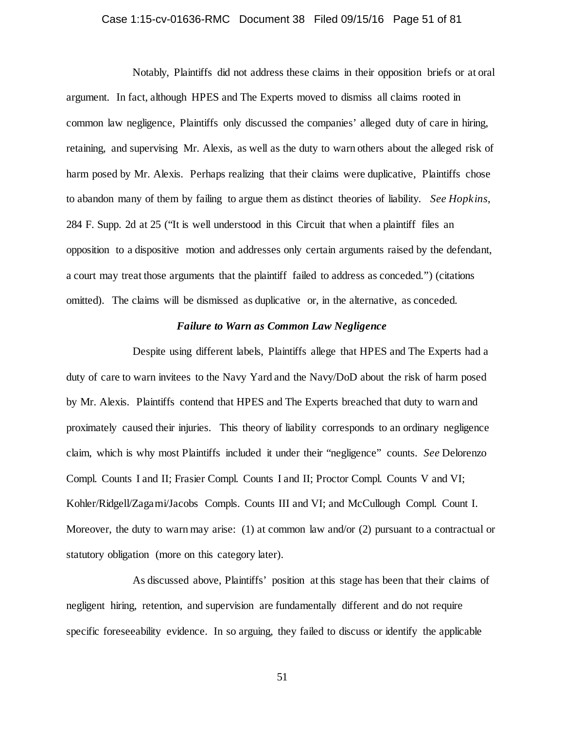## Case 1:15-cv-01636-RMC Document 38 Filed 09/15/16 Page 51 of 81

Notably, Plaintiffs did not address these claims in their opposition briefs or at oral argument. In fact, although HPES and The Experts moved to dismiss all claims rooted in common law negligence, Plaintiffs only discussed the companies' alleged duty of care in hiring, retaining, and supervising Mr. Alexis, as well as the duty to warn others about the alleged risk of harm posed by Mr. Alexis. Perhaps realizing that their claims were duplicative, Plaintiffs chose to abandon many of them by failing to argue them as distinct theories of liability. *See Hopkins*, 284 F. Supp. 2d at 25 ("It is well understood in this Circuit that when a plaintiff files an opposition to a dispositive motion and addresses only certain arguments raised by the defendant, a court may treat those arguments that the plaintiff failed to address as conceded.") (citations omitted). The claims will be dismissed as duplicative or, in the alternative, as conceded.

## *Failure to Warn as Common Law Negligence*

Despite using different labels, Plaintiffs allege that HPES and The Experts had a duty of care to warn invitees to the Navy Yard and the Navy/DoD about the risk of harm posed by Mr. Alexis. Plaintiffs contend that HPES and The Experts breached that duty to warn and proximately caused their injuries. This theory of liability corresponds to an ordinary negligence claim, which is why most Plaintiffs included it under their "negligence" counts. *See* Delorenzo Compl. Counts I and II; Frasier Compl. Counts I and II; Proctor Compl. Counts V and VI; Kohler/Ridgell/Zagami/Jacobs Compls. Counts III and VI; and McCullough Compl. Count I. Moreover, the duty to warn may arise: (1) at common law and/or (2) pursuant to a contractual or statutory obligation (more on this category later).

As discussed above, Plaintiffs' position at this stage has been that their claims of negligent hiring, retention, and supervision are fundamentally different and do not require specific foreseeability evidence. In so arguing, they failed to discuss or identify the applicable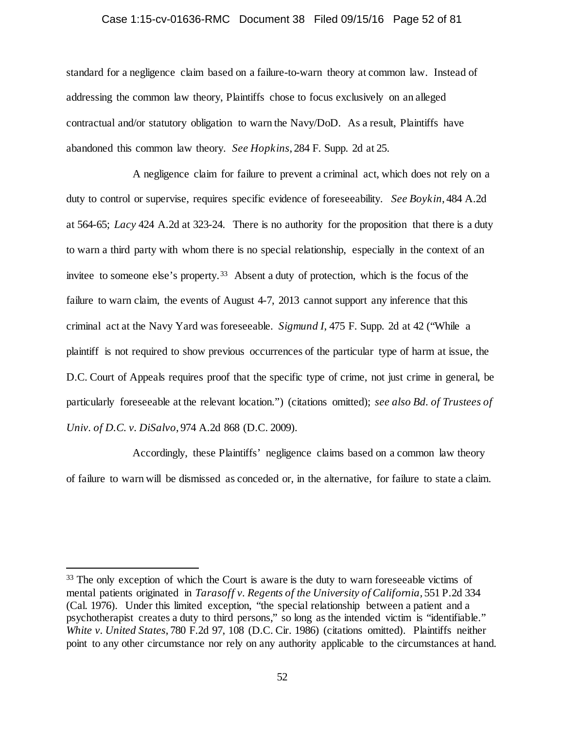#### Case 1:15-cv-01636-RMC Document 38 Filed 09/15/16 Page 52 of 81

standard for a negligence claim based on a failure-to-warn theory at common law. Instead of addressing the common law theory, Plaintiffs chose to focus exclusively on an alleged contractual and/or statutory obligation to warn the Navy/DoD. As a result, Plaintiffs have abandoned this common law theory. *See Hopkins*, 284 F. Supp. 2d at 25.

A negligence claim for failure to prevent a criminal act, which does not rely on a duty to control or supervise, requires specific evidence of foreseeability. *See Boykin*, 484 A.2d at 564-65; *Lacy* 424 A.2d at 323-24. There is no authority for the proposition that there is a duty to warn a third party with whom there is no special relationship, especially in the context of an invitee to someone else's property.<sup>[33](#page-51-0)</sup> Absent a duty of protection, which is the focus of the failure to warn claim, the events of August 4-7, 2013 cannot support any inference that this criminal act at the Navy Yard was foreseeable. *Sigmund I*, 475 F. Supp. 2d at 42 ("While a plaintiff is not required to show previous occurrences of the particular type of harm at issue, the D.C. Court of Appeals requires proof that the specific type of crime, not just crime in general, be particularly foreseeable at the relevant location.") (citations omitted); *see also Bd. of Trustees of Univ. of D.C. v. DiSalvo*, 974 A.2d 868 (D.C. 2009).

Accordingly, these Plaintiffs' negligence claims based on a common law theory of failure to warn will be dismissed as conceded or, in the alternative, for failure to state a claim.

<span id="page-51-0"></span><sup>&</sup>lt;sup>33</sup> The only exception of which the Court is aware is the duty to warn foreseeable victims of mental patients originated in *Tarasoff v. Regents of the University of California*, 551 P.2d 334 (Cal. 1976). Under this limited exception, "the special relationship between a patient and a psychotherapist creates a duty to third persons," so long as the intended victim is "identifiable." *White v. United States*, 780 F.2d 97, 108 (D.C. Cir. 1986) (citations omitted). Plaintiffs neither point to any other circumstance nor rely on any authority applicable to the circumstances at hand.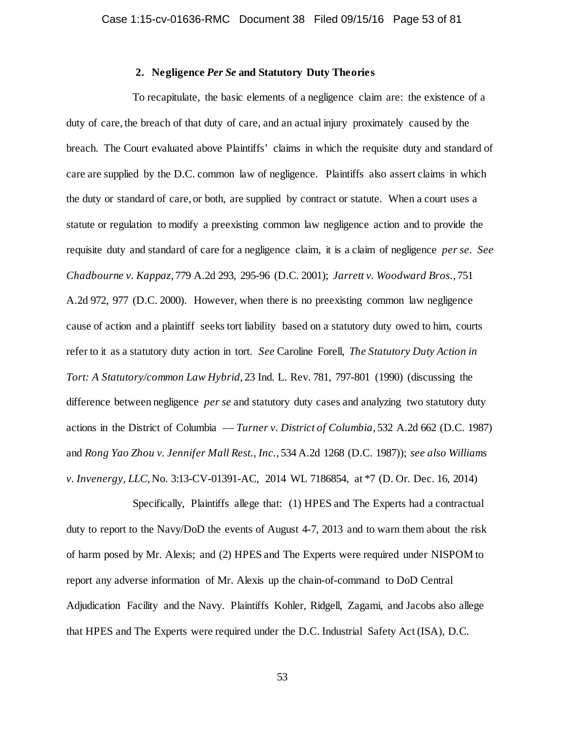## **2. Negligence** *Per Se* **and Statutory Duty Theories**

To recapitulate, the basic elements of a negligence claim are: the existence of a duty of care, the breach of that duty of care, and an actual injury proximately caused by the breach. The Court evaluated above Plaintiffs' claims in which the requisite duty and standard of care are supplied by the D.C. common law of negligence. Plaintiffs also assert claims in which the duty or standard of care, or both, are supplied by contract or statute. When a court uses a statute or regulation to modify a preexisting common law negligence action and to provide the requisite duty and standard of care for a negligence claim, it is a claim of negligence *per se*. *See Chadbourne v. Kappaz*, 779 A.2d 293, 295-96 (D.C. 2001); *Jarrett v. Woodward Bros.*, 751 A.2d 972, 977 (D.C. 2000). However, when there is no preexisting common law negligence cause of action and a plaintiff seeks tort liability based on a statutory duty owed to him, courts refer to it as a statutory duty action in tort. *See* Caroline Forell, *The Statutory Duty Action in Tort: A Statutory/common Law Hybrid*, 23 Ind. L. Rev. 781, 797-801 (1990) (discussing the difference between negligence *per se* and statutory duty cases and analyzing two statutory duty actions in the District of Columbia –– *Turner v. District of Columbia*, 532 A.2d 662 (D.C. 1987) and *Rong Yao Zhou v. Jennifer Mall Rest., Inc.*, 534 A.2d 1268 (D.C. 1987)); *see also Williams v. Invenergy, LLC*, No. 3:13-CV-01391-AC, 2014 WL 7186854, at \*7 (D. Or. Dec. 16, 2014)

Specifically, Plaintiffs allege that: (1) HPES and The Experts had a contractual duty to report to the Navy/DoD the events of August 4-7, 2013 and to warn them about the risk of harm posed by Mr. Alexis; and (2) HPES and The Experts were required under NISPOM to report any adverse information of Mr. Alexis up the chain-of-command to DoD Central Adjudication Facility and the Navy. Plaintiffs Kohler, Ridgell, Zagami, and Jacobs also allege that HPES and The Experts were required under the D.C. Industrial Safety Act (ISA), D.C.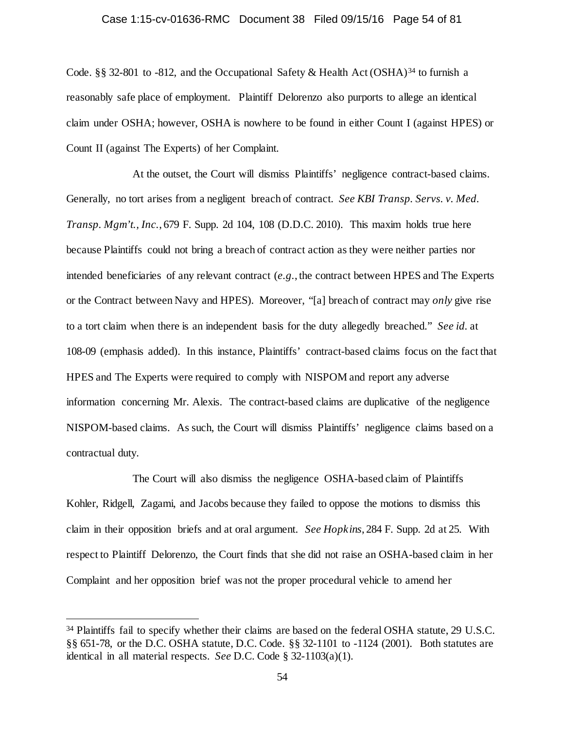## Case 1:15-cv-01636-RMC Document 38 Filed 09/15/16 Page 54 of 81

Code. §§ 32-801 to -812, and the Occupational Safety & Health Act (OSHA)<sup>[34](#page-53-0)</sup> to furnish a reasonably safe place of employment. Plaintiff Delorenzo also purports to allege an identical claim under OSHA; however, OSHA is nowhere to be found in either Count I (against HPES) or Count II (against The Experts) of her Complaint.

At the outset, the Court will dismiss Plaintiffs' negligence contract-based claims. Generally, no tort arises from a negligent breach of contract. *See KBI Transp. Servs. v. Med. Transp. Mgm't., Inc.*, 679 F. Supp. 2d 104, 108 (D.D.C. 2010). This maxim holds true here because Plaintiffs could not bring a breach of contract action as they were neither parties nor intended beneficiaries of any relevant contract (*e.g.*, the contract between HPES and The Experts or the Contract between Navy and HPES). Moreover, "[a] breach of contract may *only* give rise to a tort claim when there is an independent basis for the duty allegedly breached." *See id.* at 108-09 (emphasis added). In this instance, Plaintiffs' contract-based claims focus on the fact that HPES and The Experts were required to comply with NISPOM and report any adverse information concerning Mr. Alexis. The contract-based claims are duplicative of the negligence NISPOM-based claims. As such, the Court will dismiss Plaintiffs' negligence claims based on a contractual duty.

The Court will also dismiss the negligence OSHA-based claim of Plaintiffs Kohler, Ridgell, Zagami, and Jacobs because they failed to oppose the motions to dismiss this claim in their opposition briefs and at oral argument. *See Hopkins*, 284 F. Supp. 2d at 25. With respect to Plaintiff Delorenzo, the Court finds that she did not raise an OSHA-based claim in her Complaint and her opposition brief was not the proper procedural vehicle to amend her

<span id="page-53-0"></span><sup>&</sup>lt;sup>34</sup> Plaintiffs fail to specify whether their claims are based on the federal OSHA statute, 29 U.S.C. §§ 651-78, or the D.C. OSHA statute, D.C. Code. §§ 32-1101 to -1124 (2001). Both statutes are identical in all material respects. *See* D.C. Code § 32-1103(a)(1).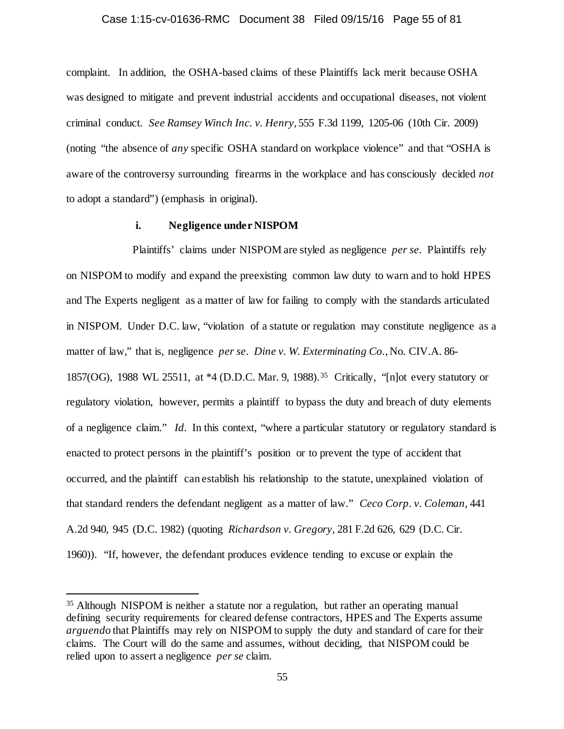#### Case 1:15-cv-01636-RMC Document 38 Filed 09/15/16 Page 55 of 81

complaint. In addition, the OSHA-based claims of these Plaintiffs lack merit because OSHA was designed to mitigate and prevent industrial accidents and occupational diseases, not violent criminal conduct. *See Ramsey Winch Inc. v. Henry*, 555 F.3d 1199, 1205-06 (10th Cir. 2009) (noting "the absence of *any* specific OSHA standard on workplace violence" and that "OSHA is aware of the controversy surrounding firearms in the workplace and has consciously decided *not*  to adopt a standard") (emphasis in original).

## **i. Negligence under NISPOM**

Plaintiffs' claims under NISPOM are styled as negligence *per se*. Plaintiffs rely on NISPOM to modify and expand the preexisting common law duty to warn and to hold HPES and The Experts negligent as a matter of law for failing to comply with the standards articulated in NISPOM. Under D.C. law, "violation of a statute or regulation may constitute negligence as a matter of law," that is, negligence *per se*. *Dine v. W. Exterminating Co.*, No. CIV.A. 86- 1857(OG), 1988 WL 25511, at \*4 (D.D.C. Mar. 9, 1988).[35](#page-54-0) Critically, "[n]ot every statutory or regulatory violation, however, permits a plaintiff to bypass the duty and breach of duty elements of a negligence claim." *Id.* In this context, "where a particular statutory or regulatory standard is enacted to protect persons in the plaintiff's position or to prevent the type of accident that occurred, and the plaintiff can establish his relationship to the statute, unexplained violation of that standard renders the defendant negligent as a matter of law." *Ceco Corp. v. Coleman,* 441 A.2d 940, 945 (D.C. 1982) (quoting *Richardson v. Gregory,* 281 F.2d 626, 629 (D.C. Cir. 1960)). "If, however, the defendant produces evidence tending to excuse or explain the

<span id="page-54-0"></span> <sup>35</sup> Although NISPOM is neither a statute nor a regulation, but rather an operating manual defining security requirements for cleared defense contractors, HPES and The Experts assume *arguendo* that Plaintiffs may rely on NISPOM to supply the duty and standard of care for their claims. The Court will do the same and assumes, without deciding, that NISPOM could be relied upon to assert a negligence *per se* claim.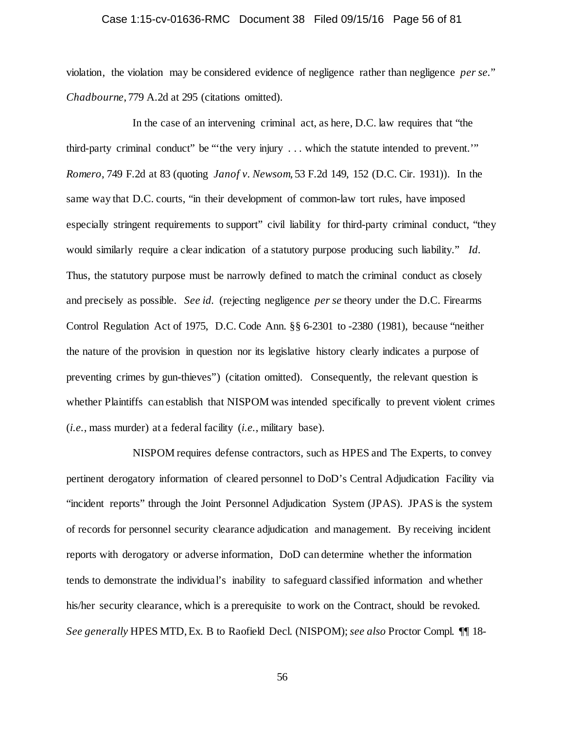## Case 1:15-cv-01636-RMC Document 38 Filed 09/15/16 Page 56 of 81

violation, the violation may be considered evidence of negligence rather than negligence *per se.*" *Chadbourne*, 779 A.2d at 295 (citations omitted).

In the case of an intervening criminal act, as here, D.C. law requires that "the third-party criminal conduct" be "'the very injury . . . which the statute intended to prevent.'" *Romero*, 749 F.2d at 83 (quoting *Janof v. Newsom*, 53 F.2d 149, 152 (D.C. Cir. 1931)). In the same way that D.C. courts, "in their development of common-law tort rules, have imposed especially stringent requirements to support" civil liability for third-party criminal conduct, "they would similarly require a clear indication of a statutory purpose producing such liability." *Id.* Thus, the statutory purpose must be narrowly defined to match the criminal conduct as closely and precisely as possible. *See id.* (rejecting negligence *per se* theory under the D.C. Firearms Control Regulation Act of 1975, D.C. Code Ann. §§ 6-2301 to -2380 (1981), because "neither the nature of the provision in question nor its legislative history clearly indicates a purpose of preventing crimes by gun-thieves") (citation omitted). Consequently, the relevant question is whether Plaintiffs can establish that NISPOM was intended specifically to prevent violent crimes (*i.e.*, mass murder) at a federal facility (*i.e.*, military base).

NISPOM requires defense contractors, such as HPES and The Experts, to convey pertinent derogatory information of cleared personnel to DoD's Central Adjudication Facility via "incident reports" through the Joint Personnel Adjudication System (JPAS). JPAS is the system of records for personnel security clearance adjudication and management. By receiving incident reports with derogatory or adverse information, DoD can determine whether the information tends to demonstrate the individual's inability to safeguard classified information and whether his/her security clearance, which is a prerequisite to work on the Contract, should be revoked. *See generally* HPES MTD, Ex. B to Raofield Decl. (NISPOM); *see also* Proctor Compl. ¶¶ 18-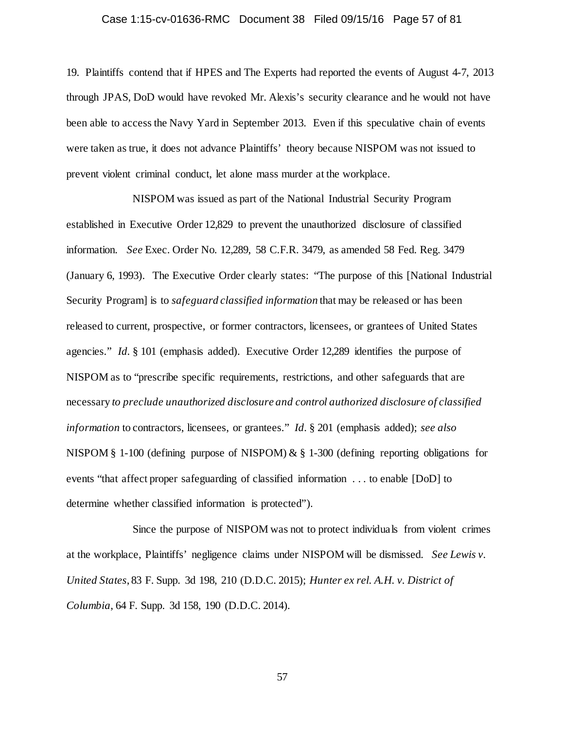## Case 1:15-cv-01636-RMC Document 38 Filed 09/15/16 Page 57 of 81

19. Plaintiffs contend that if HPES and The Experts had reported the events of August 4-7, 2013 through JPAS, DoD would have revoked Mr. Alexis's security clearance and he would not have been able to access the Navy Yard in September 2013. Even if this speculative chain of events were taken as true, it does not advance Plaintiffs' theory because NISPOM was not issued to prevent violent criminal conduct, let alone mass murder at the workplace.

NISPOM was issued as part of the National Industrial Security Program established in Executive Order 12,829 to prevent the unauthorized disclosure of classified information. *See* Exec. Order No. 12,289, 58 C.F.R. 3479, as amended 58 Fed. Reg. 3479 (January 6, 1993). The Executive Order clearly states: "The purpose of this [National Industrial Security Program] is to *safeguard classified information* that may be released or has been released to current, prospective, or former contractors, licensees, or grantees of United States agencies." *Id.* § 101 (emphasis added). Executive Order 12,289 identifies the purpose of NISPOM as to "prescribe specific requirements, restrictions, and other safeguards that are necessary *to preclude unauthorized disclosure and control authorized disclosure of classified information* to contractors, licensees, or grantees." *Id.* § 201 (emphasis added); *see also* NISPOM § 1-100 (defining purpose of NISPOM) & § 1-300 (defining reporting obligations for events "that affect proper safeguarding of classified information . . . to enable [DoD] to determine whether classified information is protected").

Since the purpose of NISPOM was not to protect individuals from violent crimes at the workplace, Plaintiffs' negligence claims under NISPOM will be dismissed. *See Lewis v. United States*, 83 F. Supp. 3d 198, 210 (D.D.C. 2015); *Hunter ex rel. A.H. v. District of Columbia*, 64 F. Supp. 3d 158, 190 (D.D.C. 2014).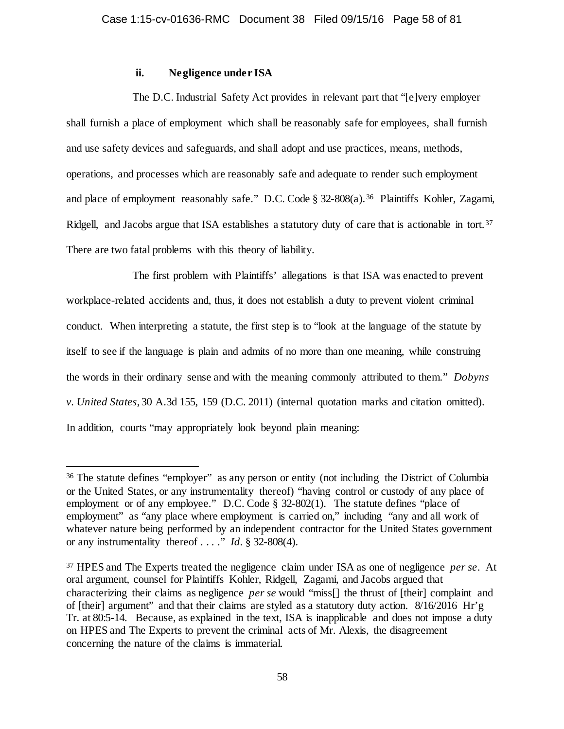## **ii. Negligence under ISA**

The D.C. Industrial Safety Act provides in relevant part that "[e]very employer shall furnish a place of employment which shall be reasonably safe for employees, shall furnish and use safety devices and safeguards, and shall adopt and use practices, means, methods, operations, and processes which are reasonably safe and adequate to render such employment and place of employment reasonably safe." D.C. Code § 32-808(a).<sup>36</sup> Plaintiffs Kohler, Zagami, Ridgell, and Jacobs argue that ISA establishes a statutory duty of care that is actionable in tort.<sup>[37](#page-57-1)</sup> There are two fatal problems with this theory of liability.

The first problem with Plaintiffs' allegations is that ISA was enacted to prevent workplace-related accidents and, thus, it does not establish a duty to prevent violent criminal conduct. When interpreting a statute, the first step is to "look at the language of the statute by itself to see if the language is plain and admits of no more than one meaning, while construing the words in their ordinary sense and with the meaning commonly attributed to them." *Dobyns v. United States*, 30 A.3d 155, 159 (D.C. 2011) (internal quotation marks and citation omitted). In addition, courts "may appropriately look beyond plain meaning:

<span id="page-57-0"></span> <sup>36</sup> The statute defines "employer" as any person or entity (not including the District of Columbia or the United States, or any instrumentality thereof) "having control or custody of any place of employment or of any employee." D.C. Code § 32-802(1). The statute defines "place of employment" as "any place where employment is carried on," including "any and all work of whatever nature being performed by an independent contractor for the United States government or any instrumentality thereof . . . ." *Id.* § 32-808(4).

<span id="page-57-1"></span><sup>37</sup> HPES and The Experts treated the negligence claim under ISA as one of negligence *per se*. At oral argument, counsel for Plaintiffs Kohler, Ridgell, Zagami, and Jacobs argued that characterizing their claims as negligence *per se* would "miss[] the thrust of [their] complaint and of [their] argument" and that their claims are styled as a statutory duty action. 8/16/2016 Hr'g Tr. at 80:5-14. Because, as explained in the text, ISA is inapplicable and does not impose a duty on HPES and The Experts to prevent the criminal acts of Mr. Alexis, the disagreement concerning the nature of the claims is immaterial.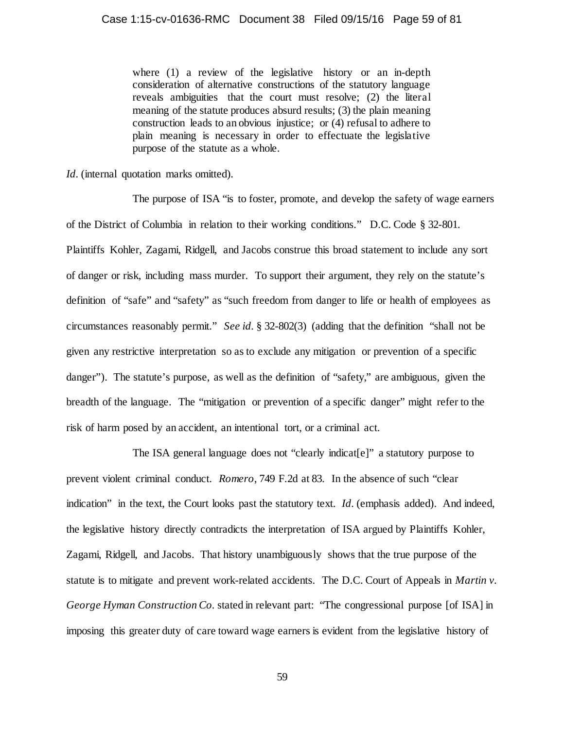where (1) a review of the legislative history or an in-depth consideration of alternative constructions of the statutory language reveals ambiguities that the court must resolve; (2) the literal meaning of the statute produces absurd results; (3) the plain meaning construction leads to an obvious injustice; or (4) refusal to adhere to plain meaning is necessary in order to effectuate the legislative purpose of the statute as a whole.

*Id.* (internal quotation marks omitted).

The purpose of ISA "is to foster, promote, and develop the safety of wage earners of the District of Columbia in relation to their working conditions." D.C. Code § 32-801. Plaintiffs Kohler, Zagami, Ridgell, and Jacobs construe this broad statement to include any sort of danger or risk, including mass murder. To support their argument, they rely on the statute's definition of "safe" and "safety" as "such freedom from danger to life or health of employees as circumstances reasonably permit." *See id.* § 32-802(3) (adding that the definition "shall not be given any restrictive interpretation so as to exclude any mitigation or prevention of a specific danger"). The statute's purpose, as well as the definition of "safety," are ambiguous, given the breadth of the language. The "mitigation or prevention of a specific danger" might refer to the risk of harm posed by an accident, an intentional tort, or a criminal act.

The ISA general language does not "clearly indicat[e]" a statutory purpose to prevent violent criminal conduct. *Romero*, 749 F.2d at 83. In the absence of such "clear indication" in the text, the Court looks past the statutory text. *Id.* (emphasis added). And indeed, the legislative history directly contradicts the interpretation of ISA argued by Plaintiffs Kohler, Zagami, Ridgell, and Jacobs. That history unambiguously shows that the true purpose of the statute is to mitigate and prevent work-related accidents. The D.C. Court of Appeals in *Martin v. George Hyman Construction Co.* stated in relevant part: "The congressional purpose [of ISA] in imposing this greater duty of care toward wage earners is evident from the legislative history of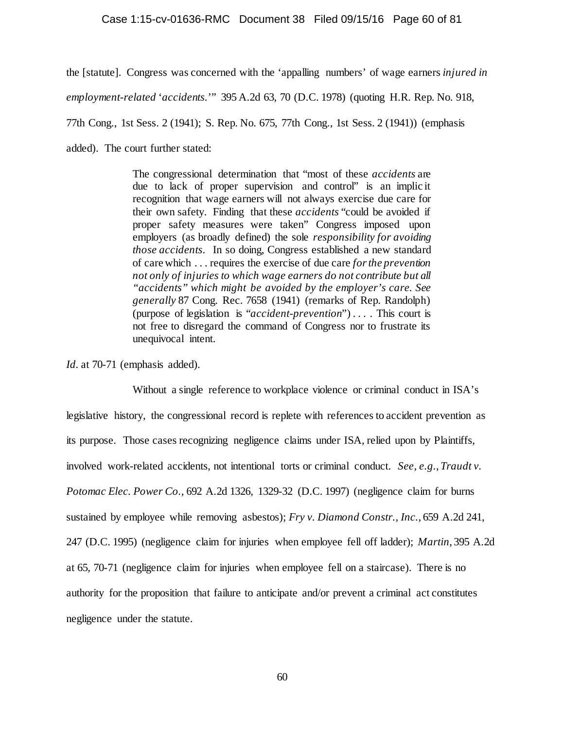#### Case 1:15-cv-01636-RMC Document 38 Filed 09/15/16 Page 60 of 81

the [statute]. Congress was concerned with the 'appalling numbers' of wage earners *injured in employment-related* '*accidents.*'" 395 A.2d 63, 70 (D.C. 1978) (quoting H.R. Rep. No. 918, 77th Cong., 1st Sess. 2 (1941); S. Rep. No. 675, 77th Cong., 1st Sess. 2 (1941)) (emphasis added). The court further stated:

> The congressional determination that "most of these *accidents* are due to lack of proper supervision and control" is an implic it recognition that wage earners will not always exercise due care for their own safety. Finding that these *accidents* "could be avoided if proper safety measures were taken" Congress imposed upon employers (as broadly defined) the sole *responsibility for avoiding those accidents*. In so doing, Congress established a new standard of care which . . . requires the exercise of due care *for the prevention not only of injuries to which wage earners do not contribute but all "accidents" which might be avoided by the employer's care. See generally* 87 Cong. Rec. 7658 (1941) (remarks of Rep. Randolph) (purpose of legislation is "*accident-prevention*") . . . . This court is not free to disregard the command of Congress nor to frustrate its unequivocal intent.

*Id.* at 70-71 (emphasis added).

Without a single reference to workplace violence or criminal conduct in ISA's legislative history, the congressional record is replete with references to accident prevention as its purpose. Those cases recognizing negligence claims under ISA, relied upon by Plaintiffs, involved work-related accidents, not intentional torts or criminal conduct. *See, e.g.*, *Traudt v. Potomac Elec. Power Co.*, 692 A.2d 1326, 1329-32 (D.C. 1997) (negligence claim for burns sustained by employee while removing asbestos); *Fry v. Diamond Constr., Inc.*, 659 A.2d 241, 247 (D.C. 1995) (negligence claim for injuries when employee fell off ladder); *Martin*, 395 A.2d at 65, 70-71 (negligence claim for injuries when employee fell on a staircase). There is no authority for the proposition that failure to anticipate and/or prevent a criminal act constitutes negligence under the statute.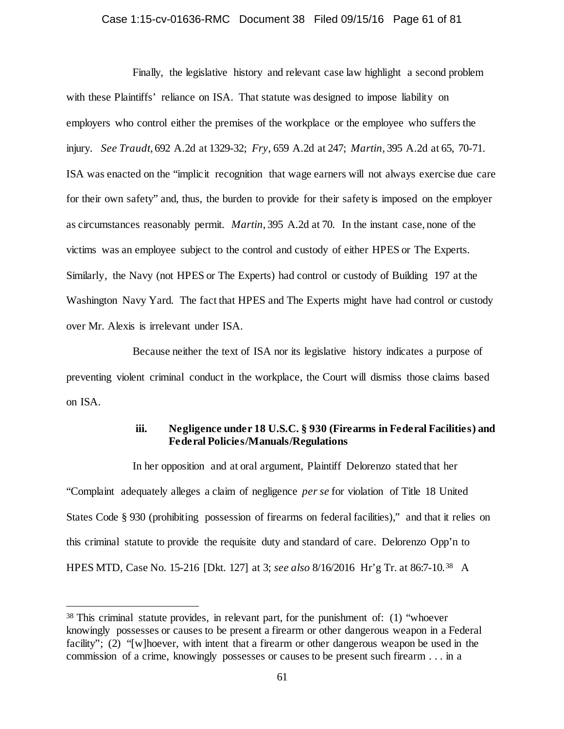## Case 1:15-cv-01636-RMC Document 38 Filed 09/15/16 Page 61 of 81

Finally, the legislative history and relevant case law highlight a second problem with these Plaintiffs' reliance on ISA. That statute was designed to impose liability on employers who control either the premises of the workplace or the employee who suffers the injury. *See Traudt*, 692 A.2d at 1329-32; *Fry*, 659 A.2d at 247; *Martin*, 395 A.2d at 65, 70-71. ISA was enacted on the "implicit recognition that wage earners will not always exercise due care for their own safety" and, thus, the burden to provide for their safety is imposed on the employer as circumstances reasonably permit. *Martin*, 395 A.2d at 70. In the instant case, none of the victims was an employee subject to the control and custody of either HPES or The Experts. Similarly, the Navy (not HPES or The Experts) had control or custody of Building 197 at the Washington Navy Yard. The fact that HPES and The Experts might have had control or custody over Mr. Alexis is irrelevant under ISA.

Because neither the text of ISA nor its legislative history indicates a purpose of preventing violent criminal conduct in the workplace, the Court will dismiss those claims based on ISA.

## **iii. Negligence under 18 U.S.C. § 930 (Firearms in Federal Facilities) and Federal Policies/Manuals/Regulations**

In her opposition and at oral argument, Plaintiff Delorenzo stated that her "Complaint adequately alleges a claim of negligence *per se* for violation of Title 18 United States Code § 930 (prohibiting possession of firearms on federal facilities)," and that it relies on this criminal statute to provide the requisite duty and standard of care. Delorenzo Opp'n to HPES MTD, Case No. 15-216 [Dkt. 127] at 3; *see also* 8/16/2016 Hr'g Tr. at 86:7-10.[38](#page-60-0) A

<span id="page-60-0"></span> <sup>38</sup> This criminal statute provides, in relevant part, for the punishment of: (1) "whoever knowingly possesses or causes to be present a firearm or other dangerous weapon in a Federal facility"; (2) "[w]hoever, with intent that a firearm or other dangerous weapon be used in the commission of a crime, knowingly possesses or causes to be present such firearm . . . in a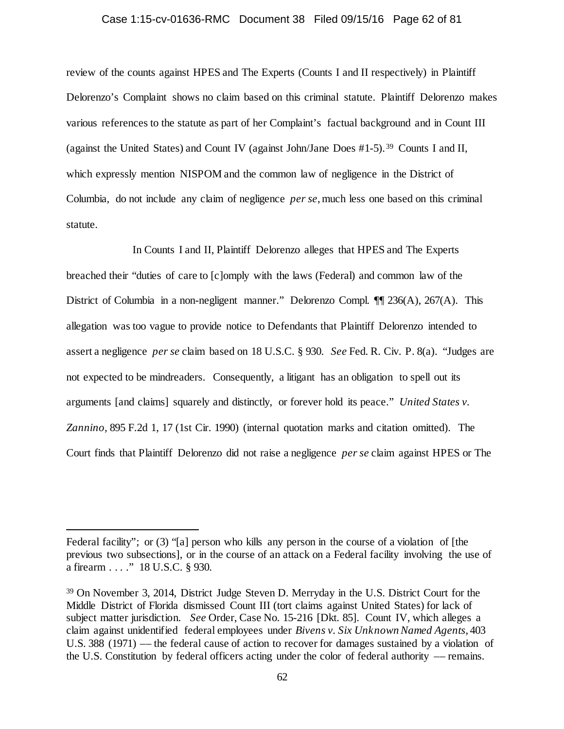# Case 1:15-cv-01636-RMC Document 38 Filed 09/15/16 Page 62 of 81

review of the counts against HPES and The Experts (Counts I and II respectively) in Plaintiff Delorenzo's Complaint shows no claim based on this criminal statute. Plaintiff Delorenzo makes various references to the statute as part of her Complaint's factual background and in Count III (against the United States) and Count IV (against John/Jane Does #1-5). [39](#page-61-0) Counts I and II, which expressly mention NISPOM and the common law of negligence in the District of Columbia, do not include any claim of negligence *per se*, much less one based on this criminal statute.

In Counts I and II, Plaintiff Delorenzo alleges that HPES and The Experts breached their "duties of care to [c]omply with the laws (Federal) and common law of the District of Columbia in a non-negligent manner." Delorenzo Compl. ¶¶ 236(A), 267(A). This allegation was too vague to provide notice to Defendants that Plaintiff Delorenzo intended to assert a negligence *per se* claim based on 18 U.S.C. § 930. *See* Fed. R. Civ. P. 8(a). "Judges are not expected to be mindreaders. Consequently, a litigant has an obligation to spell out its arguments [and claims] squarely and distinctly, or forever hold its peace." *United States v. Zannino,* 895 F.2d 1, 17 (1st Cir. 1990) (internal quotation marks and citation omitted). The Court finds that Plaintiff Delorenzo did not raise a negligence *per se* claim against HPES or The

 $\overline{a}$ 

Federal facility"; or (3) "[a] person who kills any person in the course of a violation of [the previous two subsections], or in the course of an attack on a Federal facility involving the use of a firearm . . . ." 18 U.S.C. § 930.

<span id="page-61-0"></span><sup>39</sup> On November 3, 2014, District Judge Steven D. Merryday in the U.S. District Court for the Middle District of Florida dismissed Count III (tort claims against United States) for lack of subject matter jurisdiction. *See* Order, Case No. 15-216 [Dkt. 85]. Count IV, which alleges a claim against unidentified federal employees under *Bivens v. Six Unknown Named Agents*, 403 U.S. 388 (1971) –– the federal cause of action to recover for damages sustained by a violation of the U.S. Constitution by federal officers acting under the color of federal authority –– remains.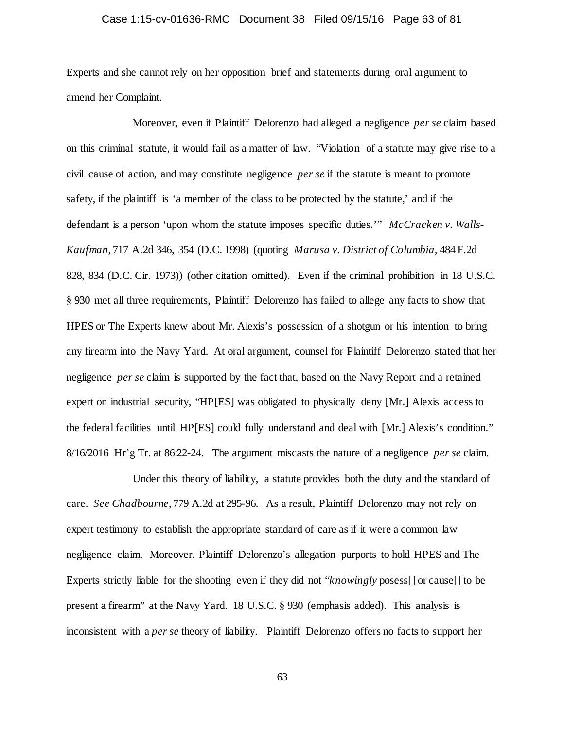## Case 1:15-cv-01636-RMC Document 38 Filed 09/15/16 Page 63 of 81

Experts and she cannot rely on her opposition brief and statements during oral argument to amend her Complaint.

Moreover, even if Plaintiff Delorenzo had alleged a negligence *per se* claim based on this criminal statute, it would fail as a matter of law. "Violation of a statute may give rise to a civil cause of action, and may constitute negligence *per se* if the statute is meant to promote safety, if the plaintiff is 'a member of the class to be protected by the statute,' and if the defendant is a person 'upon whom the statute imposes specific duties.'" *McCracken v. Walls-Kaufman*, 717 A.2d 346, 354 (D.C. 1998) (quoting *Marusa v. District of Columbia,* 484 F.2d 828, 834 (D.C. Cir. 1973)) (other citation omitted). Even if the criminal prohibition in 18 U.S.C. § 930 met all three requirements, Plaintiff Delorenzo has failed to allege any facts to show that HPES or The Experts knew about Mr. Alexis's possession of a shotgun or his intention to bring any firearm into the Navy Yard. At oral argument, counsel for Plaintiff Delorenzo stated that her negligence *per se* claim is supported by the fact that, based on the Navy Report and a retained expert on industrial security, "HP[ES] was obligated to physically deny [Mr.] Alexis access to the federal facilities until HP[ES] could fully understand and deal with [Mr.] Alexis's condition." 8/16/2016 Hr'g Tr. at 86:22-24. The argument miscasts the nature of a negligence *per se* claim.

Under this theory of liability, a statute provides both the duty and the standard of care. *See Chadbourne*, 779 A.2d at 295-96. As a result, Plaintiff Delorenzo may not rely on expert testimony to establish the appropriate standard of care as if it were a common law negligence claim. Moreover, Plaintiff Delorenzo's allegation purports to hold HPES and The Experts strictly liable for the shooting even if they did not "*knowingly* posess[] or cause[] to be present a firearm" at the Navy Yard. 18 U.S.C. § 930 (emphasis added). This analysis is inconsistent with a *per se* theory of liability. Plaintiff Delorenzo offers no facts to support her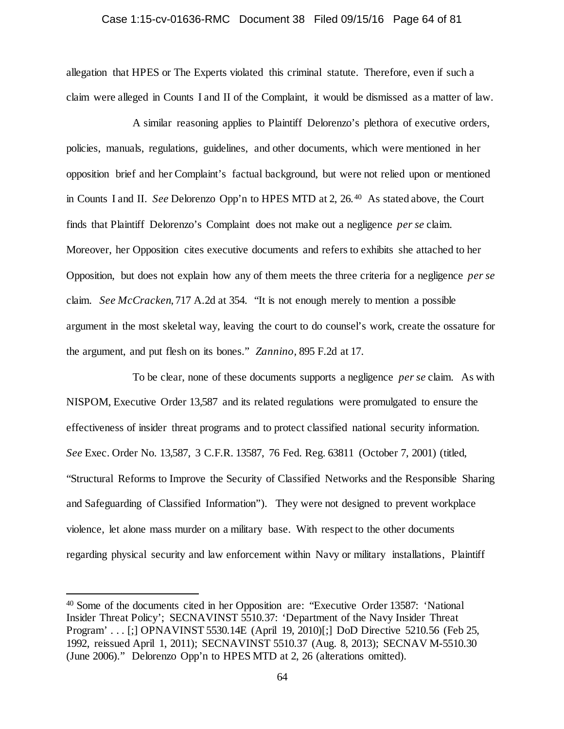# Case 1:15-cv-01636-RMC Document 38 Filed 09/15/16 Page 64 of 81

allegation that HPES or The Experts violated this criminal statute. Therefore, even if such a claim were alleged in Counts I and II of the Complaint, it would be dismissed as a matter of law.

A similar reasoning applies to Plaintiff Delorenzo's plethora of executive orders, policies, manuals, regulations, guidelines, and other documents, which were mentioned in her opposition brief and her Complaint's factual background, but were not relied upon or mentioned in Counts I and II. *See* Delorenzo Opp'n to HPES MTD at 2, 26.[40](#page-63-0) As stated above, the Court finds that Plaintiff Delorenzo's Complaint does not make out a negligence *per se* claim. Moreover, her Opposition cites executive documents and refers to exhibits she attached to her Opposition, but does not explain how any of them meets the three criteria for a negligence *per se* claim. *See McCracken*, 717 A.2d at 354. "It is not enough merely to mention a possible argument in the most skeletal way, leaving the court to do counsel's work, create the ossature for the argument, and put flesh on its bones." *Zannino,* 895 F.2d at 17.

To be clear, none of these documents supports a negligence *per se* claim. As with NISPOM, Executive Order 13,587 and its related regulations were promulgated to ensure the effectiveness of insider threat programs and to protect classified national security information. *See* Exec. Order No. 13,587, 3 C.F.R. 13587, 76 Fed. Reg. 63811 (October 7, 2001) (titled, "Structural Reforms to Improve the Security of Classified Networks and the Responsible Sharing and Safeguarding of Classified Information"). They were not designed to prevent workplace violence, let alone mass murder on a military base. With respect to the other documents regarding physical security and law enforcement within Navy or military installations, Plaintiff

<span id="page-63-0"></span> <sup>40</sup> Some of the documents cited in her Opposition are: "Executive Order 13587: 'National Insider Threat Policy'; SECNAVINST 5510.37: 'Department of the Navy Insider Threat Program' . . . [;] OPNAVINST 5530.14E (April 19, 2010)[;] DoD Directive 5210.56 (Feb 25, 1992, reissued April 1, 2011); SECNAVINST 5510.37 (Aug. 8, 2013); SECNAV M-5510.30 (June 2006)." Delorenzo Opp'n to HPES MTD at 2, 26 (alterations omitted).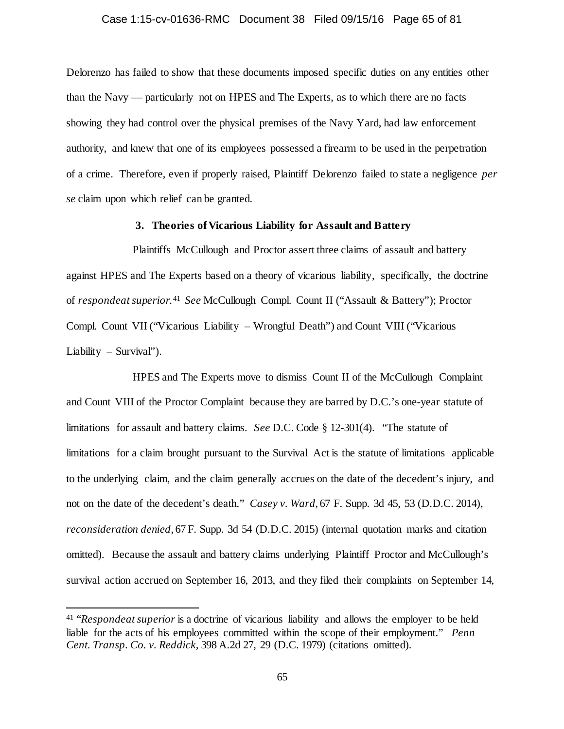## Case 1:15-cv-01636-RMC Document 38 Filed 09/15/16 Page 65 of 81

Delorenzo has failed to show that these documents imposed specific duties on any entities other than the Navy –– particularly not on HPES and The Experts, as to which there are no facts showing they had control over the physical premises of the Navy Yard, had law enforcement authority, and knew that one of its employees possessed a firearm to be used in the perpetration of a crime. Therefore, even if properly raised, Plaintiff Delorenzo failed to state a negligence *per se* claim upon which relief can be granted.

## **3. Theories of Vicarious Liability for Assault and Battery**

Plaintiffs McCullough and Proctor assert three claims of assault and battery against HPES and The Experts based on a theory of vicarious liability, specifically, the doctrine of *respondeat superior*. [41](#page-64-0) *See* McCullough Compl. Count II ("Assault & Battery"); Proctor Compl. Count VII ("Vicarious Liability – Wrongful Death") and Count VIII ("Vicarious Liability – Survival").

HPES and The Experts move to dismiss Count II of the McCullough Complaint and Count VIII of the Proctor Complaint because they are barred by D.C.'s one-year statute of limitations for assault and battery claims. *See* D.C. Code § 12-301(4). "The statute of limitations for a claim brought pursuant to the Survival Act is the statute of limitations applicable to the underlying claim, and the claim generally accrues on the date of the decedent's injury, and not on the date of the decedent's death." *Casey v. Ward*, 67 F. Supp. 3d 45, 53 (D.D.C. 2014), *reconsideration denied*, 67 F. Supp. 3d 54 (D.D.C. 2015) (internal quotation marks and citation omitted). Because the assault and battery claims underlying Plaintiff Proctor and McCullough's survival action accrued on September 16, 2013, and they filed their complaints on September 14,

<span id="page-64-0"></span> <sup>41</sup> "*Respondeat superior* is a doctrine of vicarious liability and allows the employer to be held liable for the acts of his employees committed within the scope of their employment." *Penn Cent. Transp. Co. v. Reddick,* 398 A.2d 27, 29 (D.C. 1979) (citations omitted).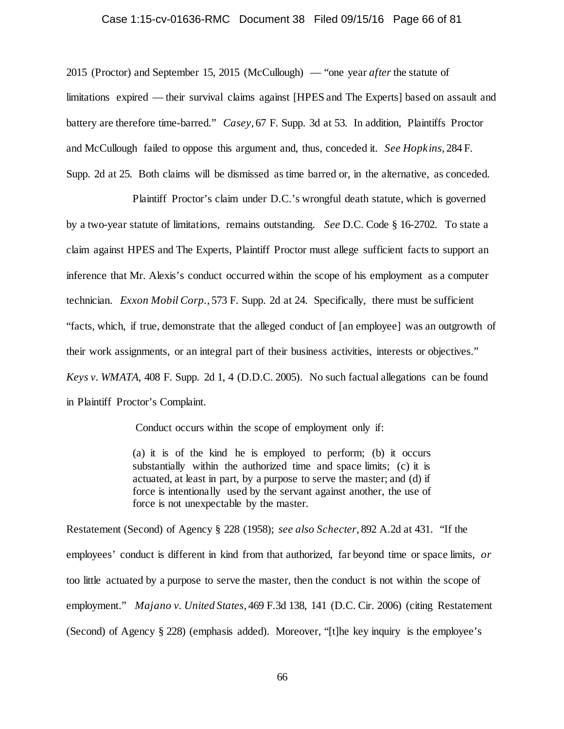# Case 1:15-cv-01636-RMC Document 38 Filed 09/15/16 Page 66 of 81

2015 (Proctor) and September 15, 2015 (McCullough) — "one year *after* the statute of limitations expired — their survival claims against [HPES and The Experts] based on assault and battery are therefore time-barred." *Casey*, 67 F. Supp. 3d at 53. In addition, Plaintiffs Proctor and McCullough failed to oppose this argument and, thus, conceded it. *See Hopkins*, 284 F. Supp. 2d at 25. Both claims will be dismissed as time barred or, in the alternative, as conceded.

Plaintiff Proctor's claim under D.C.'s wrongful death statute, which is governed by a two-year statute of limitations, remains outstanding. *See* D.C. Code § 16-2702. To state a claim against HPES and The Experts, Plaintiff Proctor must allege sufficient facts to support an inference that Mr. Alexis's conduct occurred within the scope of his employment as a computer technician. *Exxon Mobil Corp.*, 573 F. Supp. 2d at 24. Specifically, there must be sufficient "facts, which, if true, demonstrate that the alleged conduct of [an employee] was an outgrowth of their work assignments, or an integral part of their business activities, interests or objectives." *Keys v. WMATA*, 408 F. Supp. 2d 1, 4 (D.D.C. 2005). No such factual allegations can be found in Plaintiff Proctor's Complaint.

Conduct occurs within the scope of employment only if:

(a) it is of the kind he is employed to perform; (b) it occurs substantially within the authorized time and space limits; (c) it is actuated, at least in part, by a purpose to serve the master; and (d) if force is intentionally used by the servant against another, the use of force is not unexpectable by the master.

Restatement (Second) of Agency § 228 (1958); *see also Schecter*, 892 A.2d at 431. "If the employees' conduct is different in kind from that authorized, far beyond time or space limits, *or* too little actuated by a purpose to serve the master, then the conduct is not within the scope of employment." *Majano v. United States*, 469 F.3d 138, 141 (D.C. Cir. 2006) (citing Restatement (Second) of Agency § 228) (emphasis added). Moreover, "[t]he key inquiry is the employee's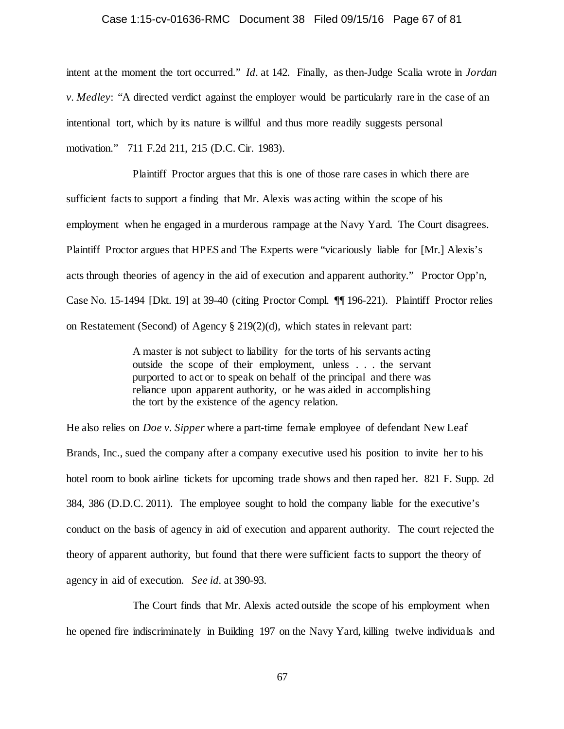# Case 1:15-cv-01636-RMC Document 38 Filed 09/15/16 Page 67 of 81

intent at the moment the tort occurred." *Id.* at 142. Finally, as then-Judge Scalia wrote in *Jordan v. Medley*: "A directed verdict against the employer would be particularly rare in the case of an intentional tort, which by its nature is willful and thus more readily suggests personal motivation." 711 F.2d 211, 215 (D.C. Cir. 1983).

Plaintiff Proctor argues that this is one of those rare cases in which there are sufficient facts to support a finding that Mr. Alexis was acting within the scope of his employment when he engaged in a murderous rampage at the Navy Yard. The Court disagrees. Plaintiff Proctor argues that HPES and The Experts were "vicariously liable for [Mr.] Alexis's acts through theories of agency in the aid of execution and apparent authority." Proctor Opp'n, Case No. 15-1494 [Dkt. 19] at 39-40 (citing Proctor Compl. ¶¶ 196-221). Plaintiff Proctor relies on Restatement (Second) of Agency § 219(2)(d), which states in relevant part:

> A master is not subject to liability for the torts of his servants acting outside the scope of their employment, unless . . . the servant purported to act or to speak on behalf of the principal and there was reliance upon apparent authority, or he was aided in accomplishing the tort by the existence of the agency relation.

He also relies on *Doe v. Sipper* where a part-time female employee of defendant New Leaf Brands, Inc., sued the company after a company executive used his position to invite her to his hotel room to book airline tickets for upcoming trade shows and then raped her. 821 F. Supp. 2d 384, 386 (D.D.C. 2011). The employee sought to hold the company liable for the executive's conduct on the basis of agency in aid of execution and apparent authority. The court rejected the theory of apparent authority, but found that there were sufficient facts to support the theory of agency in aid of execution. *See id.* at 390-93.

The Court finds that Mr. Alexis acted outside the scope of his employment when he opened fire indiscriminately in Building 197 on the Navy Yard, killing twelve individuals and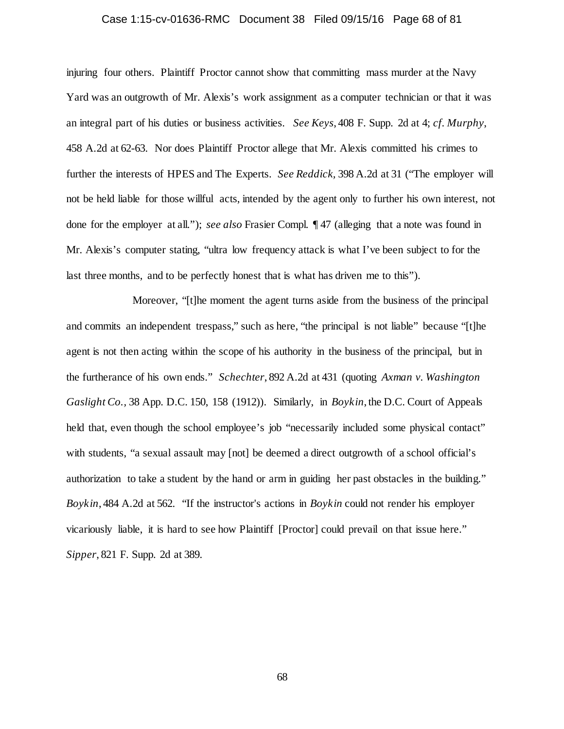## Case 1:15-cv-01636-RMC Document 38 Filed 09/15/16 Page 68 of 81

injuring four others. Plaintiff Proctor cannot show that committing mass murder at the Navy Yard was an outgrowth of Mr. Alexis's work assignment as a computer technician or that it was an integral part of his duties or business activities. *See Keys*, 408 F. Supp. 2d at 4; *cf. Murphy*, 458 A.2d at 62-63. Nor does Plaintiff Proctor allege that Mr. Alexis committed his crimes to further the interests of HPES and The Experts. *See Reddick,* 398 A.2d at 31 ("The employer will not be held liable for those willful acts, intended by the agent only to further his own interest, not done for the employer at all."); *see also* Frasier Compl. ¶ 47 (alleging that a note was found in Mr. Alexis's computer stating, "ultra low frequency attack is what I've been subject to for the last three months, and to be perfectly honest that is what has driven me to this").

Moreover, "[t]he moment the agent turns aside from the business of the principal and commits an independent trespass," such as here, "the principal is not liable" because "[t]he agent is not then acting within the scope of his authority in the business of the principal, but in the furtherance of his own ends." *Schechter*, 892 A.2d at 431 (quoting *Axman v. Washington Gaslight Co.,* 38 App. D.C. 150, 158 (1912)). Similarly, in *Boykin*, the D.C. Court of Appeals held that, even though the school employee's job "necessarily included some physical contact" with students, "a sexual assault may  $[not]$  be deemed a direct outgrowth of a school official's authorization to take a student by the hand or arm in guiding her past obstacles in the building." *Boykin*, 484 A.2d at 562. "If the instructor's actions in *Boykin* could not render his employer vicariously liable, it is hard to see how Plaintiff [Proctor] could prevail on that issue here." *Sipper*, 821 F. Supp. 2d at 389.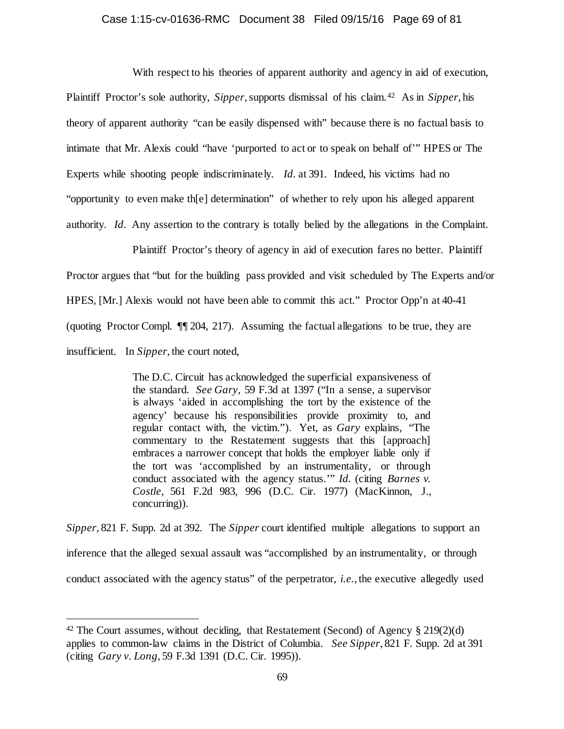# Case 1:15-cv-01636-RMC Document 38 Filed 09/15/16 Page 69 of 81

With respect to his theories of apparent authority and agency in aid of execution, Plaintiff Proctor's sole authority, *Sipper*, supports dismissal of his claim.[42](#page-68-0) As in *Sipper*, his theory of apparent authority "can be easily dispensed with" because there is no factual basis to intimate that Mr. Alexis could "have 'purported to act or to speak on behalf of'" HPES or The Experts while shooting people indiscriminately. *Id.* at 391. Indeed, his victims had no "opportunity to even make th[e] determination" of whether to rely upon his alleged apparent authority. *Id.* Any assertion to the contrary is totally belied by the allegations in the Complaint.

Plaintiff Proctor's theory of agency in aid of execution fares no better. Plaintiff Proctor argues that "but for the building pass provided and visit scheduled by The Experts and/or HPES, [Mr.] Alexis would not have been able to commit this act." Proctor Opp'n at 40-41 (quoting Proctor Compl. ¶¶ 204, 217). Assuming the factual allegations to be true, they are insufficient. In *Sipper*, the court noted,

> The D.C. Circuit has acknowledged the superficial expansiveness of the standard. *See Gary,* 59 F.3d at 1397 ("In a sense, a supervisor is always 'aided in accomplishing the tort by the existence of the agency' because his responsibilities provide proximity to, and regular contact with, the victim."). Yet, as *Gary* explains, "The commentary to the Restatement suggests that this [approach] embraces a narrower concept that holds the employer liable only if the tort was 'accomplished by an instrumentality, or through conduct associated with the agency status.'" *Id.* (citing *Barnes v. Costle,* 561 F.2d 983, 996 (D.C. Cir. 1977) (MacKinnon, J., concurring)).

*Sipper*, 821 F. Supp. 2d at 392. The *Sipper* court identified multiple allegations to support an inference that the alleged sexual assault was "accomplished by an instrumentality, or through conduct associated with the agency status" of the perpetrator, *i.e.*, the executive allegedly used

<span id="page-68-0"></span><sup>&</sup>lt;sup>42</sup> The Court assumes, without deciding, that Restatement (Second) of Agency  $\S 219(2)(d)$ applies to common-law claims in the District of Columbia. *See Sipper*, 821 F. Supp. 2d at 391 (citing *Gary v. Long*, 59 F.3d 1391 (D.C. Cir. 1995)).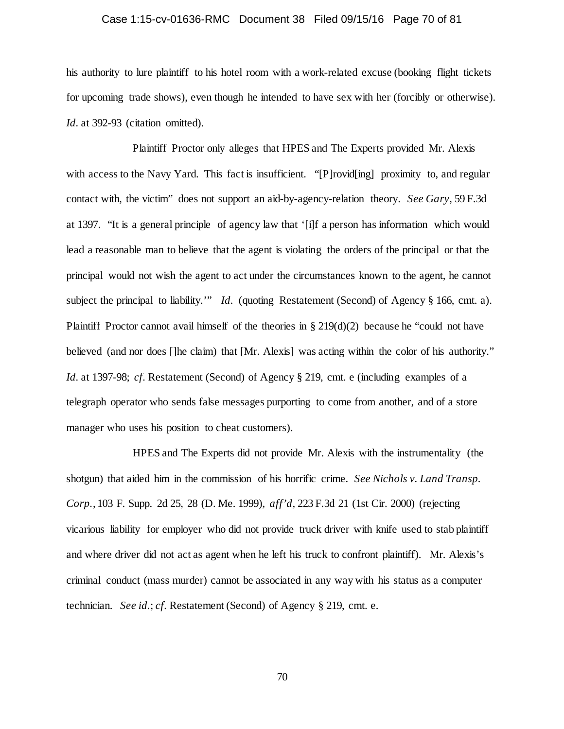## Case 1:15-cv-01636-RMC Document 38 Filed 09/15/16 Page 70 of 81

his authority to lure plaintiff to his hotel room with a work-related excuse (booking flight tickets for upcoming trade shows), even though he intended to have sex with her (forcibly or otherwise). Id. at 392-93 (citation omitted).

Plaintiff Proctor only alleges that HPES and The Experts provided Mr. Alexis with access to the Navy Yard. This fact is insufficient. "[P]rovid[ing] proximity to, and regular contact with, the victim" does not support an aid-by-agency-relation theory. *See Gary,* 59 F.3d at 1397. "It is a general principle of agency law that '[i]f a person has information which would lead a reasonable man to believe that the agent is violating the orders of the principal or that the principal would not wish the agent to act under the circumstances known to the agent, he cannot subject the principal to liability.'" *Id.* (quoting Restatement (Second) of Agency § 166, cmt. a). Plaintiff Proctor cannot avail himself of the theories in  $\S 219(d)(2)$  because he "could not have believed (and nor does []he claim) that [Mr. Alexis] was acting within the color of his authority." *Id.* at 1397-98; *cf.* Restatement (Second) of Agency § 219, cmt. e (including examples of a telegraph operator who sends false messages purporting to come from another, and of a store manager who uses his position to cheat customers).

HPES and The Experts did not provide Mr. Alexis with the instrumentality (the shotgun) that aided him in the commission of his horrific crime. *See Nichols v. Land Transp. Corp.*, 103 F. Supp. 2d 25, 28 (D. Me. 1999), *aff'd,* 223 F.3d 21 (1st Cir. 2000) (rejecting vicarious liability for employer who did not provide truck driver with knife used to stab plaintiff and where driver did not act as agent when he left his truck to confront plaintiff). Mr. Alexis's criminal conduct (mass murder) cannot be associated in any way with his status as a computer technician. *See id.*; *cf.* Restatement (Second) of Agency § 219, cmt. e.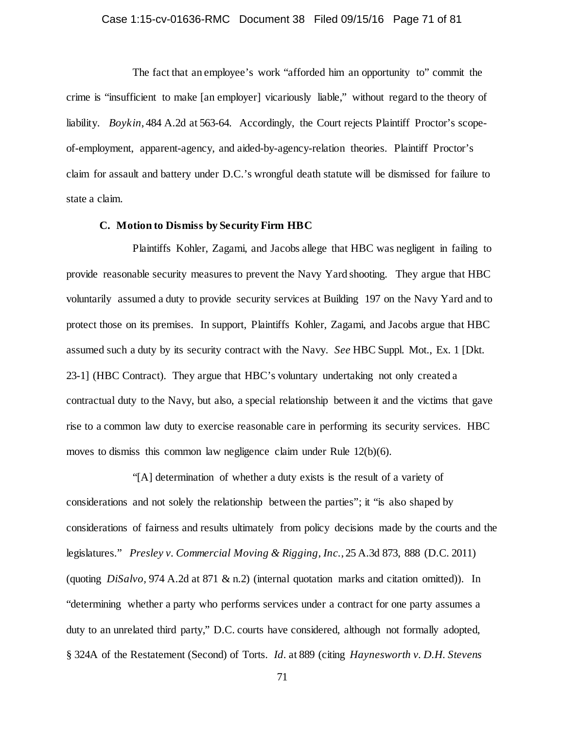## Case 1:15-cv-01636-RMC Document 38 Filed 09/15/16 Page 71 of 81

The fact that an employee's work "afforded him an opportunity to" commit the crime is "insufficient to make [an employer] vicariously liable," without regard to the theory of liability. *Boykin*, 484 A.2d at 563-64. Accordingly, the Court rejects Plaintiff Proctor's scopeof-employment, apparent-agency, and aided-by-agency-relation theories. Plaintiff Proctor's claim for assault and battery under D.C.'s wrongful death statute will be dismissed for failure to state a claim.

## **C. Motion to Dismiss by Security Firm HBC**

Plaintiffs Kohler, Zagami, and Jacobs allege that HBC was negligent in failing to provide reasonable security measures to prevent the Navy Yard shooting. They argue that HBC voluntarily assumed a duty to provide security services at Building 197 on the Navy Yard and to protect those on its premises. In support, Plaintiffs Kohler, Zagami, and Jacobs argue that HBC assumed such a duty by its security contract with the Navy. *See* HBC Suppl. Mot., Ex. 1 [Dkt. 23-1] (HBC Contract). They argue that HBC's voluntary undertaking not only created a contractual duty to the Navy, but also, a special relationship between it and the victims that gave rise to a common law duty to exercise reasonable care in performing its security services. HBC moves to dismiss this common law negligence claim under Rule 12(b)(6).

"[A] determination of whether a duty exists is the result of a variety of considerations and not solely the relationship between the parties"; it "is also shaped by considerations of fairness and results ultimately from policy decisions made by the courts and the legislatures." *Presley v. Commercial Moving & Rigging, Inc.*, 25 A.3d 873, 888 (D.C. 2011) (quoting *DiSalvo,* 974 A.2d at 871 & n.2) (internal quotation marks and citation omitted)). In "determining whether a party who performs services under a contract for one party assumes a duty to an unrelated third party," D.C. courts have considered, although not formally adopted, § 324A of the Restatement (Second) of Torts. *Id.* at 889 (citing *Haynesworth v. D.H. Stevens*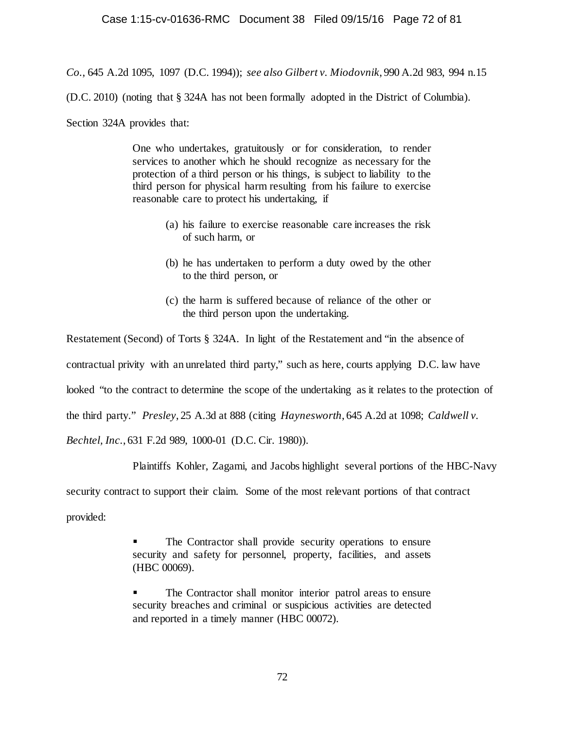*Co.*, 645 A.2d 1095, 1097 (D.C. 1994)); *see also Gilbert v. Miodovnik*, 990 A.2d 983, 994 n.15

(D.C. 2010) (noting that § 324A has not been formally adopted in the District of Columbia).

Section 324A provides that:

One who undertakes, gratuitously or for consideration, to render services to another which he should recognize as necessary for the protection of a third person or his things, is subject to liability to the third person for physical harm resulting from his failure to exercise reasonable care to protect his undertaking, if

- (a) his failure to exercise reasonable care increases the risk of such harm, or
- (b) he has undertaken to perform a duty owed by the other to the third person, or
- (c) the harm is suffered because of reliance of the other or the third person upon the undertaking.

Restatement (Second) of Torts § 324A. In light of the Restatement and "in the absence of contractual privity with an unrelated third party," such as here, courts applying D.C. law have looked "to the contract to determine the scope of the undertaking as it relates to the protection of the third party." *Presley*, 25 A.3d at 888 (citing *Haynesworth*, 645 A.2d at 1098; *Caldwell v. Bechtel, Inc.*, 631 F.2d 989, 1000-01 (D.C. Cir. 1980)).

Plaintiffs Kohler, Zagami, and Jacobs highlight several portions of the HBC-Navy

security contract to support their claim. Some of the most relevant portions of that contract

provided:

 The Contractor shall provide security operations to ensure security and safety for personnel, property, facilities, and assets (HBC 00069).

 The Contractor shall monitor interior patrol areas to ensure security breaches and criminal or suspicious activities are detected and reported in a timely manner (HBC 00072).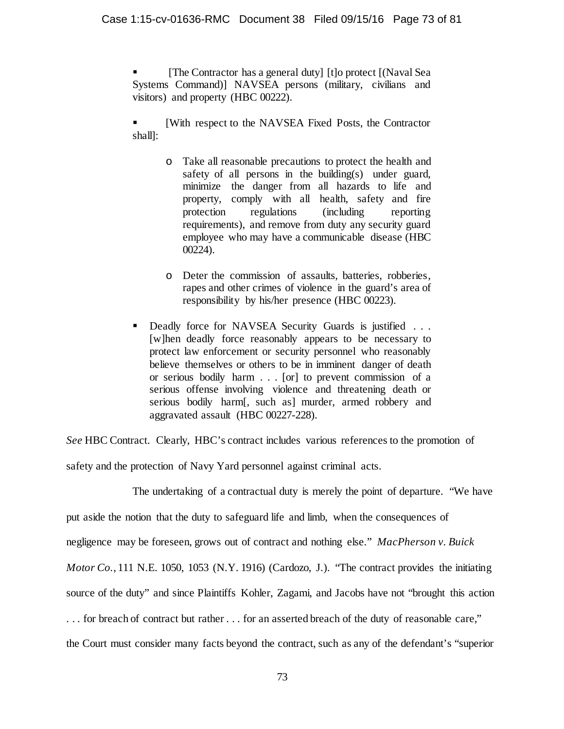[The Contractor has a general duty] [t]o protect [(Naval Sea Systems Command)] NAVSEA persons (military, civilians and visitors) and property (HBC 00222).

 [With respect to the NAVSEA Fixed Posts, the Contractor shall]:

- o Take all reasonable precautions to protect the health and safety of all persons in the building(s) under guard, minimize the danger from all hazards to life and property, comply with all health, safety and fire protection regulations (including reporting requirements), and remove from duty any security guard employee who may have a communicable disease (HBC 00224).
- o Deter the commission of assaults, batteries, robberies, rapes and other crimes of violence in the guard's area of responsibility by his/her presence (HBC 00223).
- Deadly force for NAVSEA Security Guards is justified . . . [w]hen deadly force reasonably appears to be necessary to protect law enforcement or security personnel who reasonably believe themselves or others to be in imminent danger of death or serious bodily harm . . . [or] to prevent commission of a serious offense involving violence and threatening death or serious bodily harm[, such as] murder, armed robbery and aggravated assault (HBC 00227-228).

*See* HBC Contract. Clearly, HBC's contract includes various references to the promotion of

safety and the protection of Navy Yard personnel against criminal acts.

The undertaking of a contractual duty is merely the point of departure. "We have put aside the notion that the duty to safeguard life and limb, when the consequences of negligence may be foreseen, grows out of contract and nothing else." *MacPherson v. Buick Motor Co.*, 111 N.E. 1050, 1053 (N.Y. 1916) (Cardozo, J.). "The contract provides the initiating source of the duty" and since Plaintiffs Kohler, Zagami, and Jacobs have not "brought this action . . . for breach of contract but rather . . . for an asserted breach of the duty of reasonable care," the Court must consider many facts beyond the contract, such as any of the defendant's "superior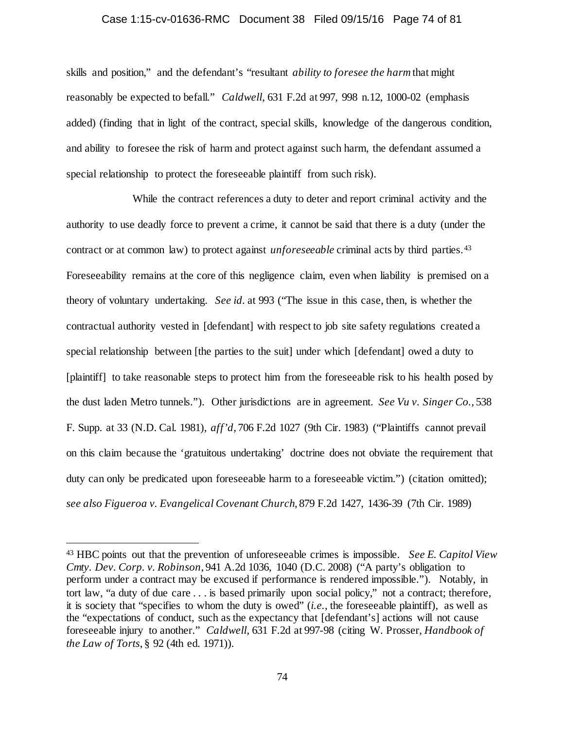#### Case 1:15-cv-01636-RMC Document 38 Filed 09/15/16 Page 74 of 81

skills and position," and the defendant's "resultant *ability to foresee the harm* that might reasonably be expected to befall." *Caldwell*, 631 F.2d at 997, 998 n.12, 1000-02 (emphasis added) (finding that in light of the contract, special skills, knowledge of the dangerous condition, and ability to foresee the risk of harm and protect against such harm, the defendant assumed a special relationship to protect the foreseeable plaintiff from such risk).

While the contract references a duty to deter and report criminal activity and the authority to use deadly force to prevent a crime, it cannot be said that there is a duty (under the contract or at common law) to protect against *unforeseeable* criminal acts by third parties.[43](#page-73-0) Foreseeability remains at the core of this negligence claim, even when liability is premised on a theory of voluntary undertaking. *See id.* at 993 ("The issue in this case, then, is whether the contractual authority vested in [defendant] with respect to job site safety regulations created a special relationship between [the parties to the suit] under which [defendant] owed a duty to [plaintiff] to take reasonable steps to protect him from the foreseeable risk to his health posed by the dust laden Metro tunnels."). Other jurisdictions are in agreement. *See Vu v. Singer Co.*, 538 F. Supp. at 33 (N.D. Cal. 1981), *aff'd*, 706 F.2d 1027 (9th Cir. 1983) ("Plaintiffs cannot prevail on this claim because the 'gratuitous undertaking' doctrine does not obviate the requirement that duty can only be predicated upon foreseeable harm to a foreseeable victim.") (citation omitted); *see also Figueroa v. Evangelical Covenant Church*, 879 F.2d 1427, 1436-39 (7th Cir. 1989)

<span id="page-73-0"></span> <sup>43</sup> HBC points out that the prevention of unforeseeable crimes is impossible. *See E. Capitol View Cmty. Dev. Corp. v. Robinson*, 941 A.2d 1036, 1040 (D.C. 2008) ("A party's obligation to perform under a contract may be excused if performance is rendered impossible."). Notably, in tort law, "a duty of due care . . . is based primarily upon social policy," not a contract; therefore, it is society that "specifies to whom the duty is owed" (*i.e.*, the foreseeable plaintiff), as well as the "expectations of conduct, such as the expectancy that [defendant's] actions will not cause foreseeable injury to another." *Caldwell*, 631 F.2d at 997-98 (citing W. Prosser, *Handbook of the Law of Torts*, § 92 (4th ed. 1971)).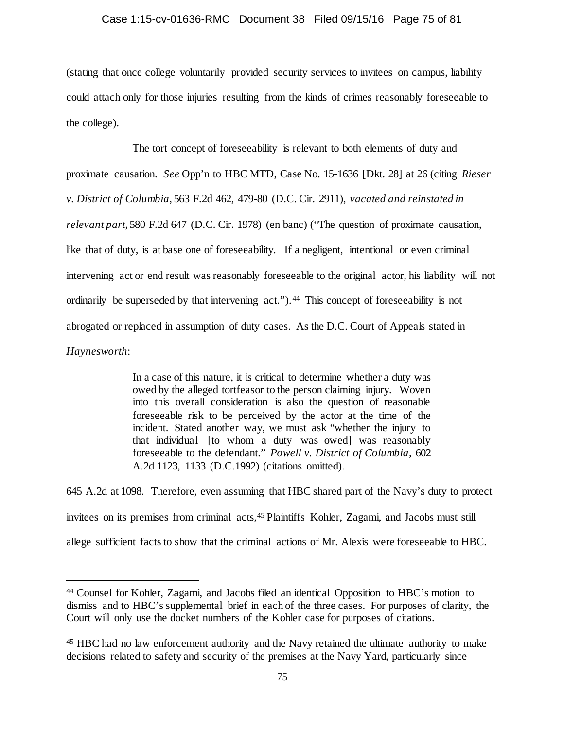# Case 1:15-cv-01636-RMC Document 38 Filed 09/15/16 Page 75 of 81

(stating that once college voluntarily provided security services to invitees on campus, liability could attach only for those injuries resulting from the kinds of crimes reasonably foreseeable to the college).

The tort concept of foreseeability is relevant to both elements of duty and proximate causation. *See* Opp'n to HBC MTD, Case No. 15-1636 [Dkt. 28] at 26 (citing *Rieser v. District of Columbia*, 563 F.2d 462, 479-80 (D.C. Cir. 2911), *vacated and reinstated in relevant part*, 580 F.2d 647 (D.C. Cir. 1978) (en banc) ("The question of proximate causation, like that of duty, is at base one of foreseeability. If a negligent, intentional or even criminal intervening act or end result was reasonably foreseeable to the original actor, his liability will not ordinarily be superseded by that intervening act.").<sup>44</sup> This concept of foreseeability is not abrogated or replaced in assumption of duty cases. As the D.C. Court of Appeals stated in *Haynesworth*:

> In a case of this nature, it is critical to determine whether a duty was owed by the alleged tortfeasor to the person claiming injury. Woven into this overall consideration is also the question of reasonable foreseeable risk to be perceived by the actor at the time of the incident. Stated another way, we must ask "whether the injury to that individual [to whom a duty was owed] was reasonably foreseeable to the defendant." *Powell v. District of Columbia,* 602 A.2d 1123, 1133 (D.C.1992) (citations omitted).

645 A.2d at 1098. Therefore, even assuming that HBC shared part of the Navy's duty to protect invitees on its premises from criminal acts[,45](#page-74-1) Plaintiffs Kohler, Zagami, and Jacobs must still allege sufficient facts to show that the criminal actions of Mr. Alexis were foreseeable to HBC.

<span id="page-74-0"></span> <sup>44</sup> Counsel for Kohler, Zagami, and Jacobs filed an identical Opposition to HBC's motion to dismiss and to HBC's supplemental brief in each of the three cases. For purposes of clarity, the Court will only use the docket numbers of the Kohler case for purposes of citations.

<span id="page-74-1"></span><sup>45</sup> HBC had no law enforcement authority and the Navy retained the ultimate authority to make decisions related to safety and security of the premises at the Navy Yard, particularly since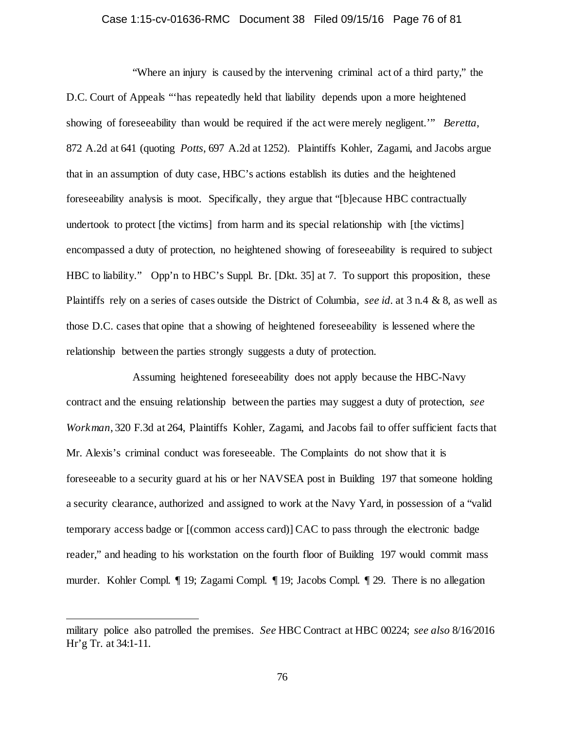### Case 1:15-cv-01636-RMC Document 38 Filed 09/15/16 Page 76 of 81

"Where an injury is caused by the intervening criminal act of a third party," the D.C. Court of Appeals "'has repeatedly held that liability depends upon a more heightened showing of foreseeability than would be required if the act were merely negligent.'" *Beretta*, 872 A.2d at 641 (quoting *Potts*, 697 A.2d at 1252). Plaintiffs Kohler, Zagami, and Jacobs argue that in an assumption of duty case, HBC's actions establish its duties and the heightened foreseeability analysis is moot. Specifically, they argue that "[b]ecause HBC contractually undertook to protect [the victims] from harm and its special relationship with [the victims] encompassed a duty of protection, no heightened showing of foreseeability is required to subject HBC to liability." Opp'n to HBC's Suppl. Br. [Dkt. 35] at 7. To support this proposition, these Plaintiffs rely on a series of cases outside the District of Columbia, *see id.* at 3 n.4 & 8, as well as those D.C. cases that opine that a showing of heightened foreseeability is lessened where the relationship between the parties strongly suggests a duty of protection.

Assuming heightened foreseeability does not apply because the HBC-Navy contract and the ensuing relationship between the parties may suggest a duty of protection, *see Workman*, 320 F.3d at 264, Plaintiffs Kohler, Zagami, and Jacobs fail to offer sufficient facts that Mr. Alexis's criminal conduct was foreseeable. The Complaints do not show that it is foreseeable to a security guard at his or her NAVSEA post in Building 197 that someone holding a security clearance, authorized and assigned to work at the Navy Yard, in possession of a "valid temporary access badge or [(common access card)] CAC to pass through the electronic badge reader," and heading to his workstation on the fourth floor of Building 197 would commit mass murder. Kohler Compl. ¶ 19; Zagami Compl. ¶ 19; Jacobs Compl. ¶ 29. There is no allegation

l

military police also patrolled the premises. *See* HBC Contract at HBC 00224; *see also* 8/16/2016 Hr'g Tr. at 34:1-11.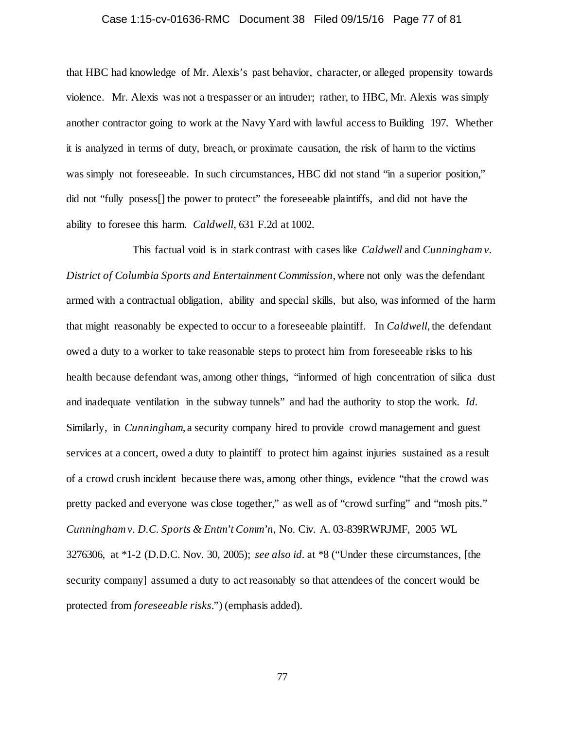### Case 1:15-cv-01636-RMC Document 38 Filed 09/15/16 Page 77 of 81

that HBC had knowledge of Mr. Alexis's past behavior, character, or alleged propensity towards violence. Mr. Alexis was not a trespasser or an intruder; rather, to HBC, Mr. Alexis was simply another contractor going to work at the Navy Yard with lawful access to Building 197. Whether it is analyzed in terms of duty, breach, or proximate causation, the risk of harm to the victims was simply not foreseeable. In such circumstances, HBC did not stand "in a superior position," did not "fully posess[] the power to protect" the foreseeable plaintiffs, and did not have the ability to foresee this harm. *Caldwell*, 631 F.2d at 1002.

This factual void is in stark contrast with cases like *Caldwell* and *Cunningham v. District of Columbia Sports and Entertainment Commission*, where not only was the defendant armed with a contractual obligation, ability and special skills, but also, was informed of the harm that might reasonably be expected to occur to a foreseeable plaintiff. In *Caldwell*, the defendant owed a duty to a worker to take reasonable steps to protect him from foreseeable risks to his health because defendant was, among other things, "informed of high concentration of silica dust and inadequate ventilation in the subway tunnels" and had the authority to stop the work. *Id.* Similarly, in *Cunningham*, a security company hired to provide crowd management and guest services at a concert, owed a duty to plaintiff to protect him against injuries sustained as a result of a crowd crush incident because there was, among other things, evidence "that the crowd was pretty packed and everyone was close together," as well as of "crowd surfing" and "mosh pits." *Cunningham v. D.C. Sports & Entm't Comm'n*, No. Civ. A. 03-839RWRJMF, 2005 WL 3276306, at \*1-2 (D.D.C. Nov. 30, 2005); *see also id.* at \*8 ("Under these circumstances, [the security company] assumed a duty to act reasonably so that attendees of the concert would be protected from *foreseeable risks*.") (emphasis added).

77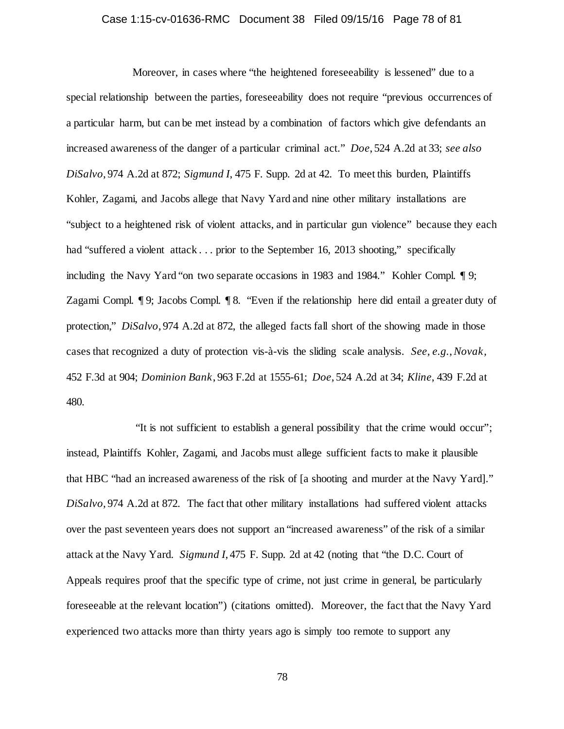### Case 1:15-cv-01636-RMC Document 38 Filed 09/15/16 Page 78 of 81

Moreover, in cases where "the heightened foreseeability is lessened" due to a special relationship between the parties, foreseeability does not require "previous occurrences of a particular harm, but can be met instead by a combination of factors which give defendants an increased awareness of the danger of a particular criminal act." *Doe*, 524 A.2d at 33; *see also DiSalvo*, 974 A.2d at 872; *Sigmund I*, 475 F. Supp. 2d at 42. To meet this burden, Plaintiffs Kohler, Zagami, and Jacobs allege that Navy Yard and nine other military installations are "subject to a heightened risk of violent attacks, and in particular gun violence" because they each had "suffered a violent attack . . . prior to the September 16, 2013 shooting," specifically including the Navy Yard "on two separate occasions in 1983 and 1984." Kohler Compl. ¶ 9; Zagami Compl. ¶ 9; Jacobs Compl. ¶ 8. "Even if the relationship here did entail a greater duty of protection," *DiSalvo*, 974 A.2d at 872, the alleged facts fall short of the showing made in those cases that recognized a duty of protection vis-à-vis the sliding scale analysis. *See, e.g.*, *Novak*, 452 F.3d at 904; *Dominion Bank*, 963 F.2d at 1555-61; *Doe*, 524 A.2d at 34; *Kline*, 439 F.2d at 480.

"It is not sufficient to establish a general possibility that the crime would occur"; instead, Plaintiffs Kohler, Zagami, and Jacobs must allege sufficient facts to make it plausible that HBC "had an increased awareness of the risk of [a shooting and murder at the Navy Yard]." *DiSalvo*, 974 A.2d at 872. The fact that other military installations had suffered violent attacks over the past seventeen years does not support an "increased awareness" of the risk of a similar attack at the Navy Yard. *Sigmund I*, 475 F. Supp. 2d at 42 (noting that "the D.C. Court of Appeals requires proof that the specific type of crime, not just crime in general, be particularly foreseeable at the relevant location") (citations omitted). Moreover, the fact that the Navy Yard experienced two attacks more than thirty years ago is simply too remote to support any

78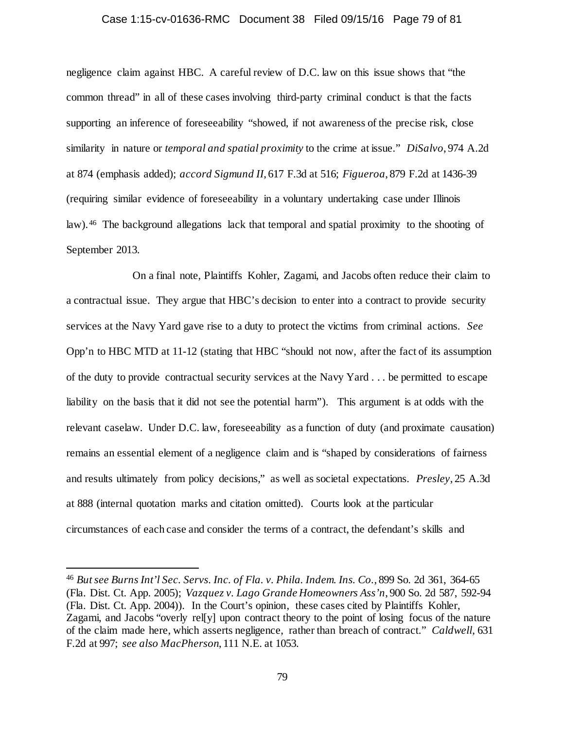#### Case 1:15-cv-01636-RMC Document 38 Filed 09/15/16 Page 79 of 81

negligence claim against HBC. A careful review of D.C. law on this issue shows that "the common thread" in all of these cases involving third-party criminal conduct is that the facts supporting an inference of foreseeability "showed, if not awareness of the precise risk, close similarity in nature or *temporal and spatial proximity* to the crime at issue." *DiSalvo*, 974 A.2d at 874 (emphasis added); *accord Sigmund II*, 617 F.3d at 516; *Figueroa*, 879 F.2d at 1436-39 (requiring similar evidence of foreseeability in a voluntary undertaking case under Illinois law). [46](#page-78-0) The background allegations lack that temporal and spatial proximity to the shooting of September 2013.

On a final note, Plaintiffs Kohler, Zagami, and Jacobs often reduce their claim to a contractual issue. They argue that HBC's decision to enter into a contract to provide security services at the Navy Yard gave rise to a duty to protect the victims from criminal actions. *See* Opp'n to HBC MTD at 11-12 (stating that HBC "should not now, after the fact of its assumption of the duty to provide contractual security services at the Navy Yard . . . be permitted to escape liability on the basis that it did not see the potential harm"). This argument is at odds with the relevant caselaw. Under D.C. law, foreseeability as a function of duty (and proximate causation) remains an essential element of a negligence claim and is "shaped by considerations of fairness and results ultimately from policy decisions," as well as societal expectations. *Presley*, 25 A.3d at 888 (internal quotation marks and citation omitted). Courts look at the particular circumstances of each case and consider the terms of a contract, the defendant's skills and

<span id="page-78-0"></span> <sup>46</sup> *But see Burns Int'l Sec. Servs. Inc. of Fla. v. Phila. Indem. Ins. Co.*, 899 So. 2d 361, 364-65 (Fla. Dist. Ct. App. 2005); *Vazquez v. Lago Grande Homeowners Ass'n*, 900 So. 2d 587, 592-94 (Fla. Dist. Ct. App. 2004)). In the Court's opinion, these cases cited by Plaintiffs Kohler, Zagami, and Jacobs "overly rel[y] upon contract theory to the point of losing focus of the nature of the claim made here, which asserts negligence, rather than breach of contract." *Caldwell*, 631 F.2d at 997; *see also MacPherson*, 111 N.E. at 1053.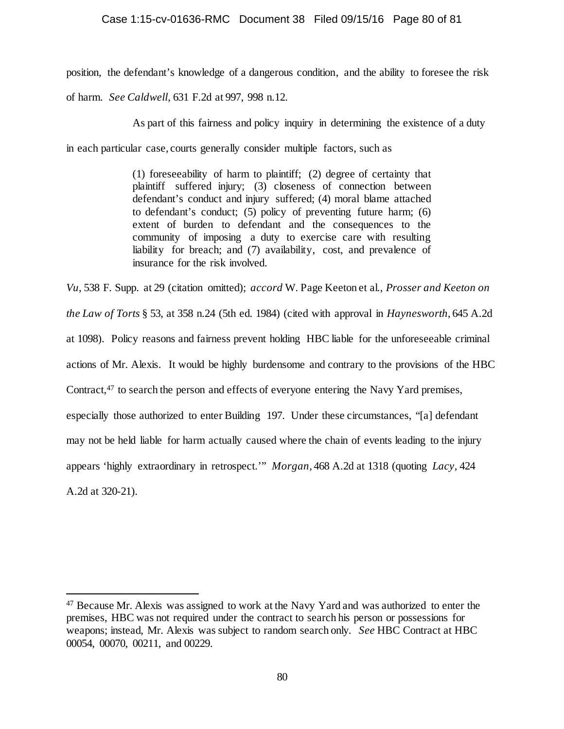# Case 1:15-cv-01636-RMC Document 38 Filed 09/15/16 Page 80 of 81

position, the defendant's knowledge of a dangerous condition, and the ability to foresee the risk

of harm. *See Caldwell*, 631 F.2d at 997, 998 n.12.

As part of this fairness and policy inquiry in determining the existence of a duty

in each particular case, courts generally consider multiple factors, such as

(1) foreseeability of harm to plaintiff; (2) degree of certainty that plaintiff suffered injury; (3) closeness of connection between defendant's conduct and injury suffered; (4) moral blame attached to defendant's conduct; (5) policy of preventing future harm; (6) extent of burden to defendant and the consequences to the community of imposing a duty to exercise care with resulting liability for breach; and (7) availability, cost, and prevalence of insurance for the risk involved.

*Vu*, 538 F. Supp. at 29 (citation omitted); *accord* W. Page Keeton et al., *Prosser and Keeton on the Law of Torts* § 53, at 358 n.24 (5th ed. 1984) (cited with approval in *Haynesworth*, 645 A.2d at 1098). Policy reasons and fairness prevent holding HBC liable for the unforeseeable criminal actions of Mr. Alexis. It would be highly burdensome and contrary to the provisions of the HBC Contract,[47](#page-79-0) to search the person and effects of everyone entering the Navy Yard premises, especially those authorized to enter Building 197. Under these circumstances, "[a] defendant may not be held liable for harm actually caused where the chain of events leading to the injury appears 'highly extraordinary in retrospect.'" *Morgan*, 468 A.2d at 1318 (quoting *Lacy*, 424 A.2d at 320-21).

<span id="page-79-0"></span> <sup>47</sup> Because Mr. Alexis was assigned to work at the Navy Yard and was authorized to enter the premises, HBC was not required under the contract to search his person or possessions for weapons; instead, Mr. Alexis was subject to random search only. *See* HBC Contract at HBC 00054, 00070, 00211, and 00229.